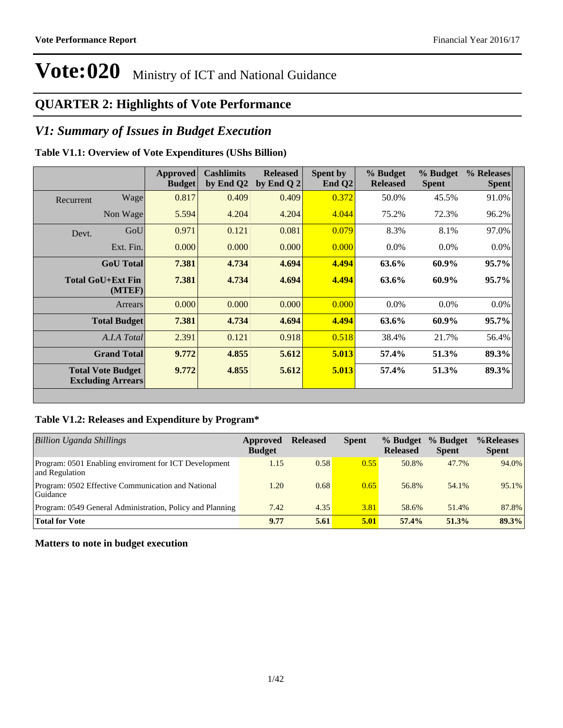### **QUARTER 2: Highlights of Vote Performance**

### *V1: Summary of Issues in Budget Execution*

### **Table V1.1: Overview of Vote Expenditures (UShs Billion)**

|           |                                                      | Approved<br><b>Budget</b> | <b>Cashlimits</b><br>by End Q2 | <b>Released</b><br>by End Q $2$ | <b>Spent by</b><br>End $Q2$ | % Budget<br><b>Released</b> | % Budget<br><b>Spent</b> | % Releases<br><b>Spent</b> |
|-----------|------------------------------------------------------|---------------------------|--------------------------------|---------------------------------|-----------------------------|-----------------------------|--------------------------|----------------------------|
| Recurrent | Wage                                                 | 0.817                     | 0.409                          | 0.409                           | 0.372                       | 50.0%                       | 45.5%                    | 91.0%                      |
|           | Non Wage                                             | 5.594                     | 4.204                          | 4.204                           | 4.044                       | 75.2%                       | 72.3%                    | 96.2%                      |
| Devt.     | GoU                                                  | 0.971                     | 0.121                          | 0.081                           | 0.079                       | 8.3%                        | 8.1%                     | 97.0%                      |
|           | Ext. Fin.                                            | 0.000                     | 0.000                          | 0.000                           | 0.000                       | $0.0\%$                     | $0.0\%$                  | $0.0\%$                    |
|           | <b>GoU</b> Total                                     | 7.381                     | 4.734                          | 4.694                           | 4.494                       | 63.6%                       | 60.9%                    | 95.7%                      |
|           | Total GoU+Ext Fin<br>(MTEF)                          | 7.381                     | 4.734                          | 4.694                           | 4.494                       | 63.6%                       | 60.9%                    | $95.7\%$                   |
|           | Arrears                                              | 0.000                     | 0.000                          | 0.000                           | 0.000                       | $0.0\%$                     | $0.0\%$                  | 0.0%                       |
|           | <b>Total Budget</b>                                  | 7.381                     | 4.734                          | 4.694                           | 4.494                       | 63.6%                       | 60.9%                    | 95.7%                      |
|           | A.I.A Total                                          | 2.391                     | 0.121                          | 0.918                           | 0.518                       | 38.4%                       | 21.7%                    | 56.4%                      |
|           | <b>Grand Total</b>                                   | 9.772                     | 4.855                          | 5.612                           | 5.013                       | 57.4%                       | 51.3%                    | 89.3%                      |
|           | <b>Total Vote Budget</b><br><b>Excluding Arrears</b> | 9.772                     | 4.855                          | 5.612                           | 5.013                       | 57.4%                       | 51.3%                    | 89.3%                      |

#### **Table V1.2: Releases and Expenditure by Program\***

| <b>Billion Uganda Shillings</b>                                         | Approved<br><b>Budget</b> | <b>Released</b> | <b>Spent</b> | % Budget<br><b>Released</b> | % Budget<br><b>Spent</b> | %Releases<br><b>Spent</b> |
|-------------------------------------------------------------------------|---------------------------|-----------------|--------------|-----------------------------|--------------------------|---------------------------|
| Program: 0501 Enabling enviroment for ICT Development<br>and Regulation | 1.15                      | 0.58            | 0.55         | 50.8%                       | 47.7%                    | 94.0%                     |
| Program: 0502 Effective Communication and National<br>Guidance          | 1.20                      | 0.68            | 0.65         | 56.8%                       | 54.1%                    | 95.1%                     |
| Program: 0549 General Administration, Policy and Planning               | 7.42                      | 4.35            | 3.81         | 58.6%                       | 51.4%                    | 87.8%                     |
| <b>Total for Vote</b>                                                   | 9.77                      | 5.61            | 5.01         | 57.4%                       | 51.3%                    | 89.3%                     |

#### **Matters to note in budget execution**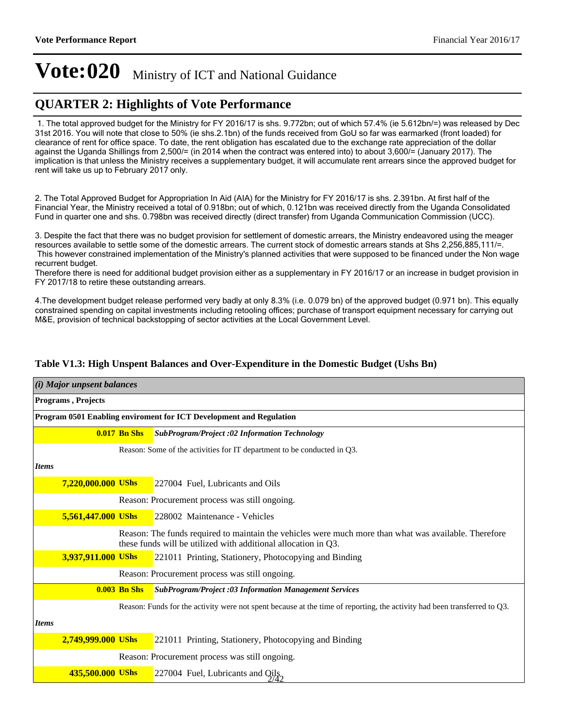### **QUARTER 2: Highlights of Vote Performance**

1. The total approved budget for the Ministry for FY 2016/17 is shs. 9.772bn; out of which 57.4% (ie 5.612bn/=) was released by Dec 31st 2016. You will note that close to 50% (ie shs.2.1bn) of the funds received from GoU so far was earmarked (front loaded) for clearance of rent for office space. To date, the rent obligation has escalated due to the exchange rate appreciation of the dollar against the Uganda Shillings from 2,500/= (in 2014 when the contract was entered into) to about 3,600/= (January 2017). The implication is that unless the Ministry receives a supplementary budget, it will accumulate rent arrears since the approved budget for rent will take us up to February 2017 only.

2. The Total Approved Budget for Appropriation In Aid (AIA) for the Ministry for FY 2016/17 is shs. 2.391bn. At first half of the Financial Year, the Ministry received a total of 0.918bn; out of which, 0.121bn was received directly from the Uganda Consolidated Fund in quarter one and shs. 0.798bn was received directly (direct transfer) from Uganda Communication Commission (UCC).

3. Despite the fact that there was no budget provision for settlement of domestic arrears, the Ministry endeavored using the meager resources available to settle some of the domestic arrears. The current stock of domestic arrears stands at Shs 2,256,885,111/=. This however constrained implementation of the Ministry's planned activities that were supposed to be financed under the Non wage recurrent budget.

Therefore there is need for additional budget provision either as a supplementary in FY 2016/17 or an increase in budget provision in FY 2017/18 to retire these outstanding arrears.

4. The development budget release performed very badly at only 8.3% (i.e. 0.079 bn) of the approved budget (0.971 bn). This equally constrained spending on capital investments including retooling offices; purchase of transport equipment necessary for carrying out M&E, provision of technical backstopping of sector activities at the Local Government Level.

#### **Table V1.3: High Unspent Balances and Over-Expenditure in the Domestic Budget (Ushs Bn)**

|              | $(i)$ Major unpsent balances                                        |                     |                                                                                                                                                                         |  |  |  |  |  |
|--------------|---------------------------------------------------------------------|---------------------|-------------------------------------------------------------------------------------------------------------------------------------------------------------------------|--|--|--|--|--|
|              | Programs, Projects                                                  |                     |                                                                                                                                                                         |  |  |  |  |  |
|              | Program 0501 Enabling enviroment for ICT Development and Regulation |                     |                                                                                                                                                                         |  |  |  |  |  |
|              |                                                                     | <b>0.017 Bn Shs</b> | <b>SubProgram/Project :02 Information Technology</b>                                                                                                                    |  |  |  |  |  |
|              |                                                                     |                     | Reason: Some of the activities for IT department to be conducted in Q3.                                                                                                 |  |  |  |  |  |
| <b>Items</b> |                                                                     |                     |                                                                                                                                                                         |  |  |  |  |  |
|              | 7,220,000.000 UShs                                                  |                     | 227004 Fuel, Lubricants and Oils                                                                                                                                        |  |  |  |  |  |
|              |                                                                     |                     | Reason: Procurement process was still ongoing.                                                                                                                          |  |  |  |  |  |
|              | 5,561,447.000 UShs                                                  |                     | 228002 Maintenance - Vehicles                                                                                                                                           |  |  |  |  |  |
|              |                                                                     |                     | Reason: The funds required to maintain the vehicles were much more than what was available. Therefore<br>these funds will be utilized with additional allocation in Q3. |  |  |  |  |  |
|              | 3,937,911.000 UShs                                                  |                     | 221011 Printing, Stationery, Photocopying and Binding                                                                                                                   |  |  |  |  |  |
|              |                                                                     |                     | Reason: Procurement process was still ongoing.                                                                                                                          |  |  |  |  |  |
|              |                                                                     | $0.003$ Bn Shs      | <b>SubProgram/Project :03 Information Management Services</b>                                                                                                           |  |  |  |  |  |
|              |                                                                     |                     | Reason: Funds for the activity were not spent because at the time of reporting, the activity had been transferred to Q3.                                                |  |  |  |  |  |
| <b>Items</b> |                                                                     |                     |                                                                                                                                                                         |  |  |  |  |  |
|              | 2,749,999.000 UShs                                                  |                     | 221011 Printing, Stationery, Photocopying and Binding                                                                                                                   |  |  |  |  |  |
|              |                                                                     |                     | Reason: Procurement process was still ongoing.                                                                                                                          |  |  |  |  |  |
|              | 435,500.000 UShs                                                    |                     | 227004 Fuel, Lubricants and $Q_{14}$ <sup>1</sup>                                                                                                                       |  |  |  |  |  |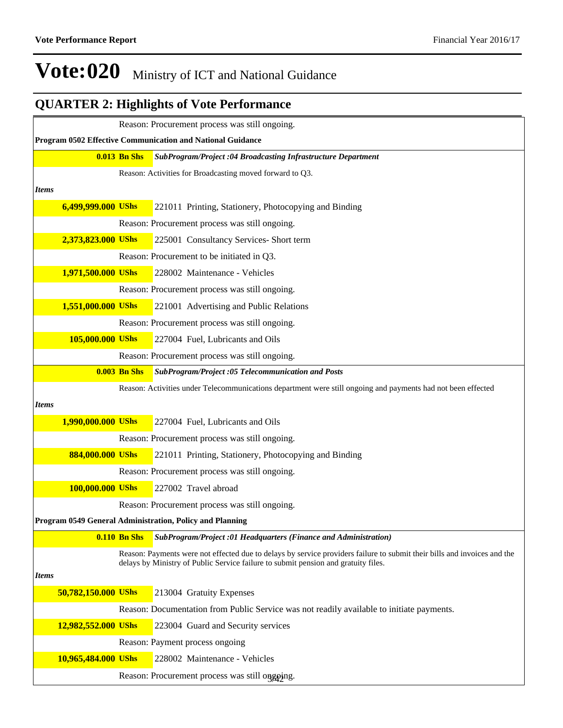## **QUARTER 2: Highlights of Vote Performance**

|              |                     |                     | Reason: Procurement process was still ongoing.                                                                                                                                                                 |
|--------------|---------------------|---------------------|----------------------------------------------------------------------------------------------------------------------------------------------------------------------------------------------------------------|
|              |                     |                     | Program 0502 Effective Communication and National Guidance                                                                                                                                                     |
|              |                     | <b>0.013 Bn Shs</b> | SubProgram/Project :04 Broadcasting Infrastructure Department                                                                                                                                                  |
|              |                     |                     | Reason: Activities for Broadcasting moved forward to Q3.                                                                                                                                                       |
| <b>Items</b> |                     |                     |                                                                                                                                                                                                                |
|              | 6,499,999.000 UShs  |                     | 221011 Printing, Stationery, Photocopying and Binding                                                                                                                                                          |
|              |                     |                     | Reason: Procurement process was still ongoing.                                                                                                                                                                 |
|              | 2,373,823.000 UShs  |                     | 225001 Consultancy Services- Short term                                                                                                                                                                        |
|              |                     |                     | Reason: Procurement to be initiated in Q3.                                                                                                                                                                     |
|              | 1,971,500.000 UShs  |                     | 228002 Maintenance - Vehicles                                                                                                                                                                                  |
|              |                     |                     | Reason: Procurement process was still ongoing.                                                                                                                                                                 |
|              | 1,551,000.000 UShs  |                     | 221001 Advertising and Public Relations                                                                                                                                                                        |
|              |                     |                     | Reason: Procurement process was still ongoing.                                                                                                                                                                 |
|              | 105,000.000 UShs    |                     | 227004 Fuel, Lubricants and Oils                                                                                                                                                                               |
|              |                     |                     | Reason: Procurement process was still ongoing.                                                                                                                                                                 |
|              |                     | <b>0.003 Bn Shs</b> | SubProgram/Project:05 Telecommunication and Posts                                                                                                                                                              |
|              |                     |                     | Reason: Activities under Telecommunications department were still ongoing and payments had not been effected                                                                                                   |
| <b>Items</b> |                     |                     |                                                                                                                                                                                                                |
|              | 1,990,000.000 UShs  |                     | 227004 Fuel, Lubricants and Oils                                                                                                                                                                               |
|              |                     |                     | Reason: Procurement process was still ongoing.                                                                                                                                                                 |
|              | 884,000.000 UShs    |                     | 221011 Printing, Stationery, Photocopying and Binding                                                                                                                                                          |
|              |                     |                     | Reason: Procurement process was still ongoing.                                                                                                                                                                 |
|              | 100,000.000 UShs    |                     | 227002 Travel abroad                                                                                                                                                                                           |
|              |                     |                     | Reason: Procurement process was still ongoing.                                                                                                                                                                 |
|              |                     |                     | Program 0549 General Administration, Policy and Planning                                                                                                                                                       |
|              |                     | <b>0.110 Bn Shs</b> | SubProgram/Project:01 Headquarters (Finance and Administration)                                                                                                                                                |
|              |                     |                     | Reason: Payments were not effected due to delays by service providers failure to submit their bills and invoices and the<br>delays by Ministry of Public Service failure to submit pension and gratuity files. |
| <i>Items</i> |                     |                     |                                                                                                                                                                                                                |
|              | 50,782,150.000 UShs |                     | 213004 Gratuity Expenses                                                                                                                                                                                       |
|              |                     |                     | Reason: Documentation from Public Service was not readily available to initiate payments.                                                                                                                      |
|              | 12,982,552.000 UShs |                     | 223004 Guard and Security services                                                                                                                                                                             |
|              |                     |                     | Reason: Payment process ongoing                                                                                                                                                                                |
|              | 10,965,484.000 UShs |                     | 228002 Maintenance - Vehicles                                                                                                                                                                                  |
|              |                     |                     | Reason: Procurement process was still onggoing.                                                                                                                                                                |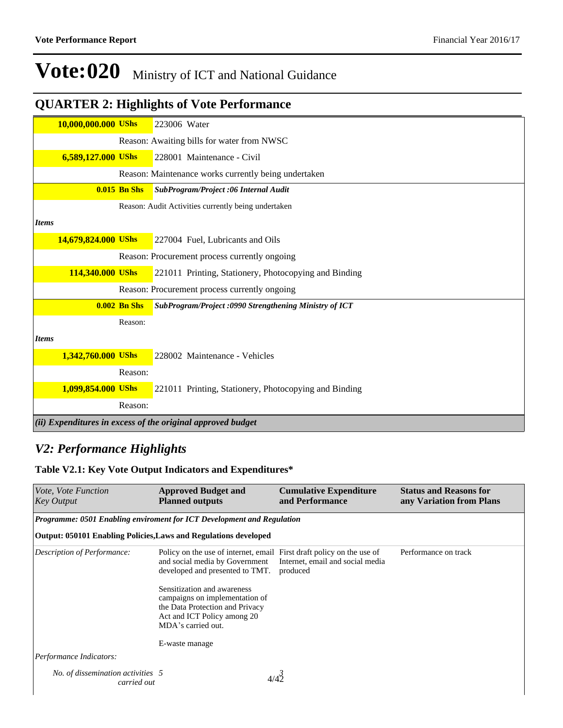## **QUARTER 2: Highlights of Vote Performance**

|              | 10,000,000.000 UShs |                | 223006 Water                                                |
|--------------|---------------------|----------------|-------------------------------------------------------------|
|              |                     |                | Reason: Awaiting bills for water from NWSC                  |
|              | 6,589,127.000 UShs  |                | 228001 Maintenance - Civil                                  |
|              |                     |                | Reason: Maintenance works currently being undertaken        |
|              |                     | $0.015$ Bn Shs | SubProgram/Project:06 Internal Audit                        |
|              |                     |                | Reason: Audit Activities currently being undertaken         |
| <b>Items</b> |                     |                |                                                             |
|              | 14,679,824.000 UShs |                | 227004 Fuel, Lubricants and Oils                            |
|              |                     |                | Reason: Procurement process currently ongoing               |
|              | 114,340.000 UShs    |                | 221011 Printing, Stationery, Photocopying and Binding       |
|              |                     |                | Reason: Procurement process currently ongoing               |
|              |                     | $0.002$ Bn Shs | SubProgram/Project: 0990 Strengthening Ministry of ICT      |
|              |                     | Reason:        |                                                             |
| <b>Items</b> |                     |                |                                                             |
|              | 1,342,760.000 UShs  |                | 228002 Maintenance - Vehicles                               |
|              |                     | Reason:        |                                                             |
|              | 1,099,854.000 UShs  |                | 221011 Printing, Stationery, Photocopying and Binding       |
|              |                     | Reason:        |                                                             |
|              |                     |                | (ii) Expenditures in excess of the original approved budget |

### *V2: Performance Highlights*

### **Table V2.1: Key Vote Output Indicators and Expenditures\***

| Vote, Vote Function<br><b>Key Output</b>                                | <b>Approved Budget and</b><br><b>Planned outputs</b>                                                                                                                                                                                                                          | <b>Cumulative Expenditure</b><br>and Performance | <b>Status and Reasons for</b><br>any Variation from Plans |  |  |  |  |  |  |  |  |
|-------------------------------------------------------------------------|-------------------------------------------------------------------------------------------------------------------------------------------------------------------------------------------------------------------------------------------------------------------------------|--------------------------------------------------|-----------------------------------------------------------|--|--|--|--|--|--|--|--|
| Programme: 0501 Enabling enviroment for ICT Development and Regulation  |                                                                                                                                                                                                                                                                               |                                                  |                                                           |  |  |  |  |  |  |  |  |
| <b>Output: 050101 Enabling Policies, Laws and Regulations developed</b> |                                                                                                                                                                                                                                                                               |                                                  |                                                           |  |  |  |  |  |  |  |  |
| Description of Performance:                                             | Policy on the use of internet, email First draft policy on the use of<br>and social media by Government<br>developed and presented to TMT.<br>Sensitization and awareness<br>campaigns on implementation of<br>the Data Protection and Privacy<br>Act and ICT Policy among 20 | Internet, email and social media<br>produced     | Performance on track                                      |  |  |  |  |  |  |  |  |
|                                                                         | MDA's carried out.                                                                                                                                                                                                                                                            |                                                  |                                                           |  |  |  |  |  |  |  |  |
|                                                                         | E-waste manage                                                                                                                                                                                                                                                                |                                                  |                                                           |  |  |  |  |  |  |  |  |
| Performance Indicators:                                                 |                                                                                                                                                                                                                                                                               |                                                  |                                                           |  |  |  |  |  |  |  |  |
| No. of dissemination activities 5<br>carried out                        |                                                                                                                                                                                                                                                                               |                                                  |                                                           |  |  |  |  |  |  |  |  |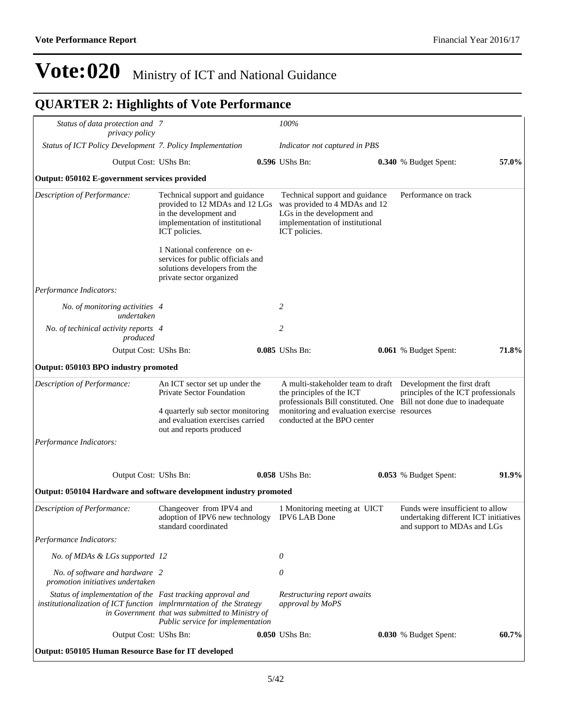## **QUARTER 2: Highlights of Vote Performance**

| Status of data protection and 7<br>privacy policy                                                                                 |                                                                                                                                                |  | 100%                                                                                                                                              |  |                                                                                                                                                                              |       |  |
|-----------------------------------------------------------------------------------------------------------------------------------|------------------------------------------------------------------------------------------------------------------------------------------------|--|---------------------------------------------------------------------------------------------------------------------------------------------------|--|------------------------------------------------------------------------------------------------------------------------------------------------------------------------------|-------|--|
| Status of ICT Policy Development 7. Policy Implementation                                                                         |                                                                                                                                                |  | Indicator not captured in PBS                                                                                                                     |  |                                                                                                                                                                              |       |  |
| Output Cost: UShs Bn:                                                                                                             |                                                                                                                                                |  | 0.596 UShs Bn:                                                                                                                                    |  | 0.340 % Budget Spent:                                                                                                                                                        | 57.0% |  |
| Output: 050102 E-government services provided                                                                                     |                                                                                                                                                |  |                                                                                                                                                   |  |                                                                                                                                                                              |       |  |
| Description of Performance:                                                                                                       | Technical support and guidance<br>provided to 12 MDAs and 12 LGs<br>in the development and<br>implementation of institutional<br>ICT policies. |  | Technical support and guidance<br>was provided to 4 MDAs and 12<br>LGs in the development and<br>implementation of institutional<br>ICT policies. |  | Performance on track                                                                                                                                                         |       |  |
|                                                                                                                                   | 1 National conference on e-<br>services for public officials and<br>solutions developers from the<br>private sector organized                  |  |                                                                                                                                                   |  |                                                                                                                                                                              |       |  |
| Performance Indicators:                                                                                                           |                                                                                                                                                |  |                                                                                                                                                   |  |                                                                                                                                                                              |       |  |
| No. of monitoring activities 4<br>undertaken                                                                                      |                                                                                                                                                |  | 2                                                                                                                                                 |  |                                                                                                                                                                              |       |  |
| No. of techinical activity reports 4<br>produced                                                                                  |                                                                                                                                                |  | $\overline{c}$                                                                                                                                    |  |                                                                                                                                                                              |       |  |
| Output Cost: UShs Bn:                                                                                                             |                                                                                                                                                |  | 0.085 UShs Bn:                                                                                                                                    |  | <b>0.061</b> % Budget Spent:                                                                                                                                                 | 71.8% |  |
| Output: 050103 BPO industry promoted                                                                                              |                                                                                                                                                |  |                                                                                                                                                   |  |                                                                                                                                                                              |       |  |
| Description of Performance:                                                                                                       | An ICT sector set up under the<br>Private Sector Foundation                                                                                    |  | the principles of the ICT                                                                                                                         |  | A multi-stakeholder team to draft  Development the first draft<br>principles of the ICT professionals<br>professionals Bill constituted. One Bill not done due to inadequate |       |  |
|                                                                                                                                   | 4 quarterly sub sector monitoring<br>and evaluation exercises carried<br>out and reports produced                                              |  | monitoring and evaluation exercise resources<br>conducted at the BPO center                                                                       |  |                                                                                                                                                                              |       |  |
| Performance Indicators:                                                                                                           |                                                                                                                                                |  |                                                                                                                                                   |  |                                                                                                                                                                              |       |  |
| Output Cost: UShs Bn:                                                                                                             |                                                                                                                                                |  | 0.058 UShs Bn:                                                                                                                                    |  | 0.053 % Budget Spent:                                                                                                                                                        | 91.9% |  |
| Output: 050104 Hardware and software development industry promoted                                                                |                                                                                                                                                |  |                                                                                                                                                   |  |                                                                                                                                                                              |       |  |
| Description of Performance:                                                                                                       | Changeover from IPV4 and<br>adoption of IPV6 new technology<br>standard coordinated                                                            |  | 1 Monitoring meeting at UICT<br><b>IPV6 LAB Done</b>                                                                                              |  | Funds were insufficient to allow<br>undertaking different ICT initiatives<br>and support to MDAs and LGs                                                                     |       |  |
| Performance Indicators:                                                                                                           |                                                                                                                                                |  |                                                                                                                                                   |  |                                                                                                                                                                              |       |  |
| No. of MDAs & LGs supported 12                                                                                                    |                                                                                                                                                |  | 0                                                                                                                                                 |  |                                                                                                                                                                              |       |  |
| No. of software and hardware 2<br>promotion initiatives undertaken                                                                |                                                                                                                                                |  | 0                                                                                                                                                 |  |                                                                                                                                                                              |       |  |
| Status of implementation of the Fast tracking approval and<br>institutionalization of ICT function implrmrntation of the Strategy | in Government that was submitted to Ministry of<br>Public service for implementation                                                           |  | Restructuring report awaits<br>approval by MoPS                                                                                                   |  |                                                                                                                                                                              |       |  |
| Output Cost: UShs Bn:                                                                                                             |                                                                                                                                                |  | 0.050 UShs Bn:                                                                                                                                    |  | 0.030 % Budget Spent:                                                                                                                                                        | 60.7% |  |
| Output: 050105 Human Resource Base for IT developed                                                                               |                                                                                                                                                |  |                                                                                                                                                   |  |                                                                                                                                                                              |       |  |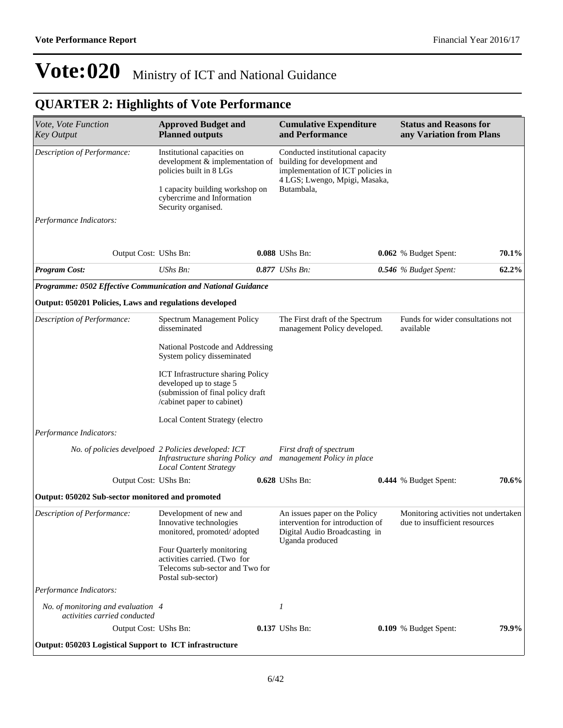## **QUARTER 2: Highlights of Vote Performance**

| Vote, Vote Function<br><b>Key Output</b>                           | <b>Approved Budget and</b><br><b>Planned outputs</b>                                                                                   |  | <b>Cumulative Expenditure</b><br>and Performance                                                      |  | <b>Status and Reasons for</b><br>any Variation from Plans             |          |  |
|--------------------------------------------------------------------|----------------------------------------------------------------------------------------------------------------------------------------|--|-------------------------------------------------------------------------------------------------------|--|-----------------------------------------------------------------------|----------|--|
| Description of Performance:                                        | Institutional capacities on<br>development & implementation of<br>policies built in 8 LGs                                              |  | Conducted institutional capacity<br>building for development and<br>implementation of ICT policies in |  |                                                                       |          |  |
|                                                                    | 1 capacity building workshop on<br>cybercrime and Information<br>Security organised.                                                   |  | 4 LGS; Lwengo, Mpigi, Masaka,<br>Butambala,                                                           |  |                                                                       |          |  |
| Performance Indicators:                                            |                                                                                                                                        |  |                                                                                                       |  |                                                                       |          |  |
| Output Cost: UShs Bn:                                              |                                                                                                                                        |  | 0.088 UShs Bn:                                                                                        |  | 0.062 % Budget Spent:                                                 | 70.1%    |  |
| <b>Program Cost:</b>                                               | UShs Bn:                                                                                                                               |  | $0.877$ UShs Bn:                                                                                      |  | 0.546 % Budget Spent:                                                 | $62.2\%$ |  |
| Programme: 0502 Effective Communication and National Guidance      |                                                                                                                                        |  |                                                                                                       |  |                                                                       |          |  |
| Output: 050201 Policies, Laws and regulations developed            |                                                                                                                                        |  |                                                                                                       |  |                                                                       |          |  |
| Description of Performance:                                        | Spectrum Management Policy<br>disseminated                                                                                             |  | The First draft of the Spectrum<br>management Policy developed.                                       |  | Funds for wider consultations not<br>available                        |          |  |
|                                                                    | National Postcode and Addressing<br>System policy disseminated                                                                         |  |                                                                                                       |  |                                                                       |          |  |
|                                                                    | <b>ICT</b> Infrastructure sharing Policy<br>developed up to stage 5<br>(submission of final policy draft<br>/cabinet paper to cabinet) |  |                                                                                                       |  |                                                                       |          |  |
|                                                                    | Local Content Strategy (electro                                                                                                        |  |                                                                                                       |  |                                                                       |          |  |
| Performance Indicators:                                            |                                                                                                                                        |  |                                                                                                       |  |                                                                       |          |  |
|                                                                    | No. of policies develpoed 2 Policies developed: ICT<br><b>Local Content Strategy</b>                                                   |  | First draft of spectrum<br>Infrastructure sharing Policy and management Policy in place               |  |                                                                       |          |  |
| Output Cost: UShs Bn:                                              |                                                                                                                                        |  | 0.628 UShs Bn:                                                                                        |  | 0.444 % Budget Spent:                                                 | 70.6%    |  |
| Output: 050202 Sub-sector monitored and promoted                   |                                                                                                                                        |  |                                                                                                       |  |                                                                       |          |  |
| Description of Performance:                                        | Development of new and<br>Innovative technologies<br>monitored, promoted/adopted                                                       |  | An issues paper on the Policy<br>intervention for introduction of<br>Digital Audio Broadcasting in    |  | Monitoring activities not undertaken<br>due to insufficient resources |          |  |
|                                                                    | Four Quarterly monitoring<br>activities carried. (Two for<br>Telecoms sub-sector and Two for<br>Postal sub-sector)                     |  | Uganda produced                                                                                       |  |                                                                       |          |  |
| Performance Indicators:                                            |                                                                                                                                        |  |                                                                                                       |  |                                                                       |          |  |
| No. of monitoring and evaluation 4<br>activities carried conducted |                                                                                                                                        |  | 1                                                                                                     |  |                                                                       |          |  |
| Output Cost: UShs Bn:                                              |                                                                                                                                        |  | 0.137 UShs Bn:                                                                                        |  | 0.109 % Budget Spent:                                                 | 79.9%    |  |
| Output: 050203 Logistical Support to ICT infrastructure            |                                                                                                                                        |  |                                                                                                       |  |                                                                       |          |  |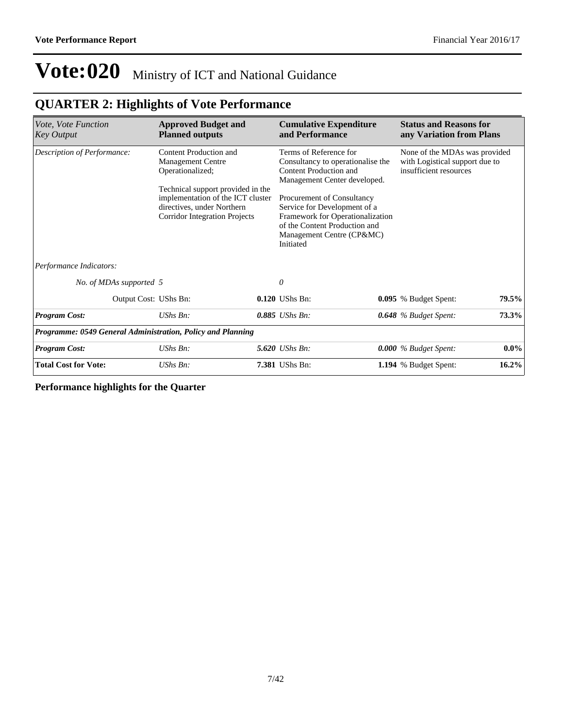### **QUARTER 2: Highlights of Vote Performance**

| Vote, Vote Function<br><b>Key Output</b>                    | <b>Approved Budget and</b><br><b>Planned outputs</b>                                                                                                                                                                   | <b>Cumulative Expenditure</b><br>and Performance                                                                                                                                                                                                                                                   | <b>Status and Reasons for</b><br>any Variation from Plans                                 |  |  |
|-------------------------------------------------------------|------------------------------------------------------------------------------------------------------------------------------------------------------------------------------------------------------------------------|----------------------------------------------------------------------------------------------------------------------------------------------------------------------------------------------------------------------------------------------------------------------------------------------------|-------------------------------------------------------------------------------------------|--|--|
| Description of Performance:                                 | Content Production and<br><b>Management Centre</b><br>Operationalized;<br>Technical support provided in the<br>implementation of the ICT cluster<br>directives, under Northern<br><b>Corridor Integration Projects</b> | Terms of Reference for<br>Consultancy to operationalise the<br>Content Production and<br>Management Center developed.<br>Procurement of Consultancy<br>Service for Development of a<br>Framework for Operationalization<br>of the Content Production and<br>Management Centre (CP&MC)<br>Initiated | None of the MDAs was provided<br>with Logistical support due to<br>insufficient resources |  |  |
| Performance Indicators:                                     |                                                                                                                                                                                                                        |                                                                                                                                                                                                                                                                                                    |                                                                                           |  |  |
| No. of MDAs supported 5                                     |                                                                                                                                                                                                                        | 0                                                                                                                                                                                                                                                                                                  |                                                                                           |  |  |
| Output Cost: UShs Bn:                                       |                                                                                                                                                                                                                        | $0.120$ UShs Bn:                                                                                                                                                                                                                                                                                   | 79.5%<br>0.095 % Budget Spent:                                                            |  |  |
| <b>Program Cost:</b>                                        | UShs Bn:                                                                                                                                                                                                               | 0.885 UShs Bn:                                                                                                                                                                                                                                                                                     | 73.3%<br>0.648 % Budget Spent:                                                            |  |  |
| Programme: 0549 General Administration, Policy and Planning |                                                                                                                                                                                                                        |                                                                                                                                                                                                                                                                                                    |                                                                                           |  |  |
| <b>Program Cost:</b>                                        | UShs Bn:                                                                                                                                                                                                               | 5.620 UShs Bn:                                                                                                                                                                                                                                                                                     | $0.0\%$<br>0.000 % Budget Spent:                                                          |  |  |
| <b>Total Cost for Vote:</b>                                 | UShs Bn:                                                                                                                                                                                                               | 7.381 UShs Bn:                                                                                                                                                                                                                                                                                     | $16.2\%$<br>1.194 % Budget Spent:                                                         |  |  |

**Performance highlights for the Quarter**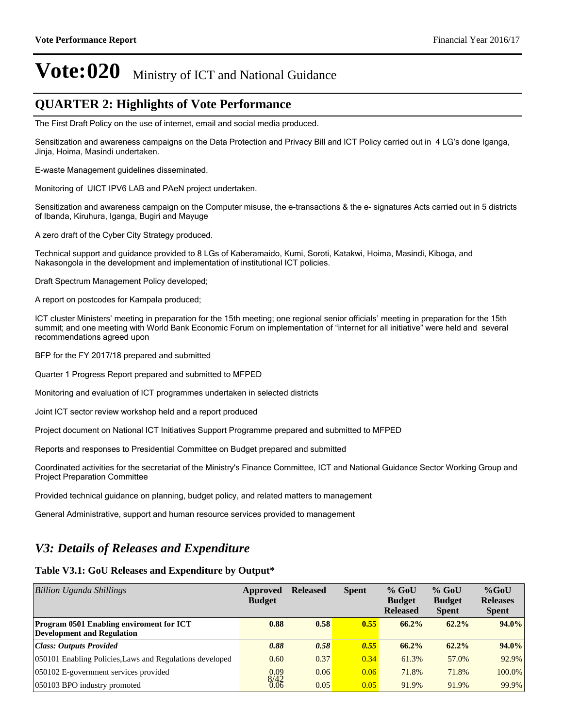### **QUARTER 2: Highlights of Vote Performance**

The First Draft Policy on the use of internet, email and social media produced.

Sensitization and awareness campaigns on the Data Protection and Privacy Bill and ICT Policy carried out in 4 LG's done Iganga, Jinja, Hoima, Masindi undertaken.

E-waste Management guidelines disseminated.

Monitoring of UICT IPV6 LAB and PAeN project undertaken.

Sensitization and awareness campaign on the Computer misuse, the e-transactions & the e- signatures Acts carried out in 5 districts of Ibanda, Kiruhura, Iganga, Bugiri and Mayuge

A zero draft of the Cyber City Strategy produced.

Technical support and guidance provided to 8 LGs of Kaberamaido, Kumi, Soroti, Katakwi, Hoima, Masindi, Kiboga, and Nakasongola in the development and implementation of institutional ICT policies.

Draft Spectrum Management Policy developed;

A report on postcodes for Kampala produced;

ICT cluster Ministers' meeting in preparation for the 15th meeting; one regional senior officials' meeting in preparation for the 15th summit; and one meeting with World Bank Economic Forum on implementation of "internet for all initiative" were held and several recommendations agreed upon

BFP for the FY 2017/18 prepared and submitted

Quarter 1 Progress Report prepared and submitted to MFPED

Monitoring and evaluation of ICT programmes undertaken in selected districts

Joint ICT sector review workshop held and a report produced

Project document on National ICT Initiatives Support Programme prepared and submitted to MFPED

Reports and responses to Presidential Committee on Budget prepared and submitted

Coordinated activities for the secretariat of the Ministry's Finance Committee, ICT and National Guidance Sector Working Group and Project Preparation Committee

Provided technical guidance on planning, budget policy, and related matters to management

General Administrative, support and human resource services provided to management

### *V3: Details of Releases and Expenditure*

#### **Table V3.1: GoU Releases and Expenditure by Output\***

| Billion Uganda Shillings                                                             | Approved<br><b>Budget</b> | <b>Released</b> | <b>Spent</b> | $%$ GoU<br><b>Budget</b><br><b>Released</b> | $%$ GoU<br><b>Budget</b><br><b>Spent</b> | $%$ GoU<br><b>Releases</b><br><b>Spent</b> |
|--------------------------------------------------------------------------------------|---------------------------|-----------------|--------------|---------------------------------------------|------------------------------------------|--------------------------------------------|
| <b>Program 0501 Enabling enviroment for ICT</b><br><b>Development and Regulation</b> | 0.88                      | 0.58            | 0.55         | $66.2\%$                                    | $62.2\%$                                 | $94.0\%$                                   |
| <b>Class: Outputs Provided</b>                                                       | 0.88                      | 0.58            | 0.55         | 66.2%                                       | $62.2\%$                                 | $94.0\%$                                   |
| 050101 Enabling Policies, Laws and Regulations developed                             | 0.60                      | 0.37            | 0.34         | 61.3%                                       | 57.0%                                    | 92.9%                                      |
| 050102 E-government services provided                                                | 0.09                      | 0.06            | 0.06         | 71.8%                                       | 71.8%                                    | 100.0%                                     |
| 050103 BPO industry promoted                                                         | 8/42                      | 0.05            | 0.05         | 91.9%                                       | 91.9%                                    | 99.9%                                      |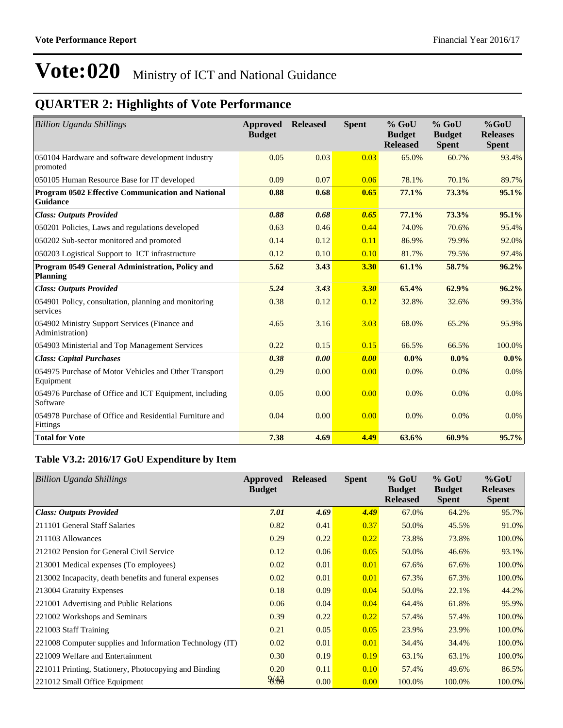## **QUARTER 2: Highlights of Vote Performance**

| <b>Billion Uganda Shillings</b>                                     | Approved<br><b>Budget</b> | <b>Released</b> | <b>Spent</b> | $%$ GoU<br><b>Budget</b><br><b>Released</b> | $%$ GoU<br><b>Budget</b><br><b>Spent</b> | $%$ GoU<br><b>Releases</b><br><b>Spent</b> |
|---------------------------------------------------------------------|---------------------------|-----------------|--------------|---------------------------------------------|------------------------------------------|--------------------------------------------|
| 050104 Hardware and software development industry<br>promoted       | 0.05                      | 0.03            | 0.03         | 65.0%                                       | 60.7%                                    | 93.4%                                      |
| 050105 Human Resource Base for IT developed                         | 0.09                      | 0.07            | 0.06         | 78.1%                                       | 70.1%                                    | 89.7%                                      |
| Program 0502 Effective Communication and National<br>Guidance       | 0.88                      | 0.68            | 0.65         | 77.1%                                       | 73.3%                                    | 95.1%                                      |
| <b>Class: Outputs Provided</b>                                      | 0.88                      | 0.68            | 0.65         | 77.1%                                       | 73.3%                                    | 95.1%                                      |
| 050201 Policies, Laws and regulations developed                     | 0.63                      | 0.46            | 0.44         | 74.0%                                       | 70.6%                                    | 95.4%                                      |
| 050202 Sub-sector monitored and promoted                            | 0.14                      | 0.12            | 0.11         | 86.9%                                       | 79.9%                                    | 92.0%                                      |
| 050203 Logistical Support to ICT infrastructure                     | 0.12                      | 0.10            | 0.10         | 81.7%                                       | 79.5%                                    | 97.4%                                      |
| Program 0549 General Administration, Policy and<br><b>Planning</b>  | 5.62                      | 3.43            | 3.30         | 61.1%                                       | 58.7%                                    | 96.2%                                      |
| <b>Class: Outputs Provided</b>                                      | 5.24                      | 3.43            | 3.30         | 65.4%                                       | 62.9%                                    | 96.2%                                      |
| 054901 Policy, consultation, planning and monitoring<br>services    | 0.38                      | 0.12            | 0.12         | 32.8%                                       | 32.6%                                    | 99.3%                                      |
| 054902 Ministry Support Services (Finance and<br>Administration)    | 4.65                      | 3.16            | 3.03         | 68.0%                                       | 65.2%                                    | 95.9%                                      |
| 054903 Ministerial and Top Management Services                      | 0.22                      | 0.15            | 0.15         | 66.5%                                       | 66.5%                                    | 100.0%                                     |
| <b>Class: Capital Purchases</b>                                     | 0.38                      | 0.00            | 0.00         | 0.0%                                        | $0.0\%$                                  | $0.0\%$                                    |
| 054975 Purchase of Motor Vehicles and Other Transport<br>Equipment  | 0.29                      | 0.00            | 0.00         | 0.0%                                        | 0.0%                                     | $0.0\%$                                    |
| 054976 Purchase of Office and ICT Equipment, including<br>Software  | 0.05                      | 0.00            | 0.00         | 0.0%                                        | 0.0%                                     | $0.0\%$                                    |
| 054978 Purchase of Office and Residential Furniture and<br>Fittings | 0.04                      | 0.00            | 0.00         | 0.0%                                        | 0.0%                                     | $0.0\%$                                    |
| <b>Total for Vote</b>                                               | 7.38                      | 4.69            | 4.49         | 63.6%                                       | 60.9%                                    | 95.7%                                      |

### **Table V3.2: 2016/17 GoU Expenditure by Item**

| <b>Billion Uganda Shillings</b>                          | <b>Approved</b><br><b>Budget</b> | <b>Released</b> | <b>Spent</b> | $%$ GoU<br><b>Budget</b><br><b>Released</b> | $%$ GoU<br><b>Budget</b><br><b>Spent</b> | $%$ GoU<br><b>Releases</b><br><b>Spent</b> |
|----------------------------------------------------------|----------------------------------|-----------------|--------------|---------------------------------------------|------------------------------------------|--------------------------------------------|
| <b>Class: Outputs Provided</b>                           | 7.01                             | 4.69            | 4.49         | 67.0%                                       | 64.2%                                    | 95.7%                                      |
| 211101 General Staff Salaries                            | 0.82                             | 0.41            | 0.37         | 50.0%                                       | 45.5%                                    | 91.0%                                      |
| 211103 Allowances                                        | 0.29                             | 0.22            | 0.22         | 73.8%                                       | 73.8%                                    | 100.0%                                     |
| 212102 Pension for General Civil Service                 | 0.12                             | 0.06            | 0.05         | 50.0%                                       | 46.6%                                    | 93.1%                                      |
| 213001 Medical expenses (To employees)                   | 0.02                             | 0.01            | 0.01         | 67.6%                                       | 67.6%                                    | 100.0%                                     |
| 213002 Incapacity, death benefits and funeral expenses   | 0.02                             | 0.01            | 0.01         | 67.3%                                       | 67.3%                                    | 100.0%                                     |
| 213004 Gratuity Expenses                                 | 0.18                             | 0.09            | 0.04         | 50.0%                                       | 22.1%                                    | 44.2%                                      |
| 221001 Advertising and Public Relations                  | 0.06                             | 0.04            | 0.04         | 64.4%                                       | 61.8%                                    | 95.9%                                      |
| 221002 Workshops and Seminars                            | 0.39                             | 0.22            | 0.22         | 57.4%                                       | 57.4%                                    | 100.0%                                     |
| 221003 Staff Training                                    | 0.21                             | 0.05            | 0.05         | 23.9%                                       | 23.9%                                    | 100.0%                                     |
| 221008 Computer supplies and Information Technology (IT) | 0.02                             | 0.01            | 0.01         | 34.4%                                       | 34.4%                                    | 100.0%                                     |
| 221009 Welfare and Entertainment                         | 0.30                             | 0.19            | 0.19         | 63.1%                                       | 63.1%                                    | 100.0%                                     |
| 221011 Printing, Stationery, Photocopying and Binding    | 0.20                             | 0.11            | 0.10         | 57.4%                                       | 49.6%                                    | 86.5%                                      |
| 221012 Small Office Equipment                            | 8.33                             | 0.00            | 0.00         | 100.0%                                      | 100.0%                                   | 100.0%                                     |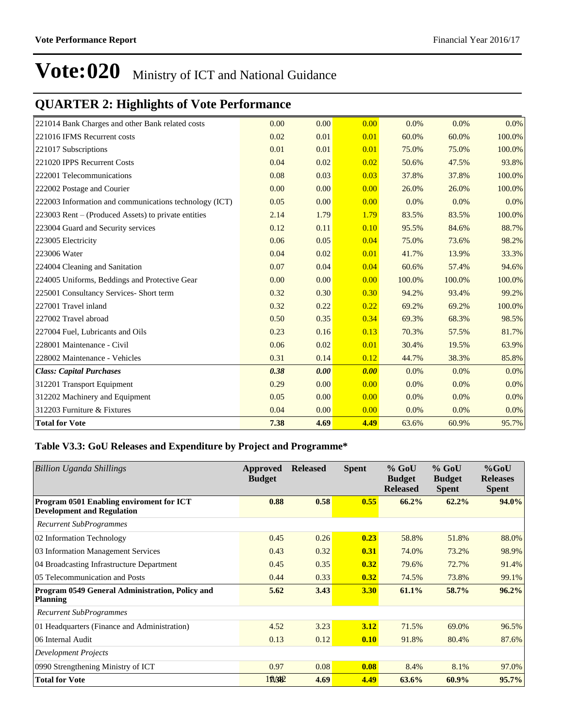### **QUARTER 2: Highlights of Vote Performance**

| 221014 Bank Charges and other Bank related costs       | 0.00 | 0.00 | 0.00 | 0.0%    | 0.0%   | 0.0%    |
|--------------------------------------------------------|------|------|------|---------|--------|---------|
| 221016 IFMS Recurrent costs                            | 0.02 | 0.01 | 0.01 | 60.0%   | 60.0%  | 100.0%  |
| 221017 Subscriptions                                   | 0.01 | 0.01 | 0.01 | 75.0%   | 75.0%  | 100.0%  |
| 221020 IPPS Recurrent Costs                            | 0.04 | 0.02 | 0.02 | 50.6%   | 47.5%  | 93.8%   |
| 222001 Telecommunications                              | 0.08 | 0.03 | 0.03 | 37.8%   | 37.8%  | 100.0%  |
| 222002 Postage and Courier                             | 0.00 | 0.00 | 0.00 | 26.0%   | 26.0%  | 100.0%  |
| 222003 Information and communications technology (ICT) | 0.05 | 0.00 | 0.00 | $0.0\%$ | 0.0%   | 0.0%    |
| 223003 Rent – (Produced Assets) to private entities    | 2.14 | 1.79 | 1.79 | 83.5%   | 83.5%  | 100.0%  |
| 223004 Guard and Security services                     | 0.12 | 0.11 | 0.10 | 95.5%   | 84.6%  | 88.7%   |
| 223005 Electricity                                     | 0.06 | 0.05 | 0.04 | 75.0%   | 73.6%  | 98.2%   |
| 223006 Water                                           | 0.04 | 0.02 | 0.01 | 41.7%   | 13.9%  | 33.3%   |
| 224004 Cleaning and Sanitation                         | 0.07 | 0.04 | 0.04 | 60.6%   | 57.4%  | 94.6%   |
| 224005 Uniforms, Beddings and Protective Gear          | 0.00 | 0.00 | 0.00 | 100.0%  | 100.0% | 100.0%  |
| 225001 Consultancy Services- Short term                | 0.32 | 0.30 | 0.30 | 94.2%   | 93.4%  | 99.2%   |
| 227001 Travel inland                                   | 0.32 | 0.22 | 0.22 | 69.2%   | 69.2%  | 100.0%  |
| 227002 Travel abroad                                   | 0.50 | 0.35 | 0.34 | 69.3%   | 68.3%  | 98.5%   |
| 227004 Fuel, Lubricants and Oils                       | 0.23 | 0.16 | 0.13 | 70.3%   | 57.5%  | 81.7%   |
| 228001 Maintenance - Civil                             | 0.06 | 0.02 | 0.01 | 30.4%   | 19.5%  | 63.9%   |
| 228002 Maintenance - Vehicles                          | 0.31 | 0.14 | 0.12 | 44.7%   | 38.3%  | 85.8%   |
| <b>Class: Capital Purchases</b>                        | 0.38 | 0.00 | 0.00 | 0.0%    | 0.0%   | 0.0%    |
| 312201 Transport Equipment                             | 0.29 | 0.00 | 0.00 | 0.0%    | 0.0%   | $0.0\%$ |
| 312202 Machinery and Equipment                         | 0.05 | 0.00 | 0.00 | 0.0%    | 0.0%   | 0.0%    |
| 312203 Furniture & Fixtures                            | 0.04 | 0.00 | 0.00 | 0.0%    | 0.0%   | 0.0%    |
| <b>Total for Vote</b>                                  | 7.38 | 4.69 | 4.49 | 63.6%   | 60.9%  | 95.7%   |

#### **Table V3.3: GoU Releases and Expenditure by Project and Programme\***

| <b>Billion Uganda Shillings</b>                                               | Approved<br><b>Budget</b> | <b>Released</b> | <b>Spent</b> | $%$ GoU<br><b>Budget</b><br><b>Released</b> | $%$ GoU<br><b>Budget</b><br><b>Spent</b> | $%$ GoU<br><b>Releases</b><br><b>Spent</b> |
|-------------------------------------------------------------------------------|---------------------------|-----------------|--------------|---------------------------------------------|------------------------------------------|--------------------------------------------|
| Program 0501 Enabling enviroment for ICT<br><b>Development and Regulation</b> | 0.88                      | 0.58            | 0.55         | 66.2%                                       | 62.2%                                    | 94.0%                                      |
| <b>Recurrent SubProgrammes</b>                                                |                           |                 |              |                                             |                                          |                                            |
| 02 Information Technology                                                     | 0.45                      | 0.26            | 0.23         | 58.8%                                       | 51.8%                                    | 88.0%                                      |
| 03 Information Management Services                                            | 0.43                      | 0.32            | 0.31         | 74.0%                                       | 73.2%                                    | 98.9%                                      |
| 04 Broadcasting Infrastructure Department                                     | 0.45                      | 0.35            | 0.32         | 79.6%                                       | 72.7%                                    | 91.4%                                      |
| 05 Telecommunication and Posts                                                | 0.44                      | 0.33            | 0.32         | 74.5%                                       | 73.8%                                    | 99.1%                                      |
| Program 0549 General Administration, Policy and<br><b>Planning</b>            | 5.62                      | 3.43            | 3.30         | 61.1%                                       | 58.7%                                    | 96.2%                                      |
| <b>Recurrent SubProgrammes</b>                                                |                           |                 |              |                                             |                                          |                                            |
| 01 Headquarters (Finance and Administration)                                  | 4.52                      | 3.23            | 3.12         | 71.5%                                       | 69.0%                                    | 96.5%                                      |
| 06 Internal Audit                                                             | 0.13                      | 0.12            | 0.10         | 91.8%                                       | 80.4%                                    | 87.6%                                      |
| <b>Development Projects</b>                                                   |                           |                 |              |                                             |                                          |                                            |
| 0990 Strengthening Ministry of ICT                                            | 0.97                      | 0.08            | 0.08         | 8.4%                                        | 8.1%                                     | 97.0%                                      |
| <b>Total for Vote</b>                                                         | 10/382                    | 4.69            | 4.49         | 63.6%                                       | $60.9\%$                                 | 95.7%                                      |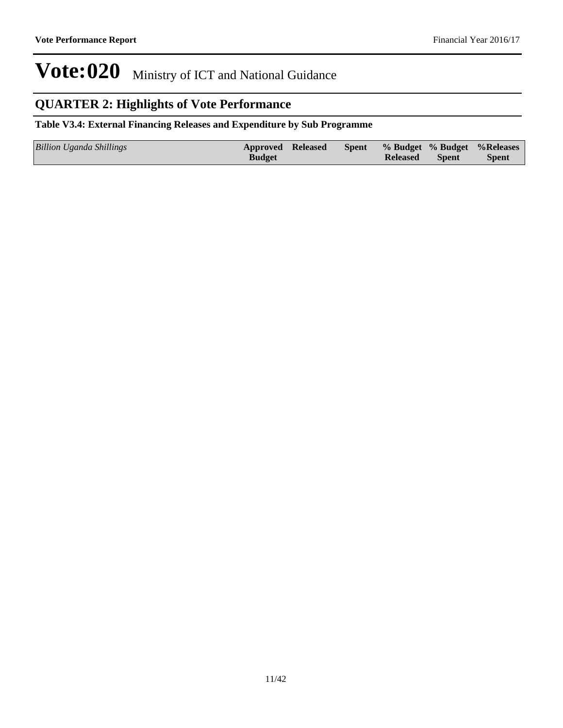### **QUARTER 2: Highlights of Vote Performance**

#### **Table V3.4: External Financing Releases and Expenditure by Sub Programme**

| Billion Uganda Shillings | <b>Approved Released</b> |  |                 |       | Spent % Budget % Budget % Releases |
|--------------------------|--------------------------|--|-----------------|-------|------------------------------------|
|                          | <b>Budget</b>            |  | <b>Released</b> | Spent | <b>Spent</b>                       |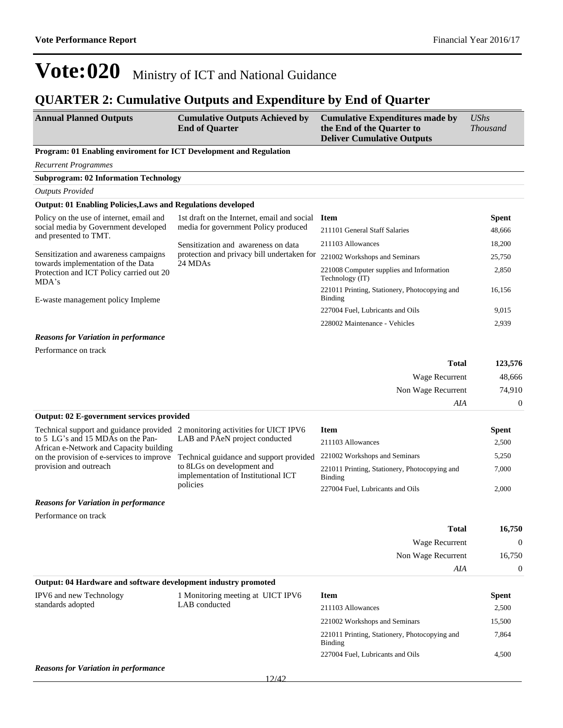### **QUARTER 2: Cumulative Outputs and Expenditure by End of Quarter**

| <b>Annual Planned Outputs</b> | <b>Cumulative Outputs Achieved by</b> | <b>Cumulative Expenditures made by</b> | <b>UShs</b>     |
|-------------------------------|---------------------------------------|----------------------------------------|-----------------|
|                               | <b>End of Quarter</b>                 | the End of the Quarter to              | <i>Thousand</i> |
|                               |                                       | <b>Deliver Cumulative Outputs</b>      |                 |

#### **Program: 01 Enabling enviroment for ICT Development and Regulation**

*Recurrent Programmes*

#### **Subprogram: 02 Information Technology**

*Outputs Provided*

#### **Output: 01 Enabling Policies,Laws and Regulations developed**

| Policy on the use of internet, email and<br>social media by Government developed<br>and presented to TMT. | 1st draft on the Internet, email and social                 | <b>Item</b>                                              | <b>Spent</b> |
|-----------------------------------------------------------------------------------------------------------|-------------------------------------------------------------|----------------------------------------------------------|--------------|
|                                                                                                           | media for government Policy produced                        | 211101 General Staff Salaries                            | 48,666       |
|                                                                                                           | Sensitization and awareness on data                         | 211103 Allowances                                        | 18,200       |
| Sensitization and awareness campaigns<br>towards implementation of the Data                               | protection and privacy bill undertaken for<br>24 MDAs       | 221002 Workshops and Seminars                            | 25,750       |
| Protection and ICT Policy carried out 20<br>MDA's                                                         | 221008 Computer supplies and Information<br>Technology (IT) | 2,850                                                    |              |
| E-waste management policy Impleme                                                                         |                                                             | 221011 Printing, Stationery, Photocopying and<br>Binding | 16.156       |
|                                                                                                           |                                                             | 227004 Fuel, Lubricants and Oils                         | 9,015        |
|                                                                                                           |                                                             | 228002 Maintenance - Vehicles                            | 2.939        |

#### *Reasons for Variation in performance*

Performance on track

| Total              | 123,576           |
|--------------------|-------------------|
| Wage Recurrent     | 48,666            |
| Non Wage Recurrent | 74.910            |
| AIA                | $\mathbf{\Omega}$ |

221002 Workshops and Seminars 15,500

#### **Output: 02 E-government services provided**

| Technical support and guidance provided 2 monitoring activities for UICT IPV6 |                                                                   | <b>Item</b>                                              | Spent |
|-------------------------------------------------------------------------------|-------------------------------------------------------------------|----------------------------------------------------------|-------|
| to 5 LG's and 15 MDAs on the Pan-<br>African e-Network and Capacity building  | LAB and PAeN project conducted                                    | 211103 Allowances                                        | 2,500 |
| on the provision of e-services to improve                                     | Technical guidance and support provided                           | 221002 Workshops and Seminars                            | 5,250 |
| provision and outreach                                                        | to 8LGs on development and<br>implementation of Institutional ICT | 221011 Printing, Stationery, Photocopying and<br>Binding | 7,000 |
|                                                                               | policies                                                          | 227004 Fuel, Lubricants and Oils                         | 2.000 |
| <b>Reasons for Variation in performance</b>                                   |                                                                   |                                                          |       |

Performance on track

|                         |                                                                |                   | <b>Total</b>       | 16,750                         |
|-------------------------|----------------------------------------------------------------|-------------------|--------------------|--------------------------------|
|                         |                                                                |                   | Wage Recurrent     | $\Omega$<br>16,750<br>$\Omega$ |
|                         |                                                                |                   | Non Wage Recurrent |                                |
|                         |                                                                |                   | AIA                |                                |
|                         | Output: 04 Hardware and software development industry promoted |                   |                    |                                |
| IPV6 and new Technology | 1 Monitoring meeting at UICT IPV6                              | <b>Item</b>       |                    | <b>Spent</b>                   |
| standards adopted       | LAB conducted                                                  | 211103 Allowances |                    | 2.500                          |

| 221011 Printing, Stationery, Photocopying and<br>Binding | 7.864 |
|----------------------------------------------------------|-------|
| 227004 Fuel, Lubricants and Oils                         | 4.500 |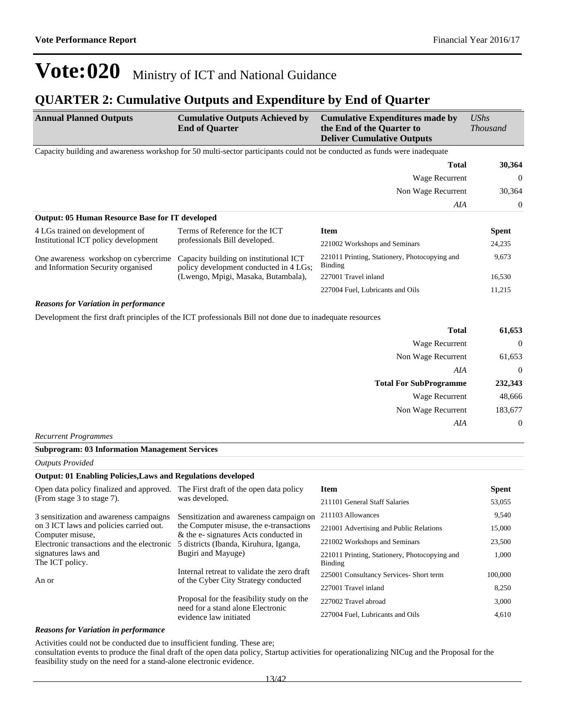### **QUARTER 2: Cumulative Outputs and Expenditure by End of Quarter**

| <b>Annual Planned Outputs</b>                                                                         | <b>Cumulative Outputs Achieved by</b><br><b>End of Quarter</b>                                                            | <b>Cumulative Expenditures made by</b><br>the End of the Quarter to<br><b>Deliver Cumulative Outputs</b> | <b>UShs</b><br><b>Thousand</b> |  |
|-------------------------------------------------------------------------------------------------------|---------------------------------------------------------------------------------------------------------------------------|----------------------------------------------------------------------------------------------------------|--------------------------------|--|
|                                                                                                       | Capacity building and awareness workshop for 50 multi-sector participants could not be conducted as funds were inadequate |                                                                                                          |                                |  |
|                                                                                                       |                                                                                                                           | <b>Total</b>                                                                                             | 30,364                         |  |
|                                                                                                       |                                                                                                                           | Wage Recurrent                                                                                           | $\overline{0}$                 |  |
|                                                                                                       |                                                                                                                           | Non Wage Recurrent                                                                                       | 30,364                         |  |
|                                                                                                       |                                                                                                                           | AIA                                                                                                      | $\boldsymbol{0}$               |  |
| <b>Output: 05 Human Resource Base for IT developed</b>                                                |                                                                                                                           |                                                                                                          |                                |  |
| 4 LGs trained on development of                                                                       | Terms of Reference for the ICT                                                                                            | <b>Item</b>                                                                                              | <b>Spent</b>                   |  |
| Institutional ICT policy development                                                                  | professionals Bill developed.                                                                                             | 221002 Workshops and Seminars                                                                            | 24,235                         |  |
| One awareness workshop on cybercrime<br>and Information Security organised                            | Capacity building on institutional ICT<br>policy development conducted in 4 LGs;                                          | 221011 Printing, Stationery, Photocopying and<br>Binding                                                 | 9,673                          |  |
|                                                                                                       | (Lwengo, Mpigi, Masaka, Butambala),                                                                                       | 227001 Travel inland                                                                                     | 16,530                         |  |
|                                                                                                       |                                                                                                                           | 227004 Fuel, Lubricants and Oils                                                                         | 11,215                         |  |
| <b>Reasons for Variation in performance</b>                                                           |                                                                                                                           |                                                                                                          |                                |  |
|                                                                                                       | Development the first draft principles of the ICT professionals Bill not done due to inadequate resources                 |                                                                                                          |                                |  |
|                                                                                                       |                                                                                                                           | <b>Total</b>                                                                                             | 61,653                         |  |
|                                                                                                       |                                                                                                                           | Wage Recurrent                                                                                           | $\overline{0}$                 |  |
|                                                                                                       |                                                                                                                           | Non Wage Recurrent                                                                                       | 61,653                         |  |
|                                                                                                       |                                                                                                                           | AIA                                                                                                      | $\boldsymbol{0}$               |  |
|                                                                                                       |                                                                                                                           | <b>Total For SubProgramme</b>                                                                            | 232,343                        |  |
|                                                                                                       |                                                                                                                           | <b>Wage Recurrent</b>                                                                                    | 48,666                         |  |
|                                                                                                       |                                                                                                                           | Non Wage Recurrent                                                                                       | 183,677                        |  |
|                                                                                                       |                                                                                                                           | AIA                                                                                                      | $\mathbf{0}$                   |  |
| <b>Recurrent Programmes</b>                                                                           |                                                                                                                           |                                                                                                          |                                |  |
| <b>Subprogram: 03 Information Management Services</b>                                                 |                                                                                                                           |                                                                                                          |                                |  |
| <b>Outputs Provided</b>                                                                               |                                                                                                                           |                                                                                                          |                                |  |
| <b>Output: 01 Enabling Policies, Laws and Regulations developed</b>                                   |                                                                                                                           |                                                                                                          |                                |  |
| Open data policy finalized and approved. The First draft of the open data policy                      |                                                                                                                           | <b>Item</b>                                                                                              | <b>Spent</b>                   |  |
| (From stage 3 to stage 7).                                                                            | was developed.                                                                                                            | 211101 General Staff Salaries                                                                            | 53,055                         |  |
| 3 sensitization and awareness campaigns                                                               | Sensitization and awareness campaign on                                                                                   | 211103 Allowances                                                                                        | 9,540                          |  |
| on 3 ICT laws and policies carried out.                                                               | the Computer misuse, the e-transactions                                                                                   | 221001 Advertising and Public Relations                                                                  | 15,000                         |  |
| Computer misuse,<br>Electronic transactions and the electronic 5 districts (Ibanda, Kiruhura, Iganga, | & the e- signatures Acts conducted in                                                                                     | 221002 Workshops and Seminars                                                                            | 23,500                         |  |

An or

signatures laws and The ICT policy.

#### Proposal for the feasibility study on the need for a stand alone Electronic evidence law initiated 227001 Travel inland 8,250 227002 Travel abroad 3,000 227004 Fuel, Lubricants and Oils 4,610

221011 Printing, Stationery, Photocopying and

225001 Consultancy Services- Short term 100,000

1,000

Binding

Internal retreat to validate the zero draft of the Cyber City Strategy conducted

Bugiri and Mayuge)

#### *Reasons for Variation in performance*

Activities could not be conducted due to insufficient funding. These are;

consultation events to produce the final draft of the open data policy, Startup activities for operationalizing NICug and the Proposal for the feasibility study on the need for a stand-alone electronic evidence.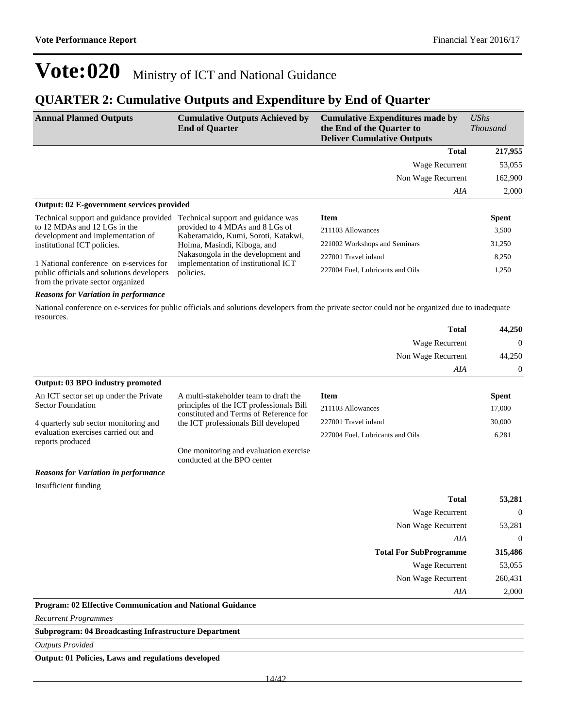### **QUARTER 2: Cumulative Outputs and Expenditure by End of Quarter**

| <b>Annual Planned Outputs</b>                                                                                             | <b>Cumulative Outputs Achieved by</b><br><b>End of Quarter</b>                                               | <b>Cumulative Expenditures made by</b><br>the End of the Quarter to<br><b>Deliver Cumulative Outputs</b> | $\mathit{UShs}$<br><i>Thousand</i> |
|---------------------------------------------------------------------------------------------------------------------------|--------------------------------------------------------------------------------------------------------------|----------------------------------------------------------------------------------------------------------|------------------------------------|
|                                                                                                                           |                                                                                                              | <b>Total</b>                                                                                             | 217,955                            |
|                                                                                                                           |                                                                                                              | Wage Recurrent                                                                                           | 53,055                             |
|                                                                                                                           |                                                                                                              | Non Wage Recurrent                                                                                       | 162,900                            |
|                                                                                                                           |                                                                                                              | AIA                                                                                                      | 2,000                              |
| Output: 02 E-government services provided                                                                                 |                                                                                                              |                                                                                                          |                                    |
| Technical support and guidance provided<br>to 12 MDAs and 12 LGs in the                                                   | Technical support and guidance was<br>provided to 4 MDAs and 8 LGs of<br>Kaberamaido, Kumi, Soroti, Katakwi, | <b>Item</b>                                                                                              | <b>Spent</b>                       |
|                                                                                                                           |                                                                                                              | 211103 Allowances                                                                                        | 3,500                              |
| development and implementation of<br>institutional ICT policies.                                                          | Hoima, Masindi, Kiboga, and                                                                                  | 221002 Workshops and Seminars                                                                            | 31,250                             |
|                                                                                                                           | Nakasongola in the development and                                                                           | 227001 Travel inland                                                                                     | 8,250                              |
| 1 National conference on e-services for<br>public officials and solutions developers<br>from the private sector organized | implementation of institutional ICT<br>policies.                                                             | 227004 Fuel, Lubricants and Oils                                                                         | 1,250                              |
| <b>Reasons for Variation in performance</b>                                                                               |                                                                                                              |                                                                                                          |                                    |

National conference on e-services for public officials and solutions developers from the private sector could not be organized due to inadequate resources.

| <b>Total</b>                            | 44,250         |
|-----------------------------------------|----------------|
| Wage Recurrent                          | $\overline{0}$ |
| Non Wage Recurrent                      | 44,250         |
| AIA                                     | $\overline{0}$ |
| <b>Output: 03 BPO industry promoted</b> |                |

| An ICT sector set up under the Private                   | A multi-stakeholder team to draft the                                              | <b>Item</b>                      |              | <b>Spent</b> |
|----------------------------------------------------------|------------------------------------------------------------------------------------|----------------------------------|--------------|--------------|
| Sector Foundation                                        | principles of the ICT professionals Bill<br>constituted and Terms of Reference for | 211103 Allowances                |              | 17,000       |
| 4 quarterly sub sector monitoring and                    | the ICT professionals Bill developed                                               | 227001 Travel inland             |              | 30,000       |
| evaluation exercises carried out and<br>reports produced |                                                                                    | 227004 Fuel, Lubricants and Oils |              | 6,281        |
|                                                          | One monitoring and evaluation exercise<br>conducted at the BPO center              |                                  |              |              |
| <b>Reasons for Variation in performance</b>              |                                                                                    |                                  |              |              |
| Insufficient funding                                     |                                                                                    |                                  |              |              |
|                                                          |                                                                                    |                                  | <b>Total</b> | 53,281       |
|                                                          |                                                                                    |                                  |              |              |

| $\cdots$       | .                                               |                             |
|----------------|-------------------------------------------------|-----------------------------|
| $\overline{0}$ | Wage Recurrent                                  |                             |
| 53,281         | Non Wage Recurrent                              |                             |
| $\overline{0}$ | AIA                                             |                             |
| 315,486        | <b>Total For SubProgramme</b>                   |                             |
| 53,055         | <b>Wage Recurrent</b>                           |                             |
| 260,431        | Non Wage Recurrent                              |                             |
| 2,000          | AIA                                             |                             |
|                | $\cdots$<br>$\ddot{\phantom{a}}$<br>.<br>$\sim$ | $\sim$ $\sim$ $\sim$ $\sim$ |

**Program: 02 Effective Communication and National Guidance**

*Recurrent Programmes*

**Subprogram: 04 Broadcasting Infrastructure Department**

*Outputs Provided*

**Output: 01 Policies, Laws and regulations developed**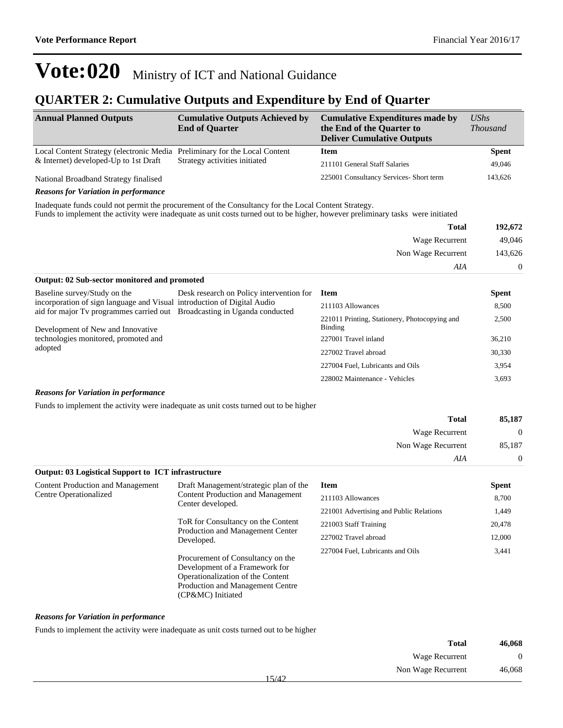### **QUARTER 2: Cumulative Outputs and Expenditure by End of Quarter**

| <b>Annual Planned Outputs</b>                                                                        | <b>Cumulative Outputs Achieved by</b><br><b>End of Quarter</b>           | <b>Cumulative Expenditures made by</b><br>the End of the Quarter to<br><b>Deliver Cumulative Outputs</b>                        | <b>UShs</b><br><b>Thousand</b> |
|------------------------------------------------------------------------------------------------------|--------------------------------------------------------------------------|---------------------------------------------------------------------------------------------------------------------------------|--------------------------------|
| Local Content Strategy (electronic Media Preliminary for the Local Content                           |                                                                          | <b>Item</b>                                                                                                                     | <b>Spent</b>                   |
| $&$ Internet) developed-Up to 1st Draft                                                              | Strategy activities initiated                                            | 211101 General Staff Salaries                                                                                                   | 49,046                         |
| National Broadband Strategy finalised                                                                |                                                                          | 225001 Consultancy Services- Short term                                                                                         | 143,626                        |
| <b>Reasons for Variation in performance</b>                                                          |                                                                          |                                                                                                                                 |                                |
| Inadequate funds could not permit the procurement of the Consultancy for the Local Content Strategy. |                                                                          | Funds to implement the activity were inadequate as unit costs turned out to be higher, however preliminary tasks were initiated |                                |
|                                                                                                      |                                                                          | <b>Total</b>                                                                                                                    | 192,672                        |
|                                                                                                      |                                                                          | Wage Recurrent                                                                                                                  | 49,046                         |
|                                                                                                      |                                                                          | Non Wage Recurrent                                                                                                              | 143,626                        |
|                                                                                                      |                                                                          | AIA                                                                                                                             | $\Omega$                       |
| Output: 02 Sub-sector monitored and promoted                                                         |                                                                          |                                                                                                                                 |                                |
| Baseline survey/Study on the                                                                         | Desk research on Policy intervention for                                 | <b>Item</b>                                                                                                                     | <b>Spent</b>                   |
| incorporation of sign language and Visual introduction of Digital Audio                              | aid for major Tv programmes carried out Broadcasting in Uganda conducted | 211103 Allowances                                                                                                               | 8,500                          |
| Development of New and Innovative<br>technologies monitored, promoted and<br>adopted                 |                                                                          | 221011 Printing, Stationery, Photocopying and<br><b>Binding</b>                                                                 | 2,500                          |
|                                                                                                      |                                                                          | 227001 Travel inland                                                                                                            | 36,210                         |
|                                                                                                      |                                                                          | 227002 Travel abroad                                                                                                            | 30,330                         |
|                                                                                                      |                                                                          | 227004 Fuel, Lubricants and Oils                                                                                                | 3,954                          |
|                                                                                                      |                                                                          | 228002 Maintenance - Vehicles                                                                                                   | 3,693                          |

#### *Reasons for Variation in performance*

Funds to implement the activity were inadequate as unit costs turned out to be higher

| 85,187       | <b>Total</b>       |
|--------------|--------------------|
| $\mathbf{0}$ | Wage Recurrent     |
| 85,187       | Non Wage Recurrent |
| $\mathbf{0}$ | AIA                |

| <b>Output: 03 Logistical Support to ICT infrastructure</b>         |                                                                                                                                                                   |                                         |              |
|--------------------------------------------------------------------|-------------------------------------------------------------------------------------------------------------------------------------------------------------------|-----------------------------------------|--------------|
| <b>Content Production and Management</b><br>Centre Operationalized | Draft Management/strategic plan of the<br><b>Content Production and Management</b><br>Center developed.                                                           | <b>Item</b>                             | <b>Spent</b> |
|                                                                    |                                                                                                                                                                   | 211103 Allowances                       | 8,700        |
|                                                                    |                                                                                                                                                                   | 221001 Advertising and Public Relations | 1,449        |
|                                                                    | ToR for Consultancy on the Content<br>Production and Management Center<br>Developed.                                                                              | 221003 Staff Training                   | 20,478       |
|                                                                    |                                                                                                                                                                   | 227002 Travel abroad                    | 12,000       |
|                                                                    | Procurement of Consultancy on the<br>Development of a Framework for<br>Operationalization of the Content<br>Production and Management Centre<br>(CP&MC) Initiated | 227004 Fuel, Lubricants and Oils        | 3,441        |

#### *Reasons for Variation in performance*

Funds to implement the activity were inadequate as unit costs turned out to be higher

| 46,068         | <b>Total</b>                |  |
|----------------|-----------------------------|--|
| $\overline{0}$ | Wage Recurrent              |  |
| 46,068         | Non Wage Recurrent<br>15/12 |  |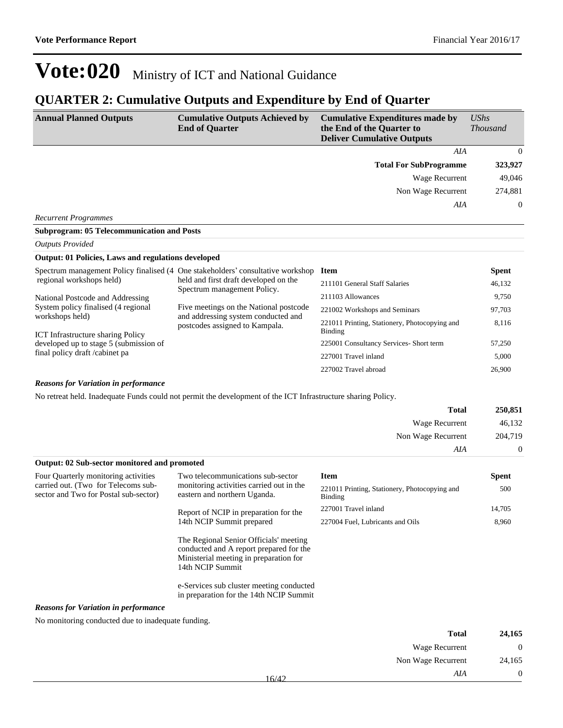### **QUARTER 2: Cumulative Outputs and Expenditure by End of Quarter**

| <b>Annual Planned Outputs</b>                                             | <b>Cumulative Outputs Achieved by</b><br><b>End of Quarter</b>                  | <b>Cumulative Expenditures made by</b><br>the End of the Quarter to<br><b>Deliver Cumulative Outputs</b> | <b>UShs</b><br><b>Thousand</b> |
|---------------------------------------------------------------------------|---------------------------------------------------------------------------------|----------------------------------------------------------------------------------------------------------|--------------------------------|
|                                                                           |                                                                                 | AIA                                                                                                      | $\theta$                       |
|                                                                           |                                                                                 | <b>Total For SubProgramme</b>                                                                            | 323,927                        |
|                                                                           |                                                                                 | Wage Recurrent                                                                                           | 49,046                         |
|                                                                           |                                                                                 | Non Wage Recurrent                                                                                       | 274,881                        |
|                                                                           |                                                                                 | AIA                                                                                                      | $\mathbf{0}$                   |
| <b>Recurrent Programmes</b>                                               |                                                                                 |                                                                                                          |                                |
| <b>Subprogram: 05 Telecommunication and Posts</b>                         |                                                                                 |                                                                                                          |                                |
| <b>Outputs Provided</b>                                                   |                                                                                 |                                                                                                          |                                |
| <b>Output: 01 Policies, Laws and regulations developed</b>                |                                                                                 |                                                                                                          |                                |
|                                                                           | Spectrum management Policy finalised (4 One stakeholders' consultative workshop | <b>Item</b>                                                                                              | <b>Spent</b>                   |
| regional workshops held)                                                  | held and first draft developed on the<br>Spectrum management Policy.            | 211101 General Staff Salaries                                                                            | 46,132                         |
| National Postcode and Addressing                                          |                                                                                 | 211103 Allowances                                                                                        | 9,750                          |
| System policy finalised (4 regional                                       | Five meetings on the National postcode                                          | 221002 Workshops and Seminars                                                                            | 97,703                         |
| workshops held)<br><b>ICT</b> Infrastructure sharing Policy               | and addressing system conducted and<br>postcodes assigned to Kampala.           | 221011 Printing, Stationery, Photocopying and<br><b>Binding</b>                                          | 8,116                          |
| developed up to stage 5 (submission of<br>final policy draft / cabinet pa |                                                                                 | 225001 Consultancy Services- Short term                                                                  | 57,250                         |
|                                                                           |                                                                                 | 227001 Travel inland                                                                                     | 5,000                          |
|                                                                           |                                                                                 | 227002 Travel abroad                                                                                     | 26,900                         |

*Reasons for Variation in performance*

No retreat held. Inadequate Funds could not permit the development of the ICT Infrastructure sharing Policy.

| <b>Total</b>                                 | 250,851  |
|----------------------------------------------|----------|
| Wage Recurrent                               | 46,132   |
| Non Wage Recurrent                           | 204,719  |
| AIA                                          | $\theta$ |
| Output: 02 Sub-sector monitored and promoted |          |

| Four Quarterly monitoring activities                                         | Two telecommunications sub-sector<br>monitoring activities carried out in the<br>eastern and northern Uganda.                                   | Item                                                     | <b>Spent</b> |
|------------------------------------------------------------------------------|-------------------------------------------------------------------------------------------------------------------------------------------------|----------------------------------------------------------|--------------|
| carried out. (Two for Telecoms sub-<br>sector and Two for Postal sub-sector) |                                                                                                                                                 | 221011 Printing, Stationery, Photocopying and<br>Binding | 500          |
|                                                                              | Report of NCIP in preparation for the                                                                                                           | 227001 Travel inland                                     | 14,705       |
|                                                                              | 14th NCIP Summit prepared                                                                                                                       | 227004 Fuel, Lubricants and Oils                         | 8,960        |
|                                                                              | The Regional Senior Officials' meeting<br>conducted and A report prepared for the<br>Ministerial meeting in preparation for<br>14th NCIP Summit |                                                          |              |
|                                                                              | e-Services sub cluster meeting conducted<br>in preparation for the 14th NCIP Summit                                                             |                                                          |              |
| <b>Reasons for Variation in performance</b>                                  |                                                                                                                                                 |                                                          |              |

No monitoring conducted due to inadequate funding.

| 24,165       | <b>Total</b>          |       |
|--------------|-----------------------|-------|
| $\mathbf{0}$ | <b>Wage Recurrent</b> |       |
| 24,165       | Non Wage Recurrent    |       |
| $\mathbf{0}$ | AIA                   | 16/42 |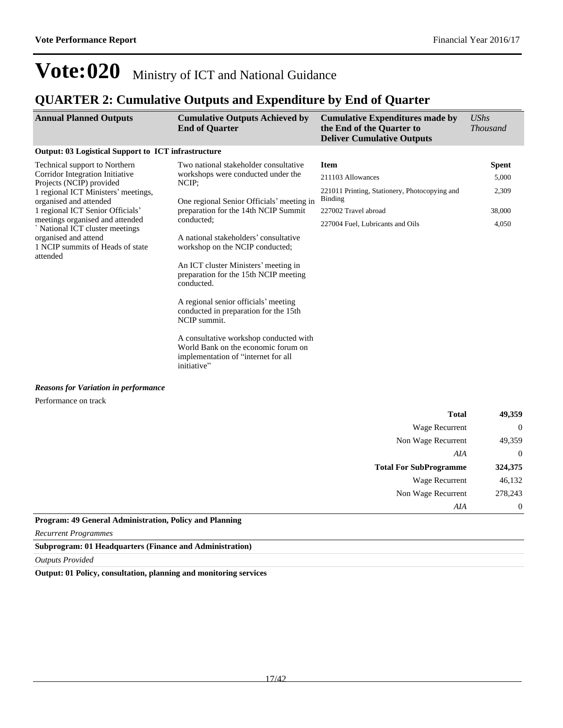*AIA* 0

# **Vote:020** Ministry of ICT and National Guidance

### **QUARTER 2: Cumulative Outputs and Expenditure by End of Quarter**

| <b>Annual Planned Outputs</b>                                        | <b>Cumulative Outputs Achieved by</b><br><b>End of Quarter</b>                                                                      | <b>Cumulative Expenditures made by</b><br>the End of the Quarter to<br><b>Deliver Cumulative Outputs</b> | <b>UShs</b><br><b>Thousand</b> |
|----------------------------------------------------------------------|-------------------------------------------------------------------------------------------------------------------------------------|----------------------------------------------------------------------------------------------------------|--------------------------------|
| <b>Output: 03 Logistical Support to ICT infrastructure</b>           |                                                                                                                                     |                                                                                                          |                                |
| Technical support to Northern                                        | Two national stakeholder consultative                                                                                               | <b>Item</b>                                                                                              | <b>Spent</b>                   |
| Corridor Integration Initiative<br>Projects (NCIP) provided          | workshops were conducted under the<br>NCIP;<br>One regional Senior Officials' meeting in                                            | 211103 Allowances                                                                                        | 5,000                          |
| 1 regional ICT Ministers' meetings,<br>organised and attended        |                                                                                                                                     | 221011 Printing, Stationery, Photocopying and<br>Binding                                                 | 2,309                          |
| 1 regional ICT Senior Officials'                                     | preparation for the 14th NCIP Summit                                                                                                | 227002 Travel abroad                                                                                     | 38,000                         |
| meetings organised and attended<br>`National ICT cluster meetings    | conducted;                                                                                                                          | 227004 Fuel, Lubricants and Oils                                                                         | 4,050                          |
| organised and attend<br>1 NCIP summits of Heads of state<br>attended | A national stakeholders' consultative<br>workshop on the NCIP conducted;                                                            |                                                                                                          |                                |
|                                                                      | An ICT cluster Ministers' meeting in<br>preparation for the 15th NCIP meeting<br>conducted.                                         |                                                                                                          |                                |
|                                                                      | A regional senior officials' meeting<br>conducted in preparation for the 15th<br>NCIP summit.                                       |                                                                                                          |                                |
|                                                                      | A consultative workshop conducted with<br>World Bank on the economic forum on<br>implementation of "internet for all<br>initiative" |                                                                                                          |                                |
| <b>Reasons for Variation in performance</b>                          |                                                                                                                                     |                                                                                                          |                                |
| Performance on track                                                 |                                                                                                                                     |                                                                                                          |                                |
|                                                                      |                                                                                                                                     | <b>Total</b>                                                                                             | 49,359                         |
|                                                                      |                                                                                                                                     | Wage Recurrent                                                                                           | $\Omega$                       |
|                                                                      |                                                                                                                                     | Non Wage Recurrent                                                                                       | 49,359                         |
|                                                                      |                                                                                                                                     | AIA                                                                                                      | $\theta$                       |
|                                                                      |                                                                                                                                     | <b>Total For SubProgramme</b>                                                                            | 324,375                        |
|                                                                      |                                                                                                                                     | Wage Recurrent                                                                                           | 46,132                         |
|                                                                      |                                                                                                                                     | Non Wage Recurrent                                                                                       | 278.243                        |

#### **Program: 49 General Administration, Policy and Planning**

*Recurrent Programmes*

#### **Subprogram: 01 Headquarters (Finance and Administration)**

*Outputs Provided*

**Output: 01 Policy, consultation, planning and monitoring services**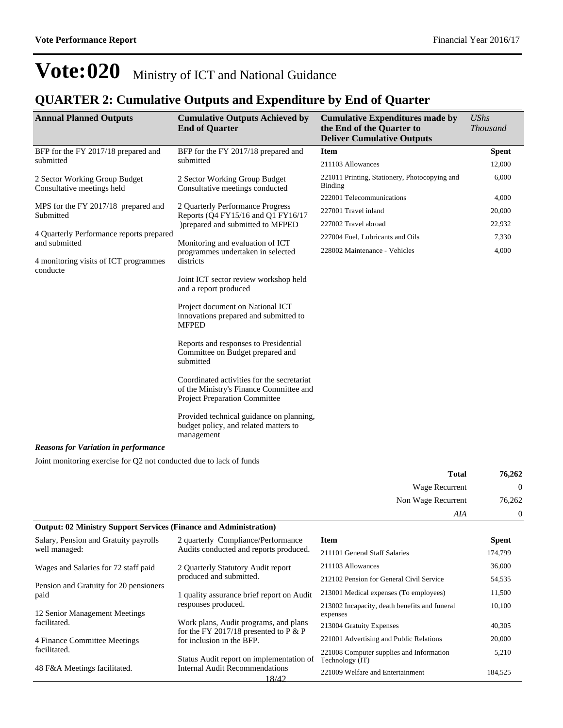### **QUARTER 2: Cumulative Outputs and Expenditure by End of Quarter**

| <b>Annual Planned Outputs</b>                                                                | <b>Cumulative Outputs Achieved by</b><br><b>End of Quarter</b>                                                         | <b>Cumulative Expenditures made by</b><br>the End of the Quarter to<br><b>Deliver Cumulative Outputs</b> | UShs<br><b>Thousand</b> |
|----------------------------------------------------------------------------------------------|------------------------------------------------------------------------------------------------------------------------|----------------------------------------------------------------------------------------------------------|-------------------------|
| BFP for the FY 2017/18 prepared and                                                          | BFP for the FY 2017/18 prepared and                                                                                    | <b>Item</b>                                                                                              | <b>Spent</b>            |
| submitted                                                                                    | submitted                                                                                                              | 211103 Allowances                                                                                        | 12,000                  |
| 2 Sector Working Group Budget<br>Consultative meetings held                                  | 2 Sector Working Group Budget<br>Consultative meetings conducted                                                       | 221011 Printing, Stationery, Photocopying and<br><b>Binding</b>                                          | 6,000                   |
|                                                                                              |                                                                                                                        | 222001 Telecommunications                                                                                | 4,000                   |
| MPS for the FY 2017/18 prepared and<br>Submitted                                             | 2 Quarterly Performance Progress<br>Reports (Q4 FY15/16 and Q1 FY16/17                                                 | 227001 Travel inland                                                                                     | 20,000                  |
|                                                                                              | )prepared and submitted to MFPED                                                                                       | 227002 Travel abroad                                                                                     | 22,932                  |
| 4 Quarterly Performance reports prepared<br>and submitted                                    | Monitoring and evaluation of ICT                                                                                       | 227004 Fuel, Lubricants and Oils                                                                         | 7,330                   |
|                                                                                              | programmes undertaken in selected                                                                                      | 228002 Maintenance - Vehicles                                                                            | 4,000                   |
| 4 monitoring visits of ICT programmes                                                        | districts                                                                                                              |                                                                                                          |                         |
| conducte                                                                                     | Joint ICT sector review workshop held<br>and a report produced                                                         |                                                                                                          |                         |
|                                                                                              | Project document on National ICT<br>innovations prepared and submitted to<br><b>MFPED</b>                              |                                                                                                          |                         |
|                                                                                              | Reports and responses to Presidential<br>Committee on Budget prepared and<br>submitted                                 |                                                                                                          |                         |
|                                                                                              | Coordinated activities for the secretariat<br>of the Ministry's Finance Committee and<br>Project Preparation Committee |                                                                                                          |                         |
|                                                                                              | Provided technical guidance on planning,<br>budget policy, and related matters to<br>management                        |                                                                                                          |                         |
| <b>Reasons for Variation in performance</b>                                                  |                                                                                                                        |                                                                                                          |                         |
| $\mathbf{r}$ . The state $\mathbf{r}$ is the state $\mathbf{r}$ is the state of $\mathbf{r}$ |                                                                                                                        |                                                                                                          |                         |

Joint monitoring exercise for Q2 not conducted due to lack of funds

| 76,262   | <b>Total</b>          |
|----------|-----------------------|
| $\theta$ | <b>Wage Recurrent</b> |
| 76,262   | Non Wage Recurrent    |
| $\theta$ | AIA                   |

| <b>Output: 02 Ministry Support Services (Finance and Administration)</b> |                                                                                   |                                                             |              |  |
|--------------------------------------------------------------------------|-----------------------------------------------------------------------------------|-------------------------------------------------------------|--------------|--|
| Salary, Pension and Gratuity payrolls                                    | 2 quarterly Compliance/Performance                                                | <b>Item</b>                                                 | <b>Spent</b> |  |
| well managed:                                                            | Audits conducted and reports produced.                                            | 211101 General Staff Salaries                               | 174,799      |  |
| Wages and Salaries for 72 staff paid                                     | 2 Quarterly Statutory Audit report                                                | 211103 Allowances                                           | 36,000       |  |
|                                                                          | produced and submitted.                                                           | 212102 Pension for General Civil Service                    | 54,535       |  |
| Pension and Gratuity for 20 pensioners<br>paid                           | 1 quality assurance brief report on Audit                                         | 213001 Medical expenses (To employees)                      | 11,500       |  |
| 12 Senior Management Meetings                                            | responses produced.                                                               | 213002 Incapacity, death benefits and funeral<br>expenses   | 10,100       |  |
| facilitated.                                                             | Work plans, Audit programs, and plans<br>for the FY 2017/18 presented to $P \& P$ | 213004 Gratuity Expenses                                    | 40,305       |  |
| 4 Finance Committee Meetings                                             | for inclusion in the BFP.                                                         | 221001 Advertising and Public Relations                     | 20,000       |  |
| facilitated.                                                             | Status Audit report on implementation of                                          | 221008 Computer supplies and Information<br>Technology (IT) | 5,210        |  |
| 48 F&A Meetings facilitated.                                             | Internal Audit Recommendations<br>18/42                                           | 221009 Welfare and Entertainment                            | 184.525      |  |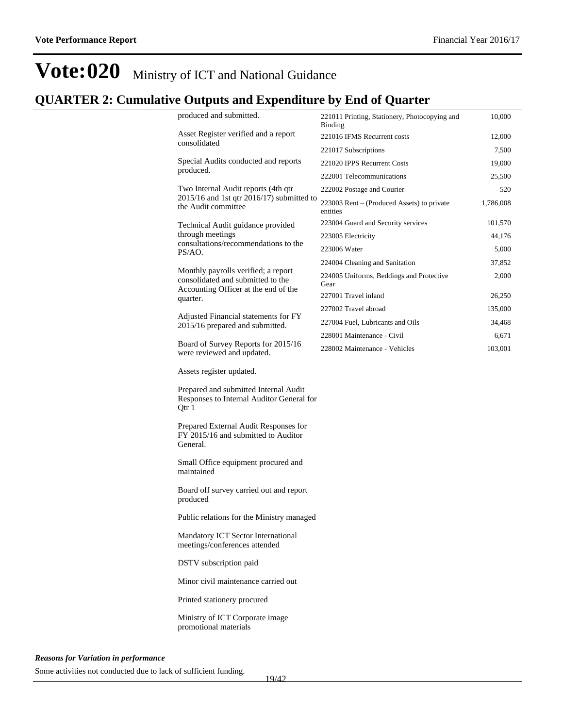### **QUARTER 2: Cumulative Outputs and Expenditure by End of Quarter**

|                     | produced and submitted.                                                                                          | 221011 Printing, Stationery, Photocopying and<br><b>Binding</b> | 10,000    |
|---------------------|------------------------------------------------------------------------------------------------------------------|-----------------------------------------------------------------|-----------|
|                     | Asset Register verified and a report                                                                             | 221016 IFMS Recurrent costs                                     | 12,000    |
|                     | consolidated                                                                                                     | 221017 Subscriptions                                            | 7,500     |
|                     | Special Audits conducted and reports                                                                             | 221020 IPPS Recurrent Costs                                     | 19,000    |
|                     | produced.                                                                                                        | 222001 Telecommunications                                       | 25,500    |
|                     | Two Internal Audit reports (4th qtr                                                                              | 222002 Postage and Courier                                      | 520       |
|                     | 2015/16 and 1st qtr 2016/17) submitted to<br>the Audit committee                                                 | 223003 Rent – (Produced Assets) to private<br>entities          | 1,786,008 |
|                     | Technical Audit guidance provided                                                                                | 223004 Guard and Security services                              | 101,570   |
|                     | through meetings                                                                                                 | 223005 Electricity                                              | 44,176    |
|                     | consultations/recommendations to the<br>PS/AO.                                                                   | 223006 Water                                                    | 5,000     |
|                     |                                                                                                                  | 224004 Cleaning and Sanitation                                  | 37,852    |
|                     | Monthly payrolls verified; a report<br>consolidated and submitted to the<br>Accounting Officer at the end of the | 224005 Uniforms, Beddings and Protective<br>Gear                | 2,000     |
|                     | quarter.                                                                                                         | 227001 Travel inland                                            | 26,250    |
|                     | Adjusted Financial statements for FY                                                                             | 227002 Travel abroad                                            | 135,000   |
|                     | 2015/16 prepared and submitted.                                                                                  | 227004 Fuel, Lubricants and Oils                                | 34,468    |
|                     |                                                                                                                  | 228001 Maintenance - Civil                                      | 6,671     |
|                     | Board of Survey Reports for 2015/16<br>were reviewed and updated.                                                | 228002 Maintenance - Vehicles                                   | 103,001   |
|                     | Assets register updated.                                                                                         |                                                                 |           |
|                     | Prepared and submitted Internal Audit<br>Responses to Internal Auditor General for<br>Qtr 1                      |                                                                 |           |
|                     | Prepared External Audit Responses for<br>FY 2015/16 and submitted to Auditor<br>General.                         |                                                                 |           |
|                     | Small Office equipment procured and<br>maintained                                                                |                                                                 |           |
|                     | Board off survey carried out and report<br>produced                                                              |                                                                 |           |
|                     | Public relations for the Ministry managed                                                                        |                                                                 |           |
|                     | Mandatory ICT Sector International<br>meetings/conferences attended                                              |                                                                 |           |
|                     | DSTV subscription paid                                                                                           |                                                                 |           |
|                     | Minor civil maintenance carried out                                                                              |                                                                 |           |
|                     | Printed stationery procured                                                                                      |                                                                 |           |
|                     | Ministry of ICT Corporate image<br>promotional materials                                                         |                                                                 |           |
| tion in norformance |                                                                                                                  |                                                                 |           |

*Reasons for Variation in performance*

Some activities not conducted due to lack of sufficient funding.

19/42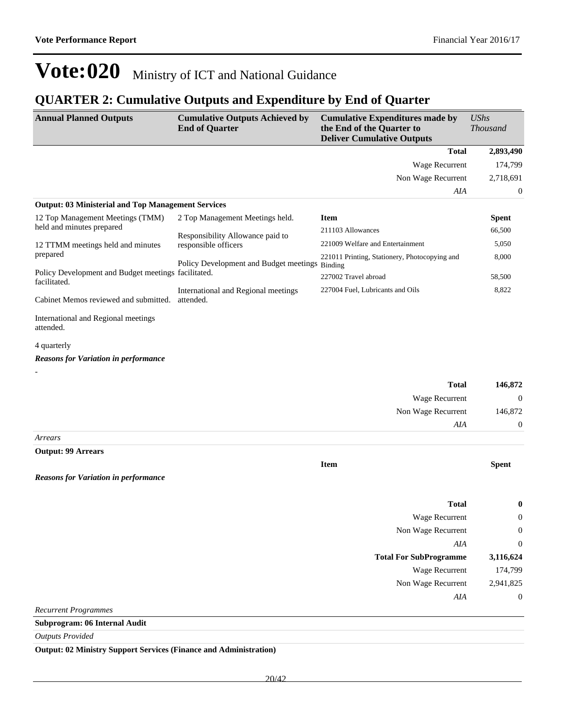### **QUARTER 2: Cumulative Outputs and Expenditure by End of Quarter**

| <b>Annual Planned Outputs</b>                                       | <b>Cumulative Outputs Achieved by</b><br><b>End of Quarter</b> | <b>Cumulative Expenditures made by</b><br>the End of the Quarter to<br><b>Deliver Cumulative Outputs</b> | <b>UShs</b><br><b>Thousand</b> |
|---------------------------------------------------------------------|----------------------------------------------------------------|----------------------------------------------------------------------------------------------------------|--------------------------------|
|                                                                     |                                                                | <b>Total</b>                                                                                             | 2,893,490                      |
|                                                                     |                                                                | Wage Recurrent                                                                                           | 174,799                        |
|                                                                     |                                                                | Non Wage Recurrent                                                                                       | 2,718,691                      |
|                                                                     |                                                                | AIA                                                                                                      | 0                              |
| <b>Output: 03 Ministerial and Top Management Services</b>           |                                                                |                                                                                                          |                                |
| 12 Top Management Meetings (TMM)                                    | 2 Top Management Meetings held.                                | <b>Item</b>                                                                                              | <b>Spent</b>                   |
| held and minutes prepared                                           | Responsibility Allowance paid to                               | 211103 Allowances                                                                                        | 66,500                         |
| 12 TTMM meetings held and minutes                                   | responsible officers                                           | 221009 Welfare and Entertainment                                                                         | 5,050                          |
| prepared                                                            | Policy Development and Budget meetings Binding                 | 221011 Printing, Stationery, Photocopying and                                                            | 8,000                          |
| Policy Development and Budget meetings facilitated.<br>facilitated. |                                                                | 227002 Travel abroad                                                                                     | 58,500                         |
| Cabinet Memos reviewed and submitted.                               | International and Regional meetings<br>attended.               | 227004 Fuel, Lubricants and Oils                                                                         | 8,822                          |
| International and Regional meetings<br>attended.                    |                                                                |                                                                                                          |                                |
| 4 quarterly                                                         |                                                                |                                                                                                          |                                |
| <b>Reasons for Variation in performance</b>                         |                                                                |                                                                                                          |                                |
|                                                                     |                                                                |                                                                                                          |                                |
|                                                                     |                                                                | <b>Total</b>                                                                                             | 146,872                        |
|                                                                     |                                                                | Wage Recurrent                                                                                           | $\mathbf{0}$                   |
|                                                                     |                                                                | Non Wage Recurrent                                                                                       | 146,872                        |
|                                                                     |                                                                | AIA                                                                                                      | $\boldsymbol{0}$               |
| Arrears                                                             |                                                                |                                                                                                          |                                |
| <b>Output: 99 Arrears</b>                                           |                                                                |                                                                                                          |                                |
|                                                                     |                                                                | <b>Item</b>                                                                                              | <b>Spent</b>                   |
| <b>Reasons for Variation in performance</b>                         |                                                                |                                                                                                          |                                |
|                                                                     |                                                                | <b>Total</b>                                                                                             | 0                              |
|                                                                     |                                                                | Wage Recurrent                                                                                           | 0                              |
|                                                                     |                                                                | Non Wage Recurrent                                                                                       | $\boldsymbol{0}$               |
|                                                                     |                                                                | AIA                                                                                                      | $\boldsymbol{0}$               |
|                                                                     |                                                                | <b>Total For SubProgramme</b>                                                                            | 3,116,624                      |
|                                                                     |                                                                | Wage Recurrent                                                                                           | 174,799                        |
|                                                                     |                                                                | Non Wage Recurrent                                                                                       | 2,941,825                      |
|                                                                     |                                                                | AIA                                                                                                      | $\boldsymbol{0}$               |
| <b>Recurrent Programmes</b>                                         |                                                                |                                                                                                          |                                |
| Subprogram: 06 Internal Audit                                       |                                                                |                                                                                                          |                                |
| <b>Outputs Provided</b>                                             |                                                                |                                                                                                          |                                |

**Output: 02 Ministry Support Services (Finance and Administration)**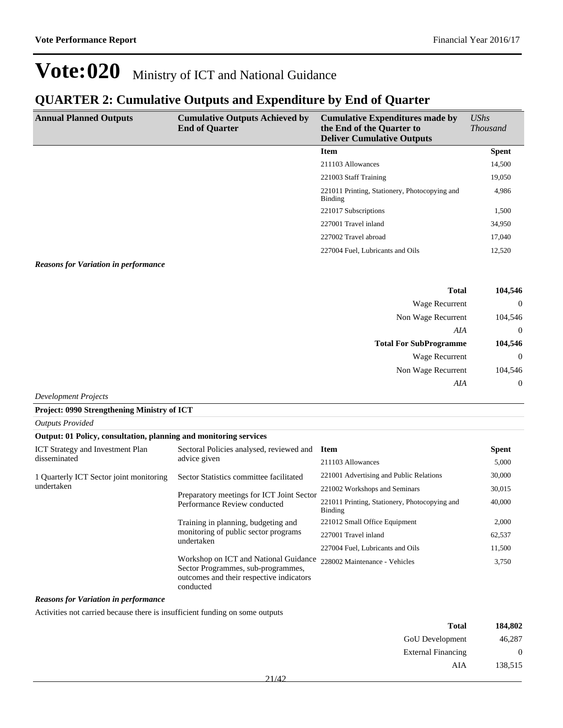### **QUARTER 2: Cumulative Outputs and Expenditure by End of Quarter**

| <b>Annual Planned Outputs</b> | <b>Cumulative Outputs Achieved by</b><br><b>End of Quarter</b> | <b>Cumulative Expenditures made by</b><br>the End of the Quarter to<br><b>Deliver Cumulative Outputs</b> | $\mathit{UShs}$<br><i>Thousand</i> |
|-------------------------------|----------------------------------------------------------------|----------------------------------------------------------------------------------------------------------|------------------------------------|
|                               |                                                                | <b>Item</b>                                                                                              | <b>Spent</b>                       |
|                               |                                                                | 211103 Allowances                                                                                        | 14,500                             |
|                               |                                                                | 221003 Staff Training                                                                                    | 19,050                             |
|                               |                                                                | 221011 Printing, Stationery, Photocopying and<br>Binding                                                 | 4,986                              |
|                               |                                                                | 221017 Subscriptions                                                                                     | 1,500                              |
|                               |                                                                | 227001 Travel inland                                                                                     | 34,950                             |
|                               |                                                                | 227002 Travel abroad                                                                                     | 17,040                             |
|                               |                                                                | 227004 Fuel, Lubricants and Oils                                                                         | 12,520                             |

#### *Reasons for Variation in performance*

| 104,546        | <b>Total</b>                  |
|----------------|-------------------------------|
| $\mathbf{0}$   | Wage Recurrent                |
| 104,546        | Non Wage Recurrent            |
| $\mathbf{0}$   | AIA                           |
| 104,546        | <b>Total For SubProgramme</b> |
| $\mathbf{0}$   | <b>Wage Recurrent</b>         |
| 104,546        | Non Wage Recurrent            |
| $\overline{0}$ | AIA                           |

*Development Projects*

*Outputs Provided*

#### **Project: 0990 Strengthening Ministry of ICT**

| Output: 01 Policy, consultation, planning and monitoring services |                                                                                                                                      |                                                          |              |
|-------------------------------------------------------------------|--------------------------------------------------------------------------------------------------------------------------------------|----------------------------------------------------------|--------------|
| <b>ICT</b> Strategy and Investment Plan                           | Sectoral Policies analysed, reviewed and Item                                                                                        |                                                          | <b>Spent</b> |
| disseminated                                                      | advice given                                                                                                                         | 211103 Allowances                                        | 5,000        |
| 1 Quarterly ICT Sector joint monitoring                           | Sector Statistics committee facilitated                                                                                              | 221001 Advertising and Public Relations                  | 30,000       |
| undertaken                                                        | Preparatory meetings for ICT Joint Sector                                                                                            | 221002 Workshops and Seminars                            | 30,015       |
|                                                                   | Performance Review conducted                                                                                                         | 221011 Printing, Stationery, Photocopying and<br>Binding | 40,000       |
|                                                                   | Training in planning, budgeting and<br>monitoring of public sector programs<br>undertaken                                            | 221012 Small Office Equipment                            | 2,000        |
|                                                                   |                                                                                                                                      | 227001 Travel inland                                     | 62,537       |
|                                                                   |                                                                                                                                      | 227004 Fuel, Lubricants and Oils                         | 11,500       |
|                                                                   | Workshop on ICT and National Guidance<br>Sector Programmes, sub-programmes,<br>outcomes and their respective indicators<br>conducted | 228002 Maintenance - Vehicles                            | 3,750        |

*Reasons for Variation in performance*

Activities not carried because there is insufficient funding on some outputs

| 184,802          | <b>Total</b>              |  |
|------------------|---------------------------|--|
| 46,287           | GoU Development           |  |
| $\boldsymbol{0}$ | <b>External Financing</b> |  |
| 138,515          | AIA                       |  |
|                  |                           |  |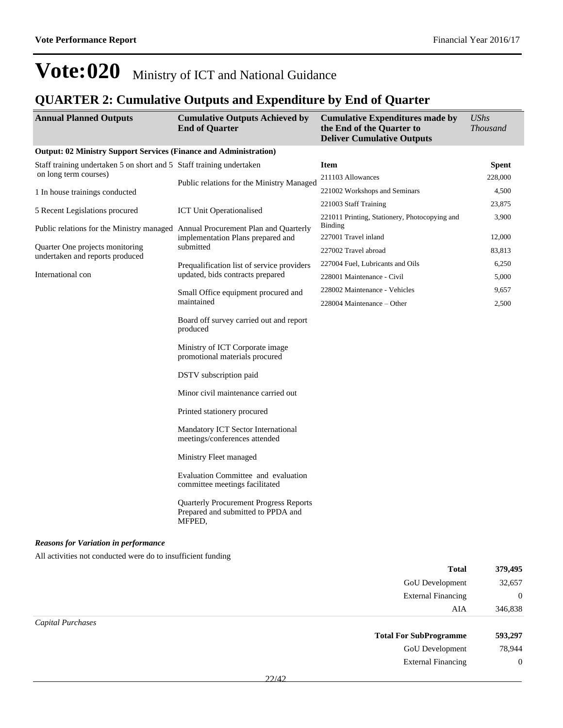### **QUARTER 2: Cumulative Outputs and Expenditure by End of Quarter**

| <b>Annual Planned Outputs</b>                                                   | <b>Cumulative Outputs Achieved by</b><br><b>End of Quarter</b>                                | <b>Cumulative Expenditures made by</b><br>the End of the Quarter to<br><b>Deliver Cumulative Outputs</b> | UShs<br><b>Thousand</b> |
|---------------------------------------------------------------------------------|-----------------------------------------------------------------------------------------------|----------------------------------------------------------------------------------------------------------|-------------------------|
| <b>Output: 02 Ministry Support Services (Finance and Administration)</b>        |                                                                                               |                                                                                                          |                         |
| Staff training undertaken 5 on short and 5 Staff training undertaken            |                                                                                               | <b>Item</b>                                                                                              | <b>Spent</b>            |
| on long term courses)                                                           | Public relations for the Ministry Managed                                                     | 211103 Allowances                                                                                        | 228,000                 |
| 1 In house trainings conducted                                                  |                                                                                               | 221002 Workshops and Seminars                                                                            | 4,500                   |
| 5 Recent Legislations procured                                                  | <b>ICT Unit Operationalised</b>                                                               | 221003 Staff Training                                                                                    | 23,875                  |
| Public relations for the Ministry managed Annual Procurement Plan and Quarterly |                                                                                               | 221011 Printing, Stationery, Photocopying and<br><b>Binding</b>                                          | 3,900                   |
|                                                                                 | implementation Plans prepared and                                                             | 227001 Travel inland                                                                                     | 12,000                  |
| Quarter One projects monitoring<br>undertaken and reports produced              | submitted                                                                                     | 227002 Travel abroad                                                                                     | 83,813                  |
|                                                                                 | Prequalification list of service providers                                                    | 227004 Fuel, Lubricants and Oils                                                                         | 6,250                   |
| International con                                                               | updated, bids contracts prepared                                                              | 228001 Maintenance - Civil                                                                               | 5,000                   |
|                                                                                 | Small Office equipment procured and                                                           | 228002 Maintenance - Vehicles                                                                            | 9,657                   |
|                                                                                 | maintained                                                                                    | 228004 Maintenance – Other                                                                               | 2,500                   |
|                                                                                 | Board off survey carried out and report<br>produced                                           |                                                                                                          |                         |
|                                                                                 | Ministry of ICT Corporate image<br>promotional materials procured                             |                                                                                                          |                         |
|                                                                                 | DSTV subscription paid                                                                        |                                                                                                          |                         |
|                                                                                 | Minor civil maintenance carried out                                                           |                                                                                                          |                         |
|                                                                                 | Printed stationery procured                                                                   |                                                                                                          |                         |
|                                                                                 | Mandatory ICT Sector International<br>meetings/conferences attended                           |                                                                                                          |                         |
|                                                                                 | Ministry Fleet managed                                                                        |                                                                                                          |                         |
|                                                                                 | Evaluation Committee and evaluation<br>committee meetings facilitated                         |                                                                                                          |                         |
|                                                                                 | <b>Quarterly Procurement Progress Reports</b><br>Prepared and submitted to PPDA and<br>MFPED, |                                                                                                          |                         |
| <b>Reasons for Variation in performance</b>                                     |                                                                                               |                                                                                                          |                         |
| All activities not conducted were do to insufficient funding                    |                                                                                               |                                                                                                          |                         |
|                                                                                 |                                                                                               | <b>Total</b>                                                                                             | 379,495                 |

| <b>GoU</b> Development        | 32,657         |
|-------------------------------|----------------|
| <b>External Financing</b>     | $\overline{0}$ |
|                               | 346,838<br>AIA |
| Capital Purchases             |                |
| <b>Total For SubProgramme</b> | 593,297        |
| GoU Development               | 78,944         |
| <b>External Financing</b>     | $\overline{0}$ |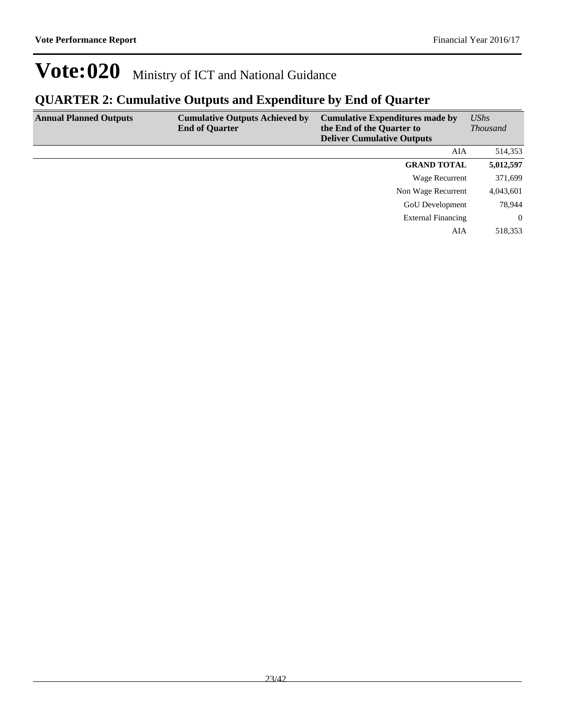### **QUARTER 2: Cumulative Outputs and Expenditure by End of Quarter**

| <b>Annual Planned Outputs</b> | <b>Cumulative Outputs Achieved by</b><br><b>End of Quarter</b> | <b>Cumulative Expenditures made by</b><br>the End of the Quarter to<br><b>Deliver Cumulative Outputs</b> | <b>UShs</b><br><b>Thousand</b> |
|-------------------------------|----------------------------------------------------------------|----------------------------------------------------------------------------------------------------------|--------------------------------|
|                               |                                                                | AIA                                                                                                      | 514,353                        |
|                               |                                                                | <b>GRAND TOTAL</b>                                                                                       | 5,012,597                      |
|                               |                                                                | Wage Recurrent                                                                                           | 371,699                        |
|                               |                                                                | Non Wage Recurrent                                                                                       | 4,043,601                      |
|                               |                                                                | <b>GoU</b> Development                                                                                   | 78,944                         |
|                               |                                                                | <b>External Financing</b>                                                                                | $\theta$                       |
|                               |                                                                | AIA                                                                                                      | 518,353                        |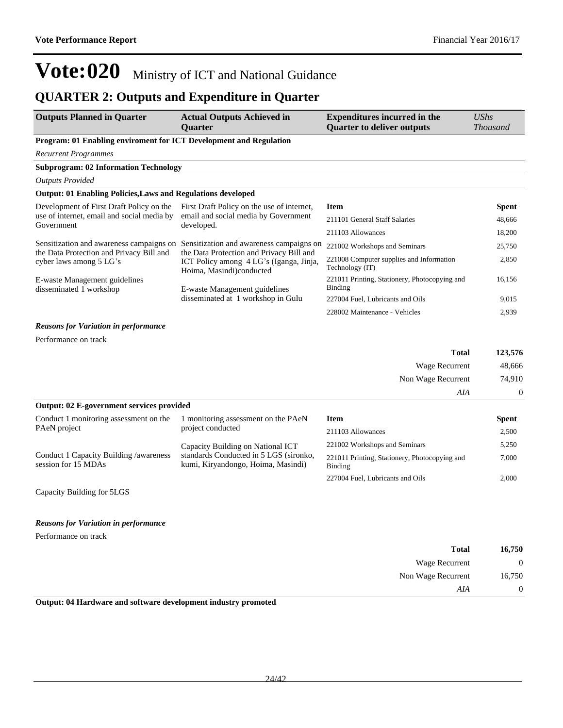### **QUARTER 2: Outputs and Expenditure in Quarter**

| <b>Outputs Planned in Quarter</b>                                   | <b>Actual Outputs Achieved in</b><br><b>Ouarter</b>                                                             | <b>Expenditures incurred in the</b><br><b>Quarter to deliver outputs</b> | UShs<br><b>Thousand</b> |
|---------------------------------------------------------------------|-----------------------------------------------------------------------------------------------------------------|--------------------------------------------------------------------------|-------------------------|
| Program: 01 Enabling enviroment for ICT Development and Regulation  |                                                                                                                 |                                                                          |                         |
| <b>Recurrent Programmes</b>                                         |                                                                                                                 |                                                                          |                         |
| <b>Subprogram: 02 Information Technology</b>                        |                                                                                                                 |                                                                          |                         |
| <b>Outputs Provided</b>                                             |                                                                                                                 |                                                                          |                         |
| <b>Output: 01 Enabling Policies, Laws and Regulations developed</b> |                                                                                                                 |                                                                          |                         |
| Development of First Draft Policy on the                            | First Draft Policy on the use of internet,                                                                      | <b>Item</b>                                                              | Spent                   |
| use of internet, email and social media by<br>Government            | email and social media by Government<br>developed.                                                              | 211101 General Staff Salaries                                            | 48,666                  |
|                                                                     |                                                                                                                 | 211103 Allowances                                                        | 18,200                  |
| Sensitization and awareness campaigns on                            | Sensitization and awareness campaigns on                                                                        | 221002 Workshops and Seminars                                            | 25,750                  |
| the Data Protection and Privacy Bill and<br>cyber laws among 5 LG's | the Data Protection and Privacy Bill and<br>ICT Policy among 4 LG's (Iganga, Jinja,<br>Hoima, Masindi)conducted | 221008 Computer supplies and Information<br>Technology (IT)              | 2,850                   |
| E-waste Management guidelines<br>disseminated 1 workshop            | E-waste Management guidelines                                                                                   | 221011 Printing, Stationery, Photocopying and<br><b>Binding</b>          | 16.156                  |
|                                                                     | disseminated at 1 workshop in Gulu                                                                              | 227004 Fuel, Lubricants and Oils                                         | 9,015                   |
|                                                                     |                                                                                                                 | 228002 Maintenance - Vehicles                                            | 2,939                   |
| <b>Reasons for Variation in performance</b>                         |                                                                                                                 |                                                                          |                         |
| Performance on track                                                |                                                                                                                 |                                                                          |                         |
|                                                                     |                                                                                                                 | <b>Total</b>                                                             | 123,576                 |
|                                                                     |                                                                                                                 | Wage Recurrent                                                           | 48,666                  |
|                                                                     |                                                                                                                 | Non Wage Recurrent                                                       | 74,910                  |
|                                                                     |                                                                                                                 | AIA                                                                      | $\theta$                |
| Output: 02 E-government services provided                           |                                                                                                                 |                                                                          |                         |
| Conduct 1 monitoring assessment on the                              | 1 monitoring assessment on the PAeN                                                                             | <b>Item</b>                                                              | <b>Spent</b>            |
| PAeN project                                                        | project conducted                                                                                               | $211103$ Allowances                                                      | 2.500                   |

|                                                               |                                                                              |                                                          | $  -$ |
|---------------------------------------------------------------|------------------------------------------------------------------------------|----------------------------------------------------------|-------|
| PAeN project                                                  | project conducted                                                            | 211103 Allowances                                        | 2.500 |
|                                                               | Capacity Building on National ICT                                            | 221002 Workshops and Seminars                            | 5.250 |
| Conduct 1 Capacity Building /awareness<br>session for 15 MDAs | standards Conducted in 5 LGS (sironko,<br>kumi, Kiryandongo, Hoima, Masindi) | 221011 Printing, Stationery, Photocopying and<br>Binding | 7.000 |
|                                                               |                                                                              | 227004 Fuel, Lubricants and Oils                         | 2.000 |

Capacity Building for 5LGS

#### *Reasons for Variation in performance*

Performance on track

| 16,750       | <b>Total</b>          |  |
|--------------|-----------------------|--|
| $\mathbf{0}$ | <b>Wage Recurrent</b> |  |
| 16,750       | Non Wage Recurrent    |  |
| $\theta$     | AIA                   |  |

**Output: 04 Hardware and software development industry promoted**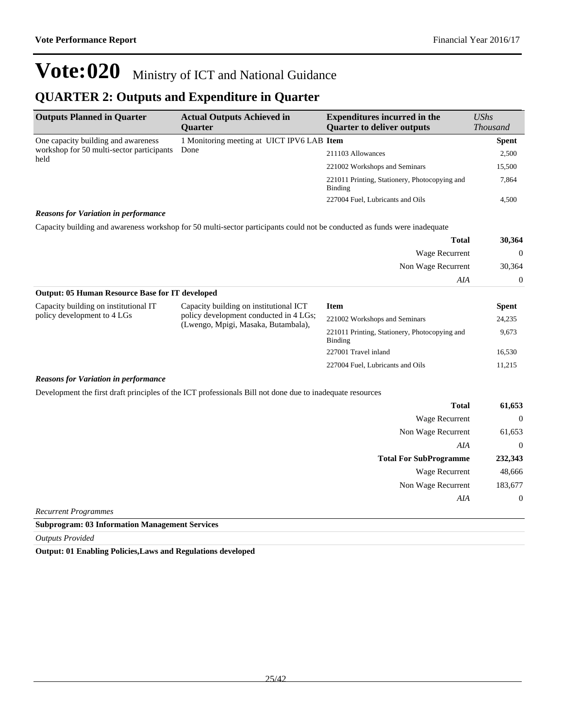### **QUARTER 2: Outputs and Expenditure in Quarter**

| <b>Outputs Planned in Quarter</b>                 | <b>Actual Outputs Achieved in</b><br><b>Ouarter</b> | <b>Expenditures incurred in the</b><br><b>Quarter to deliver outputs</b> | $\mathit{UShs}$<br><b>Thousand</b> |
|---------------------------------------------------|-----------------------------------------------------|--------------------------------------------------------------------------|------------------------------------|
| One capacity building and awareness               | 1 Monitoring meeting at UICT IPV6 LAB Item          |                                                                          | <b>Spent</b>                       |
| workshop for 50 multi-sector participants<br>held | Done                                                | 211103 Allowances                                                        | 2,500                              |
|                                                   |                                                     | 221002 Workshops and Seminars                                            | 15,500                             |
|                                                   |                                                     | 221011 Printing, Stationery, Photocopying and<br>Binding                 | 7,864                              |
|                                                   |                                                     | 227004 Fuel, Lubricants and Oils                                         | 4,500                              |

#### *Reasons for Variation in performance*

Capacity building and awareness workshop for 50 multi-sector participants could not be conducted as funds were inadequate

| 30,364           | <b>Total</b>          |
|------------------|-----------------------|
| $\boldsymbol{0}$ | <b>Wage Recurrent</b> |
| 30,364           | Non Wage Recurrent    |
| $\overline{0}$   | AIA                   |

| <b>Output: 05 Human Resource Base for IT developed</b>               |                                                                                  |                                                          |              |
|----------------------------------------------------------------------|----------------------------------------------------------------------------------|----------------------------------------------------------|--------------|
| Capacity building on institutional IT<br>policy development to 4 LGs | Capacity building on institutional ICT<br>policy development conducted in 4 LGs; | <b>Item</b>                                              | <b>Spent</b> |
|                                                                      | (Lwengo, Mpigi, Masaka, Butambala),                                              | 221002 Workshops and Seminars                            | 24,235       |
|                                                                      |                                                                                  | 221011 Printing, Stationery, Photocopying and<br>Binding | 9,673        |
|                                                                      |                                                                                  | 227001 Travel inland                                     | 16,530       |
|                                                                      |                                                                                  | 227004 Fuel, Lubricants and Oils                         | 11,215       |
| $\mathbf{r}$ and $\mathbf{r}$ and $\mathbf{r}$                       |                                                                                  |                                                          |              |

#### *Reasons for Variation in performance*

Development the first draft principles of the ICT professionals Bill not done due to inadequate resources

| <b>Total</b>                  | 61,653         |
|-------------------------------|----------------|
| Wage Recurrent                | $\overline{0}$ |
| Non Wage Recurrent            | 61,653         |
| AIA                           | $\overline{0}$ |
| <b>Total For SubProgramme</b> | 232,343        |
| <b>Wage Recurrent</b>         | 48,666         |
| Non Wage Recurrent            | 183,677        |
| AIA                           | $\overline{0}$ |
| <b>Recurrent Programmes</b>   |                |

**Subprogram: 03 Information Management Services**

*Outputs Provided*

**Output: 01 Enabling Policies,Laws and Regulations developed**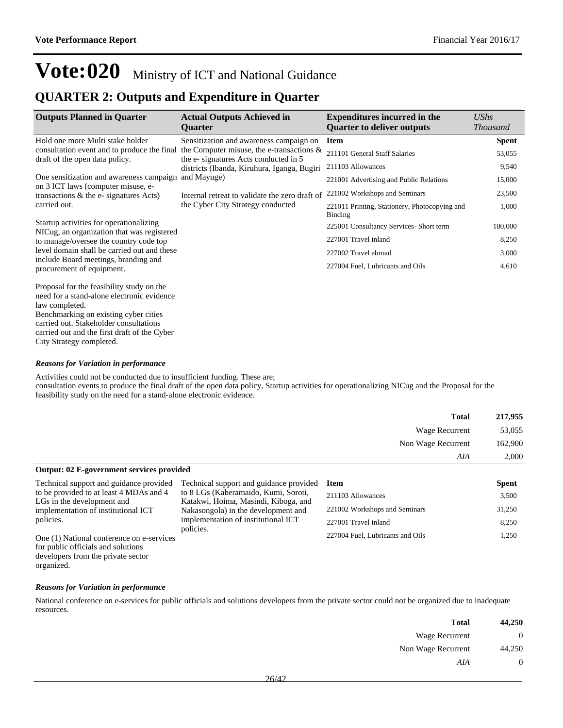### **QUARTER 2: Outputs and Expenditure in Quarter**

| <b>Outputs Planned in Quarter</b>                                                    | <b>Actual Outputs Achieved in</b><br><b>Quarter</b>                                  | <b>Expenditures incurred in the</b><br><b>Quarter to deliver outputs</b> | $\mathit{UShs}$<br><b>Thousand</b> |
|--------------------------------------------------------------------------------------|--------------------------------------------------------------------------------------|--------------------------------------------------------------------------|------------------------------------|
| Hold one more Multi stake holder                                                     | Sensitization and awareness campaign on                                              | <b>Item</b>                                                              | <b>Spent</b>                       |
| consultation event and to produce the final<br>draft of the open data policy.        | the Computer misuse, the e-transactions $\&$<br>the e-signatures Acts conducted in 5 | 211101 General Staff Salaries                                            | 53,055                             |
|                                                                                      | districts (Ibanda, Kiruhura, Iganga, Bugiri                                          | 211103 Allowances                                                        | 9,540                              |
| One sensitization and awareness campaign<br>on 3 ICT laws (computer misuse, e-       | and Mayuge)                                                                          | 221001 Advertising and Public Relations                                  | 15,000                             |
| transactions $\&$ the e-signatures Acts)                                             | Internal retreat to validate the zero draft of                                       | 221002 Workshops and Seminars                                            | 23,500                             |
| carried out.                                                                         | the Cyber City Strategy conducted                                                    | 221011 Printing, Stationery, Photocopying and<br><b>Binding</b>          | 1,000                              |
| Startup activities for operationalizing                                              |                                                                                      | 225001 Consultancy Services- Short term                                  | 100,000                            |
| NICug, an organization that was registered<br>to manage/oversee the country code top |                                                                                      | 227001 Travel inland                                                     | 8,250                              |
| level domain shall be carried out and these                                          |                                                                                      | 227002 Travel abroad                                                     | 3,000                              |
| include Board meetings, branding and<br>procurement of equipment.                    |                                                                                      | 227004 Fuel, Lubricants and Oils                                         | 4,610                              |
| Proposal for the feasibility study on the                                            |                                                                                      |                                                                          |                                    |

need for a stand-alone electronic evidence law completed. Benchmarking on existing cyber cities carried out. Stakeholder consultations carried out and the first draft of the Cyber City Strategy completed.

#### *Reasons for Variation in performance*

Activities could not be conducted due to insufficient funding. These are; consultation events to produce the final draft of the open data policy, Startup activities for operationalizing NICug and the Proposal for the feasibility study on the need for a stand-alone electronic evidence.

| 217,955 | <b>Total</b>       |
|---------|--------------------|
| 53,055  | Wage Recurrent     |
| 162,900 | Non Wage Recurrent |
| 2,000   | AIA                |
|         |                    |

#### **Output: 02 E-government services provided**

Technical support and guidance provided to be provided to at least 4 MDAs and 4 LGs in the development and implementation of institutional ICT policies. One (1) National conference on e-services Technical support and guidance provided to 8 LGs (Kaberamaido, Kumi, Soroti, Katakwi, Hoima, Masindi, Kiboga, and Nakasongola) in the development and implementation of institutional ICT policies. **Item Spent** 211103 Allowances 3,500 221002 Workshops and Seminars 31,250 227001 Travel inland 8,250 227004 Fuel, Lubricants and Oils 1,250

for public officials and solutions developers from the private sector organized.

#### *Reasons for Variation in performance*

National conference on e-services for public officials and solutions developers from the private sector could not be organized due to inadequate resources.

| <b>Total</b>       | 44,250   |
|--------------------|----------|
| Wage Recurrent     |          |
| Non Wage Recurrent | 44,250   |
| AIA                | $\theta$ |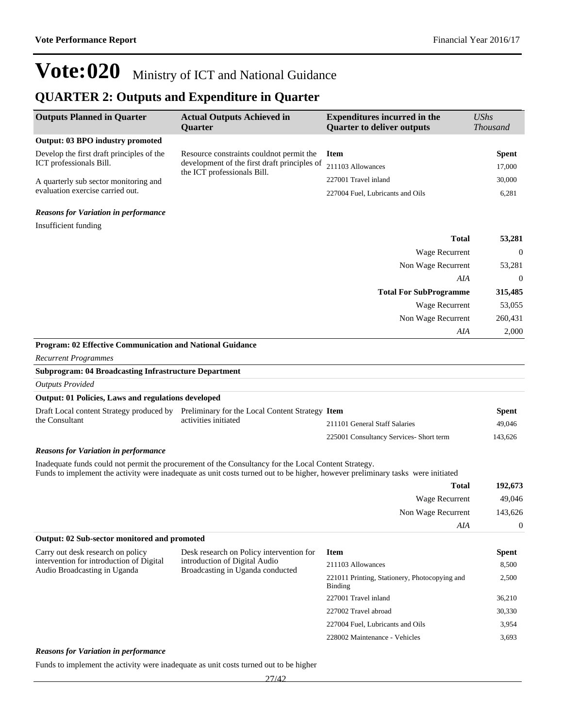### **QUARTER 2: Outputs and Expenditure in Quarter**

| <b>Outputs Planned in Quarter</b>                                                     | <b>Actual Outputs Achieved in</b><br>Quarter                                                                                                                                                                                            | <b>Expenditures incurred in the</b><br><b>Quarter to deliver outputs</b> | <b>UShs</b><br>Thousand |
|---------------------------------------------------------------------------------------|-----------------------------------------------------------------------------------------------------------------------------------------------------------------------------------------------------------------------------------------|--------------------------------------------------------------------------|-------------------------|
| <b>Output: 03 BPO industry promoted</b>                                               |                                                                                                                                                                                                                                         |                                                                          |                         |
| Develop the first draft principles of the                                             | Resource constraints could not permit the                                                                                                                                                                                               | <b>Item</b>                                                              | <b>Spent</b>            |
| ICT professionals Bill.                                                               | development of the first draft principles of                                                                                                                                                                                            | 211103 Allowances                                                        | 17,000                  |
| A quarterly sub sector monitoring and                                                 | the ICT professionals Bill.                                                                                                                                                                                                             | 227001 Travel inland                                                     | 30,000                  |
| evaluation exercise carried out.                                                      |                                                                                                                                                                                                                                         | 227004 Fuel, Lubricants and Oils                                         | 6,281                   |
| <b>Reasons for Variation in performance</b>                                           |                                                                                                                                                                                                                                         |                                                                          |                         |
| Insufficient funding                                                                  |                                                                                                                                                                                                                                         |                                                                          |                         |
|                                                                                       |                                                                                                                                                                                                                                         | <b>Total</b>                                                             | 53,281                  |
|                                                                                       |                                                                                                                                                                                                                                         | Wage Recurrent                                                           | $\boldsymbol{0}$        |
|                                                                                       |                                                                                                                                                                                                                                         | Non Wage Recurrent                                                       | 53,281                  |
|                                                                                       |                                                                                                                                                                                                                                         | AIA                                                                      | $\mathbf{0}$            |
|                                                                                       |                                                                                                                                                                                                                                         | <b>Total For SubProgramme</b>                                            | 315,485                 |
|                                                                                       |                                                                                                                                                                                                                                         | Wage Recurrent                                                           | 53,055                  |
|                                                                                       |                                                                                                                                                                                                                                         | Non Wage Recurrent                                                       | 260,431                 |
|                                                                                       |                                                                                                                                                                                                                                         | AIA                                                                      | 2,000                   |
| Program: 02 Effective Communication and National Guidance                             |                                                                                                                                                                                                                                         |                                                                          |                         |
| <b>Recurrent Programmes</b>                                                           |                                                                                                                                                                                                                                         |                                                                          |                         |
| <b>Subprogram: 04 Broadcasting Infrastructure Department</b>                          |                                                                                                                                                                                                                                         |                                                                          |                         |
| <b>Outputs Provided</b>                                                               |                                                                                                                                                                                                                                         |                                                                          |                         |
| Output: 01 Policies, Laws and regulations developed                                   |                                                                                                                                                                                                                                         |                                                                          |                         |
|                                                                                       | Draft Local content Strategy produced by Preliminary for the Local Content Strategy Item                                                                                                                                                |                                                                          | <b>Spent</b>            |
| the Consultant                                                                        | activities initiated                                                                                                                                                                                                                    | 211101 General Staff Salaries                                            | 49,046                  |
|                                                                                       |                                                                                                                                                                                                                                         | 225001 Consultancy Services- Short term                                  | 143,626                 |
| <b>Reasons for Variation in performance</b>                                           |                                                                                                                                                                                                                                         |                                                                          |                         |
|                                                                                       | Inadequate funds could not permit the procurement of the Consultancy for the Local Content Strategy.<br>Funds to implement the activity were inadequate as unit costs turned out to be higher, however preliminary tasks were initiated |                                                                          |                         |
|                                                                                       |                                                                                                                                                                                                                                         | <b>Total</b>                                                             | 192,673                 |
|                                                                                       |                                                                                                                                                                                                                                         | Wage Recurrent                                                           | 49,046                  |
|                                                                                       |                                                                                                                                                                                                                                         | Non Wage Recurrent                                                       | 143,626                 |
|                                                                                       |                                                                                                                                                                                                                                         | AIA                                                                      | $\boldsymbol{0}$        |
| Output: 02 Sub-sector monitored and promoted                                          |                                                                                                                                                                                                                                         |                                                                          |                         |
| Carry out desk research on policy                                                     | Desk research on Policy intervention for                                                                                                                                                                                                | <b>Item</b>                                                              | <b>Spent</b>            |
| intervention for introduction of Digital<br>Audio Broadcasting in Uganda              | introduction of Digital Audio                                                                                                                                                                                                           | 211103 Allowances                                                        | 8,500                   |
|                                                                                       | Broadcasting in Uganda conducted                                                                                                                                                                                                        | 221011 Printing, Stationery, Photocopying and<br>Binding                 | 2,500                   |
|                                                                                       |                                                                                                                                                                                                                                         | 227001 Travel inland                                                     | 36,210                  |
|                                                                                       |                                                                                                                                                                                                                                         | 227002 Travel abroad                                                     | 30,330                  |
|                                                                                       |                                                                                                                                                                                                                                         | 227004 Fuel, Lubricants and Oils                                         | 3,954                   |
|                                                                                       |                                                                                                                                                                                                                                         | 228002 Maintenance - Vehicles                                            | 3,693                   |
| <b>Reasons for Variation in performance</b>                                           |                                                                                                                                                                                                                                         |                                                                          |                         |
| Funds to implement the activity were inadequate as unit costs turned out to be higher |                                                                                                                                                                                                                                         |                                                                          |                         |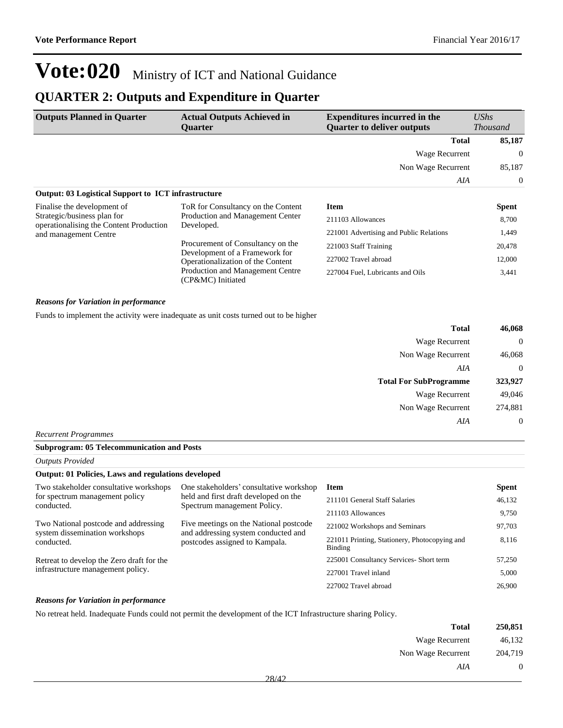### **QUARTER 2: Outputs and Expenditure in Quarter**

| <b>Outputs Planned in Quarter</b>                                                                                              | <b>Actual Outputs Achieved in</b><br><b>Ouarter</b>                                                                                                               | <b>Expenditures incurred in the</b><br><b>Ouarter to deliver outputs</b> | $\mathit{UShs}$<br><b>Thousand</b> |
|--------------------------------------------------------------------------------------------------------------------------------|-------------------------------------------------------------------------------------------------------------------------------------------------------------------|--------------------------------------------------------------------------|------------------------------------|
|                                                                                                                                |                                                                                                                                                                   | <b>Total</b>                                                             | 85,187                             |
|                                                                                                                                |                                                                                                                                                                   | Wage Recurrent                                                           | $\Omega$                           |
|                                                                                                                                |                                                                                                                                                                   | Non Wage Recurrent                                                       | 85,187                             |
|                                                                                                                                |                                                                                                                                                                   | AIA                                                                      | $\Omega$                           |
| <b>Output: 03 Logistical Support to ICT infrastructure</b>                                                                     |                                                                                                                                                                   |                                                                          |                                    |
| Finalise the development of<br>Strategic/business plan for<br>operationalising the Content Production<br>and management Centre | ToR for Consultancy on the Content<br>Production and Management Center<br>Developed.                                                                              | <b>Item</b>                                                              | <b>Spent</b>                       |
|                                                                                                                                |                                                                                                                                                                   | 211103 Allowances                                                        | 8,700                              |
|                                                                                                                                |                                                                                                                                                                   | 221001 Advertising and Public Relations                                  | 1,449                              |
|                                                                                                                                | Procurement of Consultancy on the<br>Development of a Framework for<br>Operationalization of the Content<br>Production and Management Centre<br>(CP&MC) Initiated | 221003 Staff Training                                                    | 20,478                             |
|                                                                                                                                |                                                                                                                                                                   | 227002 Travel abroad                                                     | 12,000                             |
|                                                                                                                                |                                                                                                                                                                   | 227004 Fuel, Lubricants and Oils                                         | 3,441                              |

#### *Reasons for Variation in performance*

Funds to implement the activity were inadequate as unit costs turned out to be higher

| <b>Total</b>                  | 46,068         |
|-------------------------------|----------------|
| Wage Recurrent                | $\overline{0}$ |
| Non Wage Recurrent            | 46,068         |
| AIA                           | $\overline{0}$ |
|                               |                |
| <b>Total For SubProgramme</b> | 323,927        |
| Wage Recurrent                | 49,046         |
| Non Wage Recurrent            | 274,881        |

#### *Recurrent Programmes*

|  | <b>Subprogram: 05 Telecommunication and Posts</b> |  |
|--|---------------------------------------------------|--|
|--|---------------------------------------------------|--|

*Outputs Provided*

#### **Output: 01 Policies, Laws and regulations developed**

| Two stakeholder consultative workshops                                 | One stakeholders' consultative workshop                                       | <b>Item</b>                                              | <b>Spent</b> |
|------------------------------------------------------------------------|-------------------------------------------------------------------------------|----------------------------------------------------------|--------------|
| for spectrum management policy<br>conducted.                           | held and first draft developed on the<br>Spectrum management Policy.          | 211101 General Staff Salaries                            | 46,132       |
|                                                                        |                                                                               | 211103 Allowances                                        | 9.750        |
| Two National postcode and addressing<br>system dissemination workshops | Five meetings on the National postcode<br>and addressing system conducted and | 221002 Workshops and Seminars                            | 97,703       |
| conducted.                                                             | postcodes assigned to Kampala.                                                | 221011 Printing, Stationery, Photocopying and<br>Binding | 8,116        |
| Retreat to develop the Zero draft for the                              |                                                                               | 225001 Consultancy Services- Short term                  | 57,250       |
| infrastructure management policy.                                      |                                                                               | 227001 Travel inland                                     | 5,000        |
|                                                                        |                                                                               | 227002 Travel abroad                                     | 26,900       |

#### *Reasons for Variation in performance*

No retreat held. Inadequate Funds could not permit the development of the ICT Infrastructure sharing Policy.

| 250,851 | <b>Total</b>                                                                    |  |
|---------|---------------------------------------------------------------------------------|--|
| 46,132  | Wage Recurrent                                                                  |  |
| 204,719 | Non Wage Recurrent                                                              |  |
| υ       | AIA                                                                             |  |
|         | the contract of the contract of the contract of the contract of the contract of |  |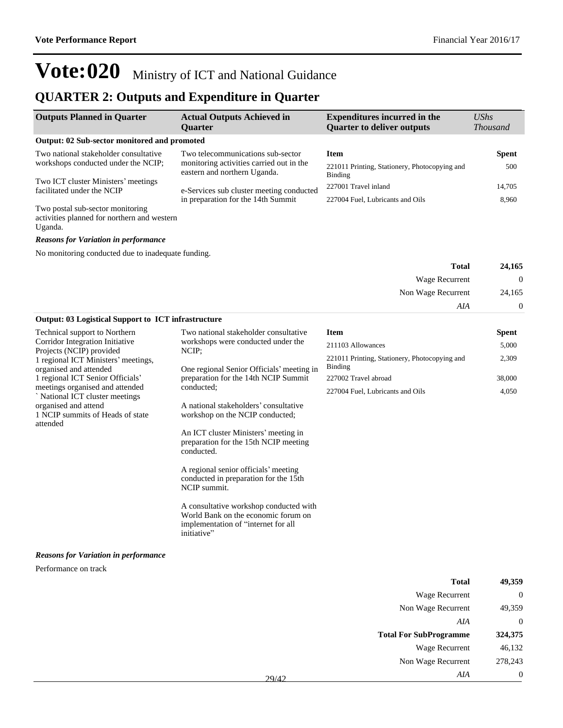### **QUARTER 2: Outputs and Expenditure in Quarter**

| <b>Outputs Planned in Quarter</b>                                                          | <b>Actual Outputs Achieved in</b><br><b>Ouarter</b>                      | <b>Expenditures incurred in the</b><br><b>Quarter to deliver outputs</b> | $\mathit{UShs}$<br><i>Thousand</i> |
|--------------------------------------------------------------------------------------------|--------------------------------------------------------------------------|--------------------------------------------------------------------------|------------------------------------|
| Output: 02 Sub-sector monitored and promoted                                               |                                                                          |                                                                          |                                    |
| Two national stakeholder consultative                                                      | Two telecommunications sub-sector                                        | <b>Item</b>                                                              | <b>Spent</b>                       |
| workshops conducted under the NCIP;                                                        | monitoring activities carried out in the<br>eastern and northern Uganda. | 221011 Printing, Stationery, Photocopying and<br>Binding                 | 500                                |
| Two ICT cluster Ministers' meetings<br>facilitated under the NCIP                          | e-Services sub cluster meeting conducted                                 | 227001 Travel inland                                                     | 14.705                             |
|                                                                                            | in preparation for the 14th Summit                                       | 227004 Fuel, Lubricants and Oils                                         | 8,960                              |
| Two postal sub-sector monitoring<br>activities planned for northern and western<br>Uganda. |                                                                          |                                                                          |                                    |

#### *Reasons for Variation in performance*

No monitoring conducted due to inadequate funding.

| 24,165           | <b>Total</b>          |
|------------------|-----------------------|
| $\boldsymbol{0}$ | <b>Wage Recurrent</b> |
| 24,165           | Non Wage Recurrent    |
| $\overline{0}$   | AIA                   |

| <b>Output: 03 Logistical Support to ICT infrastructure</b>       |                                                                                                                      |                                                                 |        |
|------------------------------------------------------------------|----------------------------------------------------------------------------------------------------------------------|-----------------------------------------------------------------|--------|
| Technical support to Northern                                    | Two national stakeholder consultative                                                                                | <b>Item</b>                                                     | Spent  |
| Corridor Integration Initiative<br>Projects (NCIP) provided      | workshops were conducted under the<br>NCIP;                                                                          | 211103 Allowances                                               | 5,000  |
| 1 regional ICT Ministers' meetings,<br>organised and attended    | One regional Senior Officials' meeting in                                                                            | 221011 Printing, Stationery, Photocopying and<br><b>Binding</b> | 2,309  |
| 1 regional ICT Senior Officials'                                 | preparation for the 14th NCIP Summit                                                                                 | 227002 Travel abroad                                            | 38,000 |
| meetings organised and attended<br>National ICT cluster meetings | conducted;                                                                                                           | 227004 Fuel, Lubricants and Oils                                | 4,050  |
| organised and attend<br>1 NCIP summits of Heads of state         | A national stakeholders' consultative<br>workshop on the NCIP conducted;                                             |                                                                 |        |
| attended                                                         | An ICT cluster Ministers' meeting in<br>preparation for the 15th NCIP meeting<br>conducted.                          |                                                                 |        |
|                                                                  | A regional senior officials' meeting<br>conducted in preparation for the 15th<br>NCIP summit.                        |                                                                 |        |
|                                                                  | A consultative workshop conducted with<br>World Bank on the economic forum on<br>implementation of "internet for all |                                                                 |        |

#### *Reasons for Variation in performance*

initiative"

Performance on track

| <b>Total</b>                  | 49,359  |
|-------------------------------|---------|
| <b>Wage Recurrent</b>         | 0       |
| Non Wage Recurrent            | 49,359  |
| AIA                           | 0       |
|                               |         |
| <b>Total For SubProgramme</b> | 324,375 |
| Wage Recurrent                | 46,132  |
| Non Wage Recurrent            | 278,243 |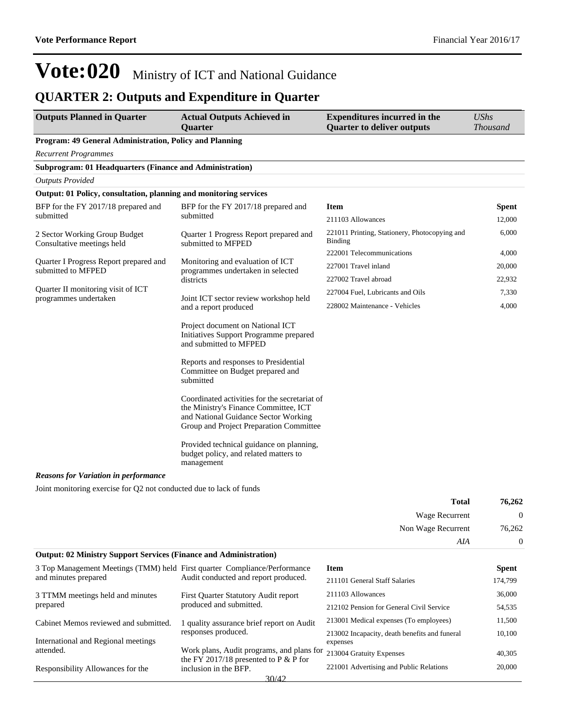### **QUARTER 2: Outputs and Expenditure in Quarter**

| <b>Outputs Planned in Quarter</b>                                 | <b>Actual Outputs Achieved in</b><br><b>Quarter</b>                                                                                                                       | <b>Expenditures incurred in the</b><br><b>Quarter to deliver outputs</b> | <b>UShs</b><br><b>Thousand</b> |
|-------------------------------------------------------------------|---------------------------------------------------------------------------------------------------------------------------------------------------------------------------|--------------------------------------------------------------------------|--------------------------------|
| Program: 49 General Administration, Policy and Planning           |                                                                                                                                                                           |                                                                          |                                |
| <b>Recurrent Programmes</b>                                       |                                                                                                                                                                           |                                                                          |                                |
| Subprogram: 01 Headquarters (Finance and Administration)          |                                                                                                                                                                           |                                                                          |                                |
| <b>Outputs Provided</b>                                           |                                                                                                                                                                           |                                                                          |                                |
| Output: 01 Policy, consultation, planning and monitoring services |                                                                                                                                                                           |                                                                          |                                |
| BFP for the FY 2017/18 prepared and                               | BFP for the FY 2017/18 prepared and                                                                                                                                       | <b>Item</b>                                                              | <b>Spent</b>                   |
| submitted                                                         | submitted                                                                                                                                                                 | 211103 Allowances                                                        | 12,000                         |
| 2 Sector Working Group Budget<br>Consultative meetings held       | Quarter 1 Progress Report prepared and<br>submitted to MFPED                                                                                                              | 221011 Printing, Stationery, Photocopying and<br>Binding                 | 6,000                          |
|                                                                   |                                                                                                                                                                           | 222001 Telecommunications                                                | 4,000                          |
| Quarter I Progress Report prepared and<br>submitted to MFPED      | Monitoring and evaluation of ICT<br>programmes undertaken in selected                                                                                                     | 227001 Travel inland                                                     | 20,000                         |
|                                                                   | districts                                                                                                                                                                 | 227002 Travel abroad                                                     | 22,932                         |
| Quarter II monitoring visit of ICT                                |                                                                                                                                                                           | 227004 Fuel, Lubricants and Oils                                         | 7,330                          |
| programmes undertaken                                             | Joint ICT sector review workshop held<br>and a report produced                                                                                                            | 228002 Maintenance - Vehicles                                            | 4,000                          |
|                                                                   | Project document on National ICT<br>Initiatives Support Programme prepared<br>and submitted to MFPED                                                                      |                                                                          |                                |
|                                                                   | Reports and responses to Presidential<br>Committee on Budget prepared and<br>submitted                                                                                    |                                                                          |                                |
|                                                                   | Coordinated activities for the secretariat of<br>the Ministry's Finance Committee, ICT<br>and National Guidance Sector Working<br>Group and Project Preparation Committee |                                                                          |                                |
|                                                                   | Provided technical guidance on planning,<br>budget policy, and related matters to<br>management                                                                           |                                                                          |                                |
| <b>Reasons for Variation in performance</b>                       |                                                                                                                                                                           |                                                                          |                                |

Joint monitoring exercise for Q2 not conducted due to lack of funds

| 76,262 | <b>Total</b>          |  |
|--------|-----------------------|--|
| U      | <b>Wage Recurrent</b> |  |
| 76,262 | Non Wage Recurrent    |  |
|        | AIA                   |  |

### **Output: 02 Ministry Support Services (Finance and Administration)**

| 3 Top Management Meetings (TMM) held First quarter Compliance/Performance |                                                                                      | <b>Item</b>                                               | <b>Spent</b> |
|---------------------------------------------------------------------------|--------------------------------------------------------------------------------------|-----------------------------------------------------------|--------------|
| and minutes prepared                                                      | Audit conducted and report produced.                                                 | 211101 General Staff Salaries                             | 174.799      |
| 3 TTMM meetings held and minutes                                          | First Quarter Statutory Audit report                                                 | 211103 Allowances                                         | 36,000       |
| prepared                                                                  | produced and submitted.                                                              | 212102 Pension for General Civil Service                  | 54.535       |
| Cabinet Memos reviewed and submitted.                                     | 1 quality assurance brief report on Audit                                            | 213001 Medical expenses (To employees)                    | 11.500       |
| International and Regional meetings                                       | responses produced.                                                                  | 213002 Incapacity, death benefits and funeral<br>expenses | 10.100       |
| attended.                                                                 | Work plans, Audit programs, and plans for<br>the FY 2017/18 presented to P $&$ P for | 213004 Gratuity Expenses                                  | 40.305       |
| Responsibility Allowances for the                                         | inclusion in the BFP.                                                                | 221001 Advertising and Public Relations                   | 20,000       |
|                                                                           | 30/42                                                                                |                                                           |              |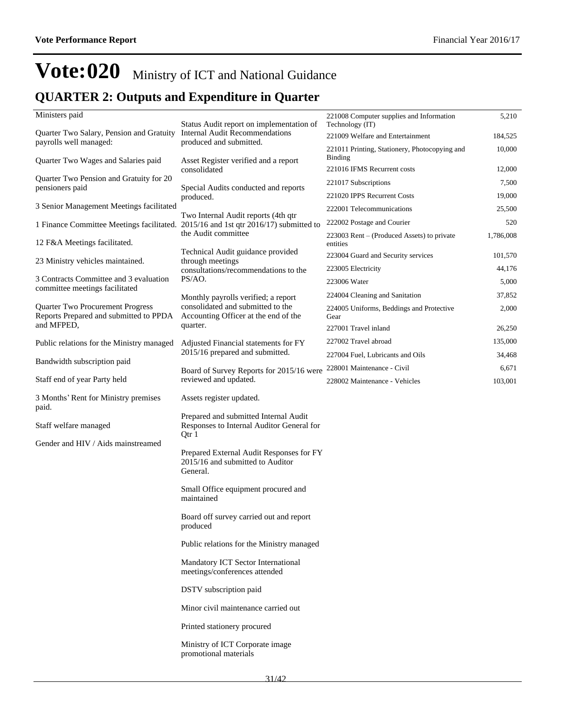### **QUARTER 2: Outputs and Expenditure in Quarter**

| Ministers paid                                                                      |                                                                                             | 221008 Computer supplies and Information                 | 5,210     |
|-------------------------------------------------------------------------------------|---------------------------------------------------------------------------------------------|----------------------------------------------------------|-----------|
| Quarter Two Salary, Pension and Gratuity                                            | Status Audit report on implementation of<br><b>Internal Audit Recommendations</b>           | Technology (IT)                                          |           |
| payrolls well managed:                                                              | produced and submitted.                                                                     | 221009 Welfare and Entertainment                         | 184,525   |
| Quarter Two Wages and Salaries paid                                                 | Asset Register verified and a report                                                        | 221011 Printing, Stationery, Photocopying and<br>Binding | 10,000    |
|                                                                                     | consolidated                                                                                | 221016 IFMS Recurrent costs                              | 12,000    |
| Quarter Two Pension and Gratuity for 20<br>pensioners paid                          | Special Audits conducted and reports                                                        | 221017 Subscriptions                                     | 7,500     |
|                                                                                     | produced.                                                                                   | 221020 IPPS Recurrent Costs                              | 19,000    |
| 3 Senior Management Meetings facilitated                                            |                                                                                             | 222001 Telecommunications                                | 25,500    |
| 1 Finance Committee Meetings facilitated. 2015/16 and 1st qtr 2016/17) submitted to | Two Internal Audit reports (4th qtr                                                         | 222002 Postage and Courier                               | 520       |
| 12 F&A Meetings facilitated.                                                        | the Audit committee                                                                         | 223003 Rent – (Produced Assets) to private<br>entities   | 1,786,008 |
| 23 Ministry vehicles maintained.                                                    | Technical Audit guidance provided<br>through meetings                                       | 223004 Guard and Security services                       | 101,570   |
|                                                                                     | consultations/recommendations to the                                                        | 223005 Electricity                                       | 44,176    |
| 3 Contracts Committee and 3 evaluation<br>committee meetings facilitated            | PS/AO.                                                                                      | 223006 Water                                             | 5,000     |
|                                                                                     | Monthly payrolls verified; a report                                                         | 224004 Cleaning and Sanitation                           | 37,852    |
| Quarter Two Procurement Progress<br>Reports Prepared and submitted to PPDA          | consolidated and submitted to the<br>Accounting Officer at the end of the                   | 224005 Uniforms, Beddings and Protective<br>Gear         | 2,000     |
| and MFPED,                                                                          | quarter.                                                                                    | 227001 Travel inland                                     | 26,250    |
| Public relations for the Ministry managed                                           | Adjusted Financial statements for FY                                                        | 227002 Travel abroad                                     | 135,000   |
| Bandwidth subscription paid                                                         | 2015/16 prepared and submitted.                                                             | 227004 Fuel, Lubricants and Oils                         | 34,468    |
|                                                                                     | Board of Survey Reports for 2015/16 were                                                    | 228001 Maintenance - Civil                               | 6,671     |
| Staff end of year Party held                                                        | reviewed and updated.                                                                       | 228002 Maintenance - Vehicles                            | 103,001   |
| 3 Months' Rent for Ministry premises<br>paid.                                       | Assets register updated.                                                                    |                                                          |           |
| Staff welfare managed                                                               | Prepared and submitted Internal Audit<br>Responses to Internal Auditor General for<br>Qtr 1 |                                                          |           |
| Gender and HIV / Aids mainstreamed                                                  | Prepared External Audit Responses for FY<br>2015/16 and submitted to Auditor<br>General.    |                                                          |           |
|                                                                                     | Small Office equipment procured and<br>maintained                                           |                                                          |           |
|                                                                                     | Board off survey carried out and report<br>produced                                         |                                                          |           |
|                                                                                     | Public relations for the Ministry managed                                                   |                                                          |           |
|                                                                                     | Mandatory ICT Sector International<br>meetings/conferences attended                         |                                                          |           |
|                                                                                     | DSTV subscription paid                                                                      |                                                          |           |
|                                                                                     | Minor civil maintenance carried out                                                         |                                                          |           |
|                                                                                     | Printed stationery procured                                                                 |                                                          |           |
|                                                                                     | Ministry of ICT Corporate image<br>promotional materials                                    |                                                          |           |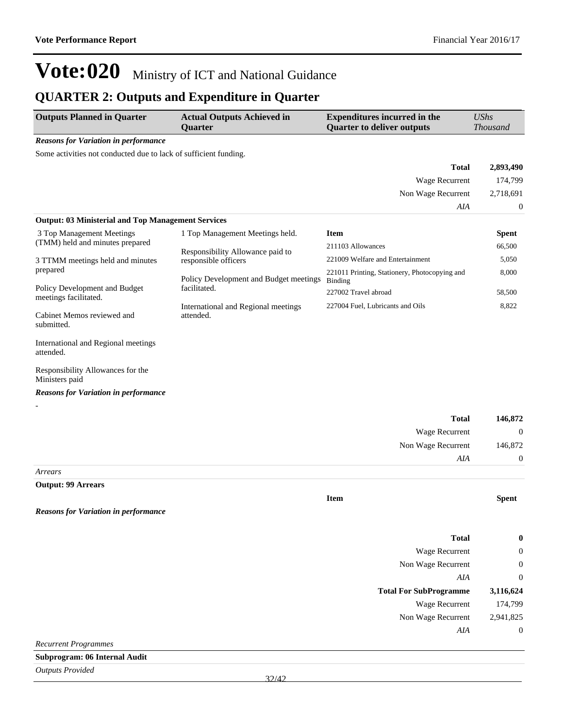### **QUARTER 2: Outputs and Expenditure in Quarter**

| <b>Outputs Planned in Quarter</b>                                | <b>Actual Outputs Achieved in</b><br>Quarter           | <b>Expenditures incurred in the</b><br><b>Quarter to deliver outputs</b> | <b>UShs</b><br>Thousand |
|------------------------------------------------------------------|--------------------------------------------------------|--------------------------------------------------------------------------|-------------------------|
| <b>Reasons for Variation in performance</b>                      |                                                        |                                                                          |                         |
| Some activities not conducted due to lack of sufficient funding. |                                                        |                                                                          |                         |
|                                                                  |                                                        | <b>Total</b>                                                             | 2,893,490               |
|                                                                  |                                                        | Wage Recurrent                                                           | 174,799                 |
|                                                                  |                                                        | Non Wage Recurrent                                                       | 2,718,691               |
|                                                                  |                                                        | AIA                                                                      | 0                       |
| <b>Output: 03 Ministerial and Top Management Services</b>        |                                                        |                                                                          |                         |
| 3 Top Management Meetings                                        | 1 Top Management Meetings held.                        | <b>Item</b>                                                              | <b>Spent</b>            |
| (TMM) held and minutes prepared                                  | Responsibility Allowance paid to                       | 211103 Allowances                                                        | 66,500                  |
| 3 TTMM meetings held and minutes                                 | responsible officers                                   | 221009 Welfare and Entertainment                                         | 5,050                   |
| prepared                                                         | Policy Development and Budget meetings<br>facilitated. | 221011 Printing, Stationery, Photocopying and<br><b>Binding</b>          | 8,000                   |
| Policy Development and Budget<br>meetings facilitated.           |                                                        | 227002 Travel abroad                                                     | 58,500                  |
| Cabinet Memos reviewed and<br>submitted.                         | International and Regional meetings<br>attended.       | 227004 Fuel, Lubricants and Oils                                         | 8,822                   |
| International and Regional meetings<br>attended.                 |                                                        |                                                                          |                         |
| Responsibility Allowances for the<br>Ministers paid              |                                                        |                                                                          |                         |
| <b>Reasons for Variation in performance</b>                      |                                                        |                                                                          |                         |
|                                                                  |                                                        | <b>Total</b>                                                             | 146,872                 |
|                                                                  |                                                        | Wage Recurrent                                                           | $\boldsymbol{0}$        |
|                                                                  |                                                        | Non Wage Recurrent                                                       | 146,872                 |
|                                                                  |                                                        | AIA                                                                      | $\boldsymbol{0}$        |
| Arrears                                                          |                                                        |                                                                          |                         |
| <b>Output: 99 Arrears</b>                                        |                                                        |                                                                          |                         |
|                                                                  |                                                        | <b>Item</b>                                                              | <b>Spent</b>            |
| <b>Reasons for Variation in performance</b>                      |                                                        |                                                                          |                         |
|                                                                  |                                                        | <b>Total</b>                                                             | 0                       |
|                                                                  |                                                        | Wage Recurrent                                                           | $\mathbf{0}$            |
|                                                                  |                                                        | Non Wage Recurrent                                                       | $\boldsymbol{0}$        |
|                                                                  |                                                        | AIA                                                                      | $\mathbf{0}$            |

| <b>Total For SubProgramme</b> | 3,116,624 |
|-------------------------------|-----------|
| Wage Recurrent                | 174,799   |
| Non Wage Recurrent            | 2.941.825 |
| AIA                           | 0         |

*Recurrent Programmes*

**Subprogram: 06 Internal Audit**

*Outputs Provided*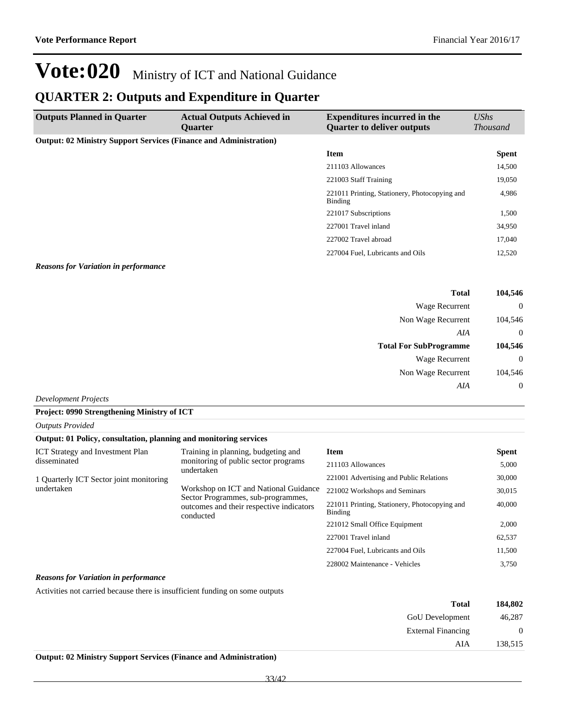### **QUARTER 2: Outputs and Expenditure in Quarter**

| <b>Outputs Planned in Quarter</b>                                        | <b>Actual Outputs Achieved in</b><br><b>Ouarter</b> | <b>Expenditures incurred in the</b><br><b>Quarter to deliver outputs</b> | UShs<br><b>Thousand</b> |
|--------------------------------------------------------------------------|-----------------------------------------------------|--------------------------------------------------------------------------|-------------------------|
| <b>Output: 02 Ministry Support Services (Finance and Administration)</b> |                                                     |                                                                          |                         |
|                                                                          |                                                     | <b>Item</b>                                                              | <b>Spent</b>            |
|                                                                          |                                                     | 211103 Allowances                                                        | 14,500                  |
|                                                                          |                                                     | 221003 Staff Training                                                    | 19,050                  |
|                                                                          |                                                     | 221011 Printing, Stationery, Photocopying and<br>Binding                 | 4,986                   |
|                                                                          |                                                     | 221017 Subscriptions                                                     | 1,500                   |
|                                                                          |                                                     | 227001 Travel inland                                                     | 34,950                  |
|                                                                          |                                                     | 227002 Travel abroad                                                     | 17,040                  |
|                                                                          |                                                     | 227004 Fuel, Lubricants and Oils                                         | 12,520                  |

#### *Reasons for Variation in performance*

| 104,546        | <b>Total</b>                  |
|----------------|-------------------------------|
| $\overline{0}$ | Wage Recurrent                |
| 104,546        | Non Wage Recurrent            |
| $\overline{0}$ | AIA                           |
|                |                               |
| 104,546        | <b>Total For SubProgramme</b> |
| $\overline{0}$ | Wage Recurrent                |
| 104,546        | Non Wage Recurrent            |

*Development Projects*

*Outputs Provided*

#### **Project: 0990 Strengthening Ministry of ICT**

| Output: 01 Policy, consultation, planning and monitoring services                                                                                                                                                                                                                                                                                     |                                                          |                                  |              |
|-------------------------------------------------------------------------------------------------------------------------------------------------------------------------------------------------------------------------------------------------------------------------------------------------------------------------------------------------------|----------------------------------------------------------|----------------------------------|--------------|
| Training in planning, budgeting and<br><b>ICT</b> Strategy and Investment Plan<br>monitoring of public sector programs<br>disseminated<br>undertaken<br>1 Quarterly ICT Sector joint monitoring<br>Workshop on ICT and National Guidance<br>undertaken<br>Sector Programmes, sub-programmes,<br>outcomes and their respective indicators<br>conducted |                                                          | <b>Item</b>                      | <b>Spent</b> |
|                                                                                                                                                                                                                                                                                                                                                       |                                                          | 211103 Allowances                | 5,000        |
|                                                                                                                                                                                                                                                                                                                                                       | 221001 Advertising and Public Relations                  | 30,000                           |              |
|                                                                                                                                                                                                                                                                                                                                                       | 221002 Workshops and Seminars                            | 30.015                           |              |
|                                                                                                                                                                                                                                                                                                                                                       | 221011 Printing, Stationery, Photocopying and<br>Binding | 40,000                           |              |
|                                                                                                                                                                                                                                                                                                                                                       |                                                          | 221012 Small Office Equipment    | 2,000        |
|                                                                                                                                                                                                                                                                                                                                                       |                                                          | 227001 Travel inland             | 62,537       |
|                                                                                                                                                                                                                                                                                                                                                       |                                                          | 227004 Fuel, Lubricants and Oils | 11,500       |
|                                                                                                                                                                                                                                                                                                                                                       |                                                          | 228002 Maintenance - Vehicles    | 3.750        |

#### *Reasons for Variation in performance*

Activities not carried because there is insufficient funding on some outputs

| 184,802          | <b>Total</b>              |  |
|------------------|---------------------------|--|
| 46,287           | GoU Development           |  |
| $\boldsymbol{0}$ | <b>External Financing</b> |  |
| 138,515          | AIA                       |  |
|                  |                           |  |

#### **Output: 02 Ministry Support Services (Finance and Administration)**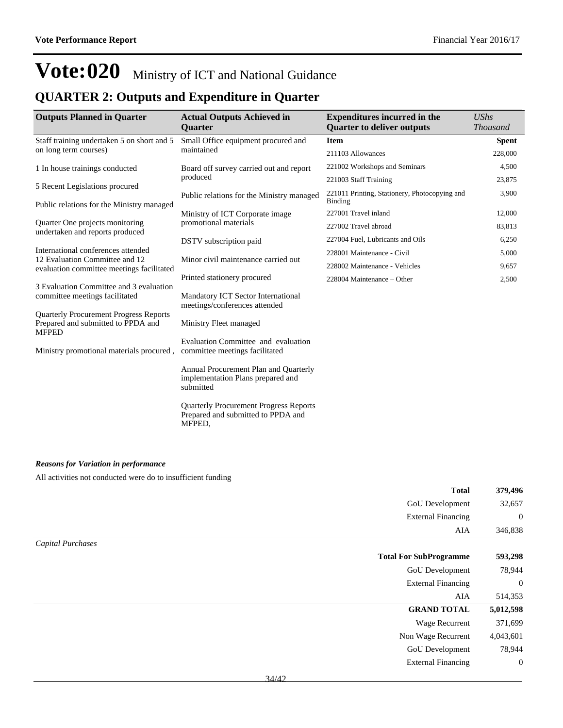### **QUARTER 2: Outputs and Expenditure in Quarter**

| <b>Outputs Planned in Quarter</b>                                                                   | <b>Actual Outputs Achieved in</b>                                                             | <b>Expenditures incurred in the</b>                             | <b>UShs</b>     |
|-----------------------------------------------------------------------------------------------------|-----------------------------------------------------------------------------------------------|-----------------------------------------------------------------|-----------------|
|                                                                                                     | <b>Quarter</b>                                                                                | <b>Quarter to deliver outputs</b>                               | <b>Thousand</b> |
| Staff training undertaken 5 on short and 5                                                          | Small Office equipment procured and                                                           | <b>Item</b>                                                     | <b>Spent</b>    |
| on long term courses)                                                                               | maintained                                                                                    | 211103 Allowances                                               | 228,000         |
| 1 In house trainings conducted                                                                      | Board off survey carried out and report                                                       | 221002 Workshops and Seminars                                   | 4,500           |
| 5 Recent Legislations procured                                                                      | produced                                                                                      | 221003 Staff Training                                           | 23,875          |
| Public relations for the Ministry managed                                                           | Public relations for the Ministry managed                                                     | 221011 Printing, Stationery, Photocopying and<br><b>Binding</b> | 3,900           |
|                                                                                                     | Ministry of ICT Corporate image                                                               | 227001 Travel inland                                            | 12,000          |
| Quarter One projects monitoring<br>undertaken and reports produced                                  | promotional materials                                                                         | 227002 Travel abroad                                            | 83,813          |
|                                                                                                     | DSTV subscription paid                                                                        | 227004 Fuel, Lubricants and Oils                                | 6,250           |
| International conferences attended<br>12 Evaluation Committee and 12                                | Minor civil maintenance carried out                                                           | 228001 Maintenance - Civil                                      | 5,000           |
| evaluation committee meetings facilitated                                                           |                                                                                               | 228002 Maintenance - Vehicles                                   | 9,657           |
|                                                                                                     | Printed stationery procured                                                                   | 228004 Maintenance – Other                                      | 2,500           |
| 3 Evaluation Committee and 3 evaluation<br>committee meetings facilitated                           | Mandatory ICT Sector International<br>meetings/conferences attended                           |                                                                 |                 |
| <b>Quarterly Procurement Progress Reports</b><br>Prepared and submitted to PPDA and<br><b>MFPED</b> | Ministry Fleet managed                                                                        |                                                                 |                 |
| Ministry promotional materials procured,                                                            | Evaluation Committee and evaluation<br>committee meetings facilitated                         |                                                                 |                 |
|                                                                                                     | Annual Procurement Plan and Quarterly<br>implementation Plans prepared and<br>submitted       |                                                                 |                 |
|                                                                                                     | <b>Quarterly Procurement Progress Reports</b><br>Prepared and submitted to PPDA and<br>MFPED. |                                                                 |                 |

#### *Reasons for Variation in performance*

All activities not conducted were do to insufficient funding

|                   | <b>Total</b>                  | 379,496      |
|-------------------|-------------------------------|--------------|
|                   | GoU Development               | 32,657       |
|                   | <b>External Financing</b>     | $\mathbf{0}$ |
|                   | AIA                           | 346,838      |
| Capital Purchases |                               |              |
|                   | <b>Total For SubProgramme</b> | 593,298      |
|                   | GoU Development               | 78,944       |
|                   | <b>External Financing</b>     | $\mathbf{0}$ |
|                   | AIA                           | 514,353      |
|                   | <b>GRAND TOTAL</b>            | 5,012,598    |
|                   | <b>Wage Recurrent</b>         | 371,699      |
|                   | Non Wage Recurrent            | 4,043,601    |
|                   | GoU Development               | 78,944       |
|                   | <b>External Financing</b>     | $\mathbf{0}$ |
|                   |                               |              |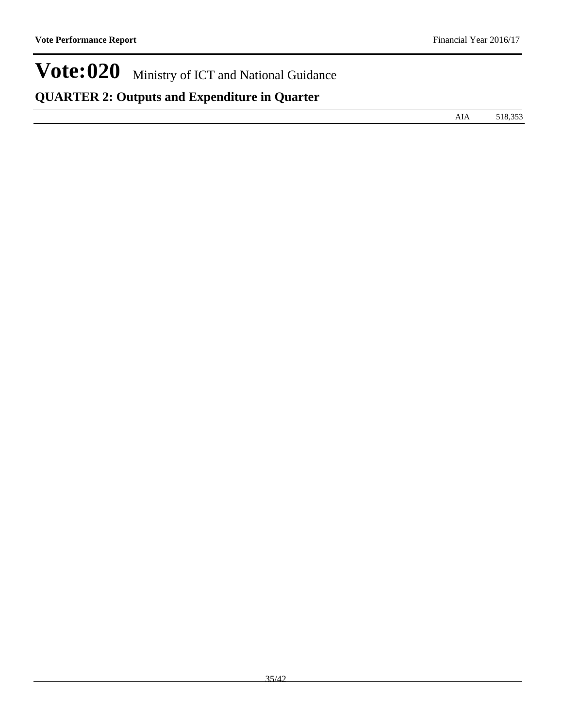# **QUARTER 2: Outputs and Expenditure in Quarter**

AIA 518,353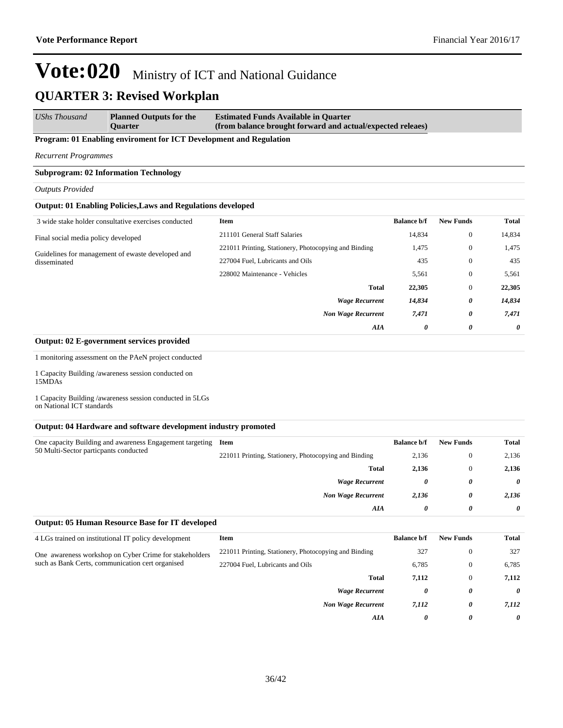*UShs Thousand* **Planned Outputs for the Quarter Estimated Funds Available in Quarter (from balance brought forward and actual/expected releaes)**

#### **Program: 01 Enabling enviroment for ICT Development and Regulation**

*Recurrent Programmes*

#### **Subprogram: 02 Information Technology**

#### *Outputs Provided*

#### **Output: 01 Enabling Policies,Laws and Regulations developed**

| 3 wide stake holder consultative exercises conducted              | <b>Item</b>                                           | <b>Balance b/f</b> | <b>New Funds</b> | <b>Total</b> |
|-------------------------------------------------------------------|-------------------------------------------------------|--------------------|------------------|--------------|
| Final social media policy developed                               | 211101 General Staff Salaries                         | 14,834             | $\overline{0}$   | 14,834       |
|                                                                   | 221011 Printing, Stationery, Photocopying and Binding | 1,475              | $\mathbf{0}$     | 1,475        |
| Guidelines for management of ewaste developed and<br>disseminated | 227004 Fuel, Lubricants and Oils                      | 435                | $\theta$         | 435          |
|                                                                   | 228002 Maintenance - Vehicles                         | 5,561              | $\theta$         | 5,561        |
|                                                                   | <b>Total</b>                                          | 22,305             | $\mathbf{0}$     | 22,305       |
|                                                                   | <b>Wage Recurrent</b>                                 | 14,834             | 0                | 14,834       |
|                                                                   | <b>Non Wage Recurrent</b>                             | 7,471              | 0                | 7,471        |
|                                                                   | AIA                                                   | 0                  | 0                | 0            |

#### **Output: 02 E-government services provided**

1 monitoring assessment on the PAeN project conducted

1 Capacity Building /awareness session conducted on 15MDAs

1 Capacity Building /awareness session conducted in 5LGs on National ICT standards

#### **Output: 04 Hardware and software development industry promoted**

| One capacity Building and awareness Engagement targeting Item<br>50 Multi-Sector particpants conducted |                                                       | <b>Balance b/f</b> | <b>New Funds</b> | <b>Total</b> |
|--------------------------------------------------------------------------------------------------------|-------------------------------------------------------|--------------------|------------------|--------------|
|                                                                                                        | 221011 Printing, Stationery, Photocopying and Binding | 2,136              | $\theta$         | 2,136        |
|                                                                                                        | <b>Total</b>                                          | 2,136              | $\theta$         | 2,136        |
|                                                                                                        | <b>Wage Recurrent</b>                                 | 0                  | 0                | 0            |
|                                                                                                        | <b>Non Wage Recurrent</b>                             | 2,136              | 0                | 2,136        |
|                                                                                                        | AIA                                                   | 0                  | 0                | 0            |

#### **Output: 05 Human Resource Base for IT developed**

| 4 LGs trained on institutional IT policy development   | Item                                                  | <b>Balance b/f</b> | <b>New Funds</b> | Total                 |
|--------------------------------------------------------|-------------------------------------------------------|--------------------|------------------|-----------------------|
| One awareness workshop on Cyber Crime for stakeholders | 221011 Printing, Stationery, Photocopying and Binding | 327                | $\mathbf{0}$     | 327                   |
| such as Bank Certs, communication cert organised       | 227004 Fuel, Lubricants and Oils                      | 6,785              | $\mathbf{0}$     | 6,785                 |
|                                                        | <b>Total</b>                                          | 7,112              | $\Omega$         | 7,112                 |
|                                                        | <b>Wage Recurrent</b>                                 | 0                  | 0                | $\boldsymbol{\theta}$ |
|                                                        | <b>Non Wage Recurrent</b>                             | 7,112              | 0                | 7.112                 |
|                                                        | AIA                                                   | 0                  | 0                | 0                     |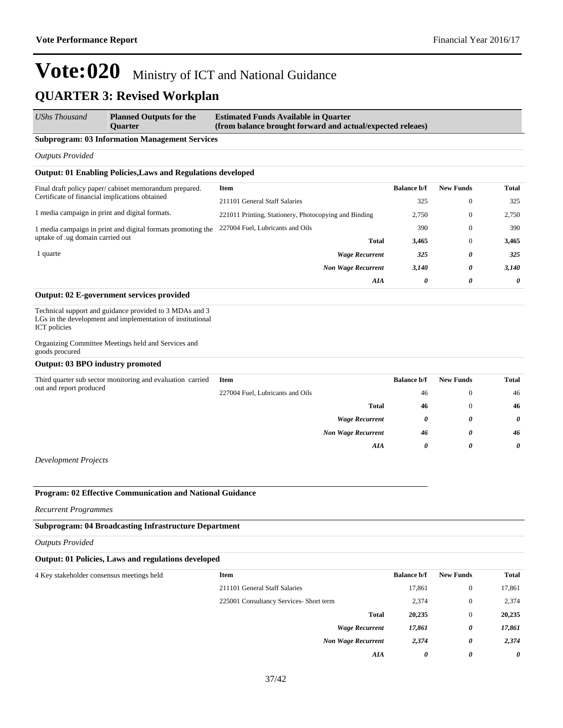| <b>UShs Thousand</b> | <b>Planned Outputs for the</b> | <b>Estimated Funds Available in Quarter</b>                |
|----------------------|--------------------------------|------------------------------------------------------------|
|                      | <b>Ouarter</b>                 | (from balance brought forward and actual/expected releaes) |

#### **Subprogram: 03 Information Management Services**

*Outputs Provided*

#### **Output: 01 Enabling Policies,Laws and Regulations developed**

| Final draft policy paper/cabinet memorandum prepared.       | Item                                                  | <b>Balance b/f</b> | <b>New Funds</b> | Total |
|-------------------------------------------------------------|-------------------------------------------------------|--------------------|------------------|-------|
| Certificate of financial implications obtained              | 211101 General Staff Salaries                         | 325                | $\theta$         | 325   |
| 1 media campaign in print and digital formats.              | 221011 Printing, Stationery, Photocopying and Binding | 2.750              | $\theta$         | 2,750 |
| 1 media campaign in print and digital formats promoting the | 227004 Fuel, Lubricants and Oils                      | 390                | $\theta$         | 390   |
| uptake of .ug domain carried out                            | <b>Total</b>                                          | 3,465              | $\theta$         | 3,465 |
| l quarte                                                    | <b>Wage Recurrent</b>                                 | 325                | 0                | 325   |
|                                                             | <b>Non Wage Recurrent</b>                             | 3,140              | 0                | 3,140 |
|                                                             | AIA                                                   | $\theta$           | 0                | 0     |
|                                                             |                                                       |                    |                  |       |

#### **Output: 02 E-government services provided**

Technical support and guidance provided to 3 MDAs and 3 LGs in the development and implementation of institutional ICT policies

Organizing Committee Meetings held and Services and goods procured

**Output: 03 BPO industry promoted**

| Third quarter sub sector monitoring and evaluation carried | Item                             | <b>Balance b/f</b> | <b>New Funds</b> | <b>Total</b> |
|------------------------------------------------------------|----------------------------------|--------------------|------------------|--------------|
| out and report produced                                    | 227004 Fuel, Lubricants and Oils | 46                 |                  | 46           |
|                                                            | <b>Total</b>                     | 46                 |                  | 46           |
|                                                            | <b>Wage Recurrent</b>            | 0                  | 0                | $\theta$     |
|                                                            | <b>Non Wage Recurrent</b>        | 46                 | 0                | 46           |
|                                                            | AIA                              | 0                  | 0                | $\theta$     |
|                                                            |                                  |                    |                  |              |

*Development Projects*

#### **Program: 02 Effective Communication and National Guidance**

*Recurrent Programmes*

#### **Subprogram: 04 Broadcasting Infrastructure Department**

*Outputs Provided*

#### **Output: 01 Policies, Laws and regulations developed**

| 4 Key stakeholder consensus meetings held | Item                                    | <b>Balance b/f</b> | <b>New Funds</b> | <b>Total</b> |
|-------------------------------------------|-----------------------------------------|--------------------|------------------|--------------|
|                                           | 211101 General Staff Salaries           | 17,861             | $\Omega$         | 17,861       |
|                                           | 225001 Consultancy Services- Short term | 2,374              | $\Omega$         | 2,374        |
|                                           | <b>Total</b>                            | 20,235             | $\Omega$         | 20,235       |
|                                           | <b>Wage Recurrent</b>                   | 17,861             | 0                | 17,861       |
|                                           | <b>Non Wage Recurrent</b>               | 2,374              | 0                | 2,374        |
|                                           | AIA                                     | 0                  | 0                | 0            |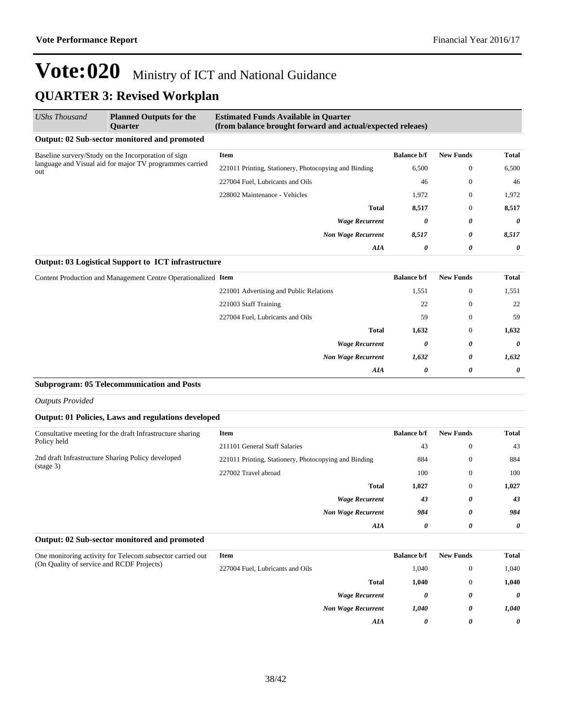| UShs Thousand                                                                                                         | <b>Planned Outputs for the</b><br><b>Ouarter</b>              | <b>Estimated Funds Available in Quarter</b><br>(from balance brought forward and actual/expected releaes) |                    |                       |              |
|-----------------------------------------------------------------------------------------------------------------------|---------------------------------------------------------------|-----------------------------------------------------------------------------------------------------------|--------------------|-----------------------|--------------|
|                                                                                                                       | Output: 02 Sub-sector monitored and promoted                  |                                                                                                           |                    |                       |              |
| Baseline survery/Study on the Incorporation of sign<br>language and Visual aid for major TV programmes carried<br>out |                                                               | <b>Item</b>                                                                                               | <b>Balance b/f</b> | <b>New Funds</b>      | <b>Total</b> |
|                                                                                                                       |                                                               | 221011 Printing, Stationery, Photocopying and Binding                                                     | 6,500              | $\mathbf{0}$          | 6,500        |
|                                                                                                                       |                                                               | 227004 Fuel, Lubricants and Oils                                                                          | 46                 | $\mathbf{0}$          | 46           |
|                                                                                                                       |                                                               | 228002 Maintenance - Vehicles                                                                             | 1,972              | $\mathbf{0}$          | 1,972        |
|                                                                                                                       |                                                               | <b>Total</b>                                                                                              | 8,517              | $\mathbf{0}$          | 8,517        |
|                                                                                                                       |                                                               | <b>Wage Recurrent</b>                                                                                     | 0                  | 0                     | $\theta$     |
|                                                                                                                       |                                                               | <b>Non Wage Recurrent</b>                                                                                 | 8,517              | 0                     | 8,517        |
|                                                                                                                       |                                                               | AIA                                                                                                       | 0                  | $\boldsymbol{\theta}$ | 0            |
|                                                                                                                       | Output: 03 Logistical Support to ICT infrastructure           |                                                                                                           |                    |                       |              |
|                                                                                                                       | Content Production and Management Centre Operationalized Item |                                                                                                           | <b>Balance b/f</b> | <b>New Funds</b>      | <b>Total</b> |
|                                                                                                                       |                                                               | 221001 Advertising and Public Relations                                                                   | 1,551              | $\mathbf{0}$          | 1,551        |
|                                                                                                                       |                                                               | 221003 Staff Training                                                                                     | 22                 | $\mathbf{0}$          | 22           |
|                                                                                                                       |                                                               |                                                                                                           |                    |                       |              |

| 227004 Fuel, Lubricants and Oils | 59    | $\overline{0}$ | 59       |
|----------------------------------|-------|----------------|----------|
| Total                            | 1,632 | $\theta$       | 1,632    |
| <b>Wage Recurrent</b>            | 0     | 0              | $\theta$ |
| <b>Non Wage Recurrent</b>        | 1,632 | 0              | 1,632    |
| <b>AIA</b>                       | 0     | 0              | $\theta$ |

#### **Subprogram: 05 Telecommunication and Posts**

*Outputs Provided*

| Output: 01 Policies, Laws and regulations developed |  |
|-----------------------------------------------------|--|
|-----------------------------------------------------|--|

| Consultative meeting for the draft Infrastructure sharing                | Item                                                  | <b>Balance b/f</b> | <b>New Funds</b> | <b>Total</b> |
|--------------------------------------------------------------------------|-------------------------------------------------------|--------------------|------------------|--------------|
| Policy held                                                              | 211101 General Staff Salaries                         | 43                 | $\mathbf{0}$     | 43           |
| 2nd draft Infrastructure Sharing Policy developed<br>$(\text{stage } 3)$ | 221011 Printing, Stationery, Photocopying and Binding | 884                | $\mathbf{0}$     | 884          |
|                                                                          | 227002 Travel abroad                                  | 100                | $\mathbf{0}$     | 100          |
|                                                                          | <b>Total</b>                                          | 1,027              | $\mathbf{0}$     | 1,027        |
|                                                                          | <b>Wage Recurrent</b>                                 | 43                 | 0                | 43           |
|                                                                          | <b>Non Wage Recurrent</b>                             | 984                | 0                | 984          |
|                                                                          | AIA                                                   | 0                  | 0                | $\theta$     |

#### **Output: 02 Sub-sector monitored and promoted**

| One monitoring activity for Telecom subsector carried out | Item                             |                           | <b>Balance b/f</b> | <b>New Funds</b> | Total                 |
|-----------------------------------------------------------|----------------------------------|---------------------------|--------------------|------------------|-----------------------|
| (On Quality of service and RCDF Projects)                 | 227004 Fuel, Lubricants and Oils |                           | 1,040              |                  | 1,040                 |
|                                                           |                                  | <b>Total</b>              | 1,040              |                  | 1,040                 |
|                                                           |                                  | <b>Wage Recurrent</b>     | 0                  | 0                | $\boldsymbol{\theta}$ |
|                                                           |                                  | <b>Non Wage Recurrent</b> | 1,040              | 0                | 1,040                 |
|                                                           |                                  | AIA                       | 0                  | 0                | 0                     |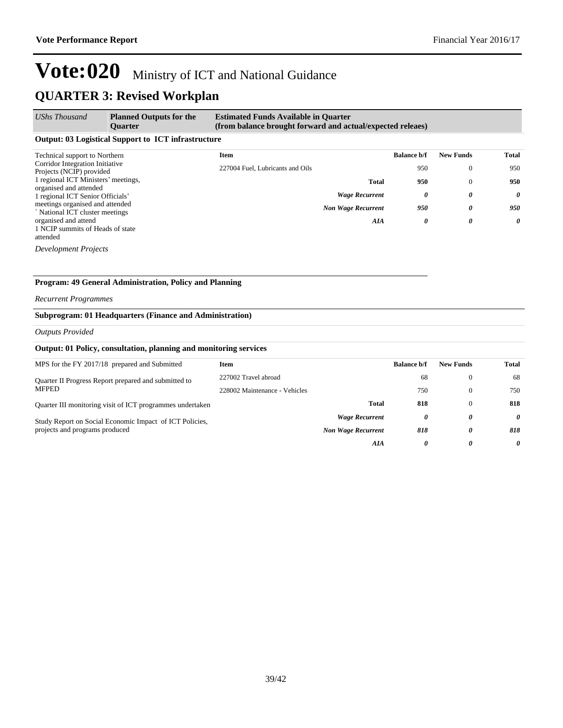#### *UShs Thousand* **Planned Outputs for the Quarter Estimated Funds Available in Quarter (from balance brought forward and actual/expected releaes)**

#### **Output: 03 Logistical Support to ICT infrastructure**

| Technical support to Northern                                    | Item                             |                           | <b>Balance b/f</b> | <b>New Funds</b> | <b>Total</b> |
|------------------------------------------------------------------|----------------------------------|---------------------------|--------------------|------------------|--------------|
| Corridor Integration Initiative<br>Projects (NCIP) provided      | 227004 Fuel, Lubricants and Oils |                           | 950                |                  | 950          |
| 1 regional ICT Ministers' meetings,                              |                                  | <b>Total</b>              | 950                |                  | 950          |
| organised and attended<br>1 regional ICT Senior Officials'       |                                  | <b>Wage Recurrent</b>     | 0                  | 0                | $\theta$     |
| meetings organised and attended<br>National ICT cluster meetings |                                  | <b>Non Wage Recurrent</b> | 950                | 0                | 950          |
| organised and attend                                             |                                  | AIA                       | 0                  | 0                | 0            |
| 1 NCIP summits of Heads of state                                 |                                  |                           |                    |                  |              |
| attended                                                         |                                  |                           |                    |                  |              |

*Development Projects*

#### **Program: 49 General Administration, Policy and Planning**

#### *Recurrent Programmes*

#### **Subprogram: 01 Headquarters (Finance and Administration)**

#### *Outputs Provided*

#### **Output: 01 Policy, consultation, planning and monitoring services**

| MPS for the FY 2017/18 prepared and Submitted                                             | Item                          |                           | <b>Balance b/f</b> | <b>New Funds</b> | Total |
|-------------------------------------------------------------------------------------------|-------------------------------|---------------------------|--------------------|------------------|-------|
| Quarter II Progress Report prepared and submitted to                                      | 227002 Travel abroad          |                           | 68                 | $\Omega$         | 68    |
| MFPED                                                                                     | 228002 Maintenance - Vehicles |                           | 750                | $\Omega$         | 750   |
| Quarter III monitoring visit of ICT programmes undertaken                                 |                               | <b>Total</b>              | 818                | $\Omega$         | 818   |
| Study Report on Social Economic Impact of ICT Policies,<br>projects and programs produced |                               | <b>Wage Recurrent</b>     | 0                  | 0                | 0     |
|                                                                                           |                               | <b>Non Wage Recurrent</b> | 818                | 0                | 818   |
|                                                                                           |                               | AIA                       | 0                  | 0                | 0     |
|                                                                                           |                               |                           |                    |                  |       |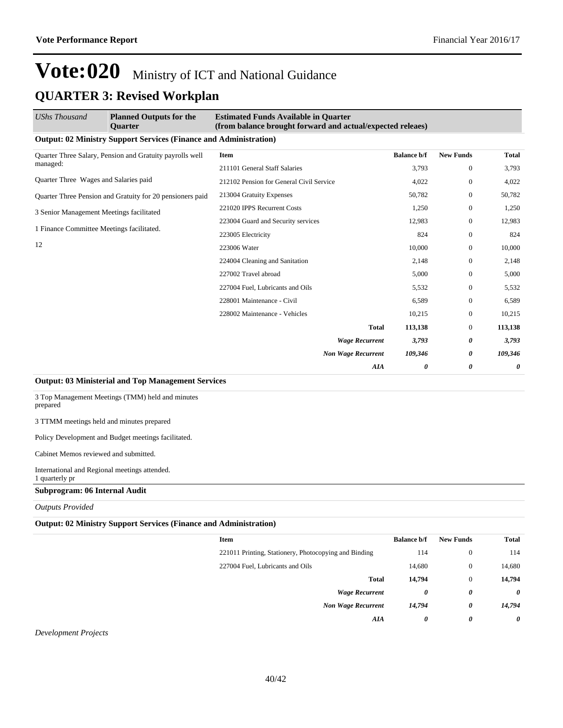### **QUARTER 3: Revised Workplan**

| UShs Thousand                                            | <b>Planned Outputs for the</b><br>Quarter                                                                                                                                                                                                                                                                                                                                                                              | <b>Estimated Funds Available in Quarter</b><br>(from balance brought forward and actual/expected releaes) |                    |                  |              |
|----------------------------------------------------------|------------------------------------------------------------------------------------------------------------------------------------------------------------------------------------------------------------------------------------------------------------------------------------------------------------------------------------------------------------------------------------------------------------------------|-----------------------------------------------------------------------------------------------------------|--------------------|------------------|--------------|
|                                                          | <b>Output: 02 Ministry Support Services (Finance and Administration)</b>                                                                                                                                                                                                                                                                                                                                               |                                                                                                           |                    |                  |              |
| Quarter Three Salary, Pension and Gratuity payrolls well |                                                                                                                                                                                                                                                                                                                                                                                                                        | Item                                                                                                      | <b>Balance b/f</b> | <b>New Funds</b> | <b>Total</b> |
| managed:                                                 |                                                                                                                                                                                                                                                                                                                                                                                                                        | 211101 General Staff Salaries                                                                             | 3,793              | $\mathbf{0}$     | 3,793        |
| Quarter Three Wages and Salaries paid                    |                                                                                                                                                                                                                                                                                                                                                                                                                        | 212102 Pension for General Civil Service                                                                  | 4,022              | $\Omega$         | 4,022        |
|                                                          | Quarter Three Pension and Gratuity for 20 pensioners paid                                                                                                                                                                                                                                                                                                                                                              | 213004 Gratuity Expenses                                                                                  | 50,782             | $\mathbf{0}$     | 50,782       |
| 3 Senior Management Meetings facilitated                 |                                                                                                                                                                                                                                                                                                                                                                                                                        | 221020 IPPS Recurrent Costs                                                                               | 1,250              | $\mathbf{0}$     | 1,250        |
|                                                          |                                                                                                                                                                                                                                                                                                                                                                                                                        | 223004 Guard and Security services                                                                        | 12,983             | $\mathbf{0}$     | 12,983       |
| 1 Finance Committee Meetings facilitated.                |                                                                                                                                                                                                                                                                                                                                                                                                                        | 223005 Electricity                                                                                        | 824                | $\mathbf{0}$     | 824          |
| 12                                                       |                                                                                                                                                                                                                                                                                                                                                                                                                        | 223006 Water                                                                                              | 10,000             | $\mathbf{0}$     | 10,000       |
|                                                          |                                                                                                                                                                                                                                                                                                                                                                                                                        | 224004 Cleaning and Sanitation                                                                            | 2,148              | $\Omega$         | 2,148        |
|                                                          |                                                                                                                                                                                                                                                                                                                                                                                                                        | 227002 Travel abroad                                                                                      | 5,000              | $\Omega$         | 5,000        |
|                                                          |                                                                                                                                                                                                                                                                                                                                                                                                                        | 227004 Fuel, Lubricants and Oils                                                                          | 5,532              | $\mathbf{0}$     | 5,532        |
|                                                          |                                                                                                                                                                                                                                                                                                                                                                                                                        | 228001 Maintenance - Civil                                                                                | 6,589              | $\mathbf{0}$     | 6,589        |
|                                                          |                                                                                                                                                                                                                                                                                                                                                                                                                        | 228002 Maintenance - Vehicles                                                                             | 10,215             | $\mathbf{0}$     | 10,215       |
|                                                          |                                                                                                                                                                                                                                                                                                                                                                                                                        | <b>Total</b>                                                                                              | 113,138            | $\mathbf{0}$     | 113,138      |
|                                                          |                                                                                                                                                                                                                                                                                                                                                                                                                        | <b>Wage Recurrent</b>                                                                                     | 3,793              | 0                | 3,793        |
|                                                          |                                                                                                                                                                                                                                                                                                                                                                                                                        | <b>Non Wage Recurrent</b>                                                                                 | 109,346            | 0                | 109,346      |
|                                                          |                                                                                                                                                                                                                                                                                                                                                                                                                        | AIA                                                                                                       | 0                  | 0                | 0            |
|                                                          | $\alpha$ , $\alpha$ , $\alpha$ , $\alpha$ , $\alpha$ , $\alpha$ , $\alpha$ , $\alpha$ , $\alpha$ , $\alpha$ , $\alpha$ , $\alpha$ , $\alpha$ , $\alpha$ , $\alpha$ , $\alpha$ , $\alpha$ , $\alpha$ , $\alpha$ , $\alpha$ , $\alpha$ , $\alpha$ , $\alpha$ , $\alpha$ , $\alpha$ , $\alpha$ , $\alpha$ , $\alpha$ , $\alpha$ , $\alpha$ , $\alpha$ , $\alpha$ , $\alpha$ , $\alpha$ , $\alpha$ , $\alpha$ , $\alpha$ , |                                                                                                           |                    |                  |              |

#### **Output: 03 Ministerial and Top Management Services**

3 Top Management Meetings (TMM) held and minutes prepared

3 TTMM meetings held and minutes prepared

Policy Development and Budget meetings facilitated.

Cabinet Memos reviewed and submitted.

International and Regional meetings attended. 1 quarterly pr

#### **Subprogram: 06 Internal Audit**

*Outputs Provided*

#### **Output: 02 Ministry Support Services (Finance and Administration)**

| Item                                                  | <b>Balance b/f</b> | <b>New Funds</b> | <b>Total</b>          |
|-------------------------------------------------------|--------------------|------------------|-----------------------|
| 221011 Printing, Stationery, Photocopying and Binding | 114                | $\mathbf{0}$     | 114                   |
| 227004 Fuel, Lubricants and Oils                      | 14,680             | $\theta$         | 14,680                |
| <b>Total</b>                                          | 14,794             | $\theta$         | 14,794                |
| <b>Wage Recurrent</b>                                 | 0                  | 0                | $\theta$              |
| <b>Non Wage Recurrent</b>                             | 14,794             | 0                | 14,794                |
| AIA                                                   | 0                  | 0                | $\boldsymbol{\theta}$ |
|                                                       |                    |                  |                       |

*Development Projects*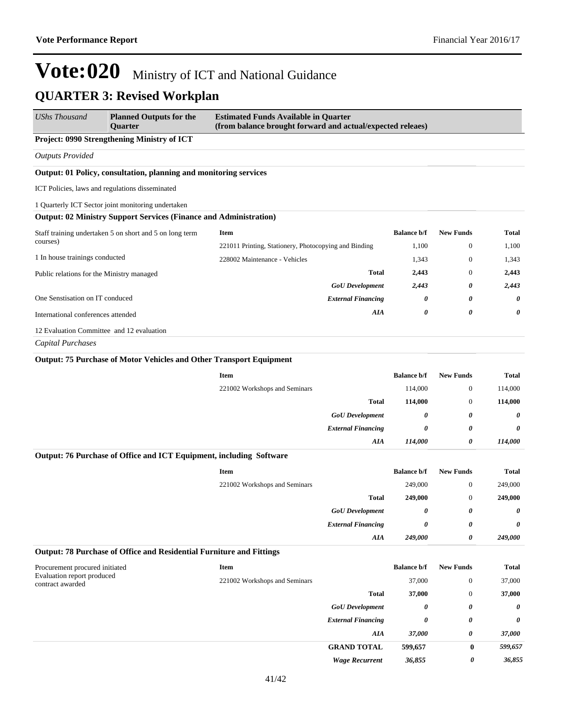| <b>UShs Thousand</b>                                         | <b>Planned Outputs for the</b><br><b>Ouarter</b>                           | <b>Estimated Funds Available in Quarter</b><br>(from balance brought forward and actual/expected releaes) |                       |                       |                   |
|--------------------------------------------------------------|----------------------------------------------------------------------------|-----------------------------------------------------------------------------------------------------------|-----------------------|-----------------------|-------------------|
|                                                              | Project: 0990 Strengthening Ministry of ICT                                |                                                                                                           |                       |                       |                   |
| <b>Outputs Provided</b>                                      |                                                                            |                                                                                                           |                       |                       |                   |
|                                                              | Output: 01 Policy, consultation, planning and monitoring services          |                                                                                                           |                       |                       |                   |
| ICT Policies, laws and regulations disseminated              |                                                                            |                                                                                                           |                       |                       |                   |
|                                                              | 1 Quarterly ICT Sector joint monitoring undertaken                         |                                                                                                           |                       |                       |                   |
|                                                              | <b>Output: 02 Ministry Support Services (Finance and Administration)</b>   |                                                                                                           |                       |                       |                   |
|                                                              | Staff training undertaken 5 on short and 5 on long term                    | <b>Item</b>                                                                                               | <b>Balance b/f</b>    | <b>New Funds</b>      | <b>Total</b>      |
| courses)                                                     |                                                                            | 221011 Printing, Stationery, Photocopying and Binding                                                     | 1,100                 | $\mathbf{0}$          | 1,100             |
| 1 In house trainings conducted                               |                                                                            | 228002 Maintenance - Vehicles                                                                             | 1,343                 | $\mathbf{0}$          | 1,343             |
| Public relations for the Ministry managed                    |                                                                            | <b>Total</b>                                                                                              | 2,443                 | $\mathbf{0}$          | 2,443             |
|                                                              |                                                                            | <b>GoU</b> Development                                                                                    | 2,443                 | 0                     | 2,443             |
| One Senstisation on IT conduced                              |                                                                            | <b>External Financing</b>                                                                                 | 0                     | 0                     | 0                 |
| International conferences attended                           |                                                                            | AIA                                                                                                       | 0                     | $\boldsymbol{\theta}$ | 0                 |
| 12 Evaluation Committee and 12 evaluation                    |                                                                            |                                                                                                           |                       |                       |                   |
| <b>Capital Purchases</b>                                     |                                                                            |                                                                                                           |                       |                       |                   |
|                                                              | <b>Output: 75 Purchase of Motor Vehicles and Other Transport Equipment</b> |                                                                                                           |                       |                       |                   |
|                                                              |                                                                            | <b>Item</b>                                                                                               | <b>Balance b/f</b>    | <b>New Funds</b>      | Total             |
|                                                              |                                                                            | 221002 Workshops and Seminars                                                                             | 114,000               | $\mathbf{0}$          | 114,000           |
|                                                              |                                                                            | <b>Total</b>                                                                                              | 114,000               | $\mathbf{0}$          | 114,000           |
|                                                              |                                                                            | <b>GoU</b> Development                                                                                    | 0                     | 0                     | 0                 |
|                                                              |                                                                            | <b>External Financing</b>                                                                                 | 0                     | 0                     | 0                 |
|                                                              |                                                                            | <b>AIA</b>                                                                                                | 114,000               | $\boldsymbol{\theta}$ | 114,000           |
|                                                              | Output: 76 Purchase of Office and ICT Equipment, including Software        |                                                                                                           |                       |                       |                   |
|                                                              |                                                                            | Item                                                                                                      | <b>Balance b/f</b>    | <b>New Funds</b>      | <b>Total</b>      |
|                                                              |                                                                            | 221002 Workshops and Seminars                                                                             | 249,000               | $\boldsymbol{0}$      | 249,000           |
|                                                              |                                                                            | <b>Total</b>                                                                                              | 249,000               | $\mathbf{0}$          | 249,000           |
|                                                              |                                                                            | <b>GoU</b> Development                                                                                    | 0                     | $\boldsymbol{\theta}$ | 0                 |
|                                                              |                                                                            | <b>External Financing</b>                                                                                 | 0                     | 0                     | 0                 |
|                                                              |                                                                            | AIA                                                                                                       | 249,000               | 0                     | 249,000           |
|                                                              | Output: 78 Purchase of Office and Residential Furniture and Fittings       |                                                                                                           |                       |                       |                   |
| Procurement procured initiated<br>Evaluation report produced |                                                                            | <b>Item</b>                                                                                               | <b>Balance b/f</b>    | <b>New Funds</b>      | <b>Total</b>      |
| contract awarded                                             |                                                                            | 221002 Workshops and Seminars                                                                             | 37,000                | $\mathbf{0}$          | 37,000            |
|                                                              |                                                                            | Total                                                                                                     | 37,000                | $\mathbf{0}$          | 37,000            |
|                                                              |                                                                            | <b>GoU</b> Development                                                                                    | $\boldsymbol{\theta}$ | 0                     | 0                 |
|                                                              |                                                                            | <b>External Financing</b>                                                                                 | 0                     | 0                     | 0                 |
|                                                              |                                                                            | AIA<br><b>GRAND TOTAL</b>                                                                                 | 37,000<br>599,657     | 0<br>$\bf{0}$         | 37,000<br>599,657 |
|                                                              |                                                                            |                                                                                                           |                       |                       |                   |

*Wage Recurrent 36,855 0 36,855*